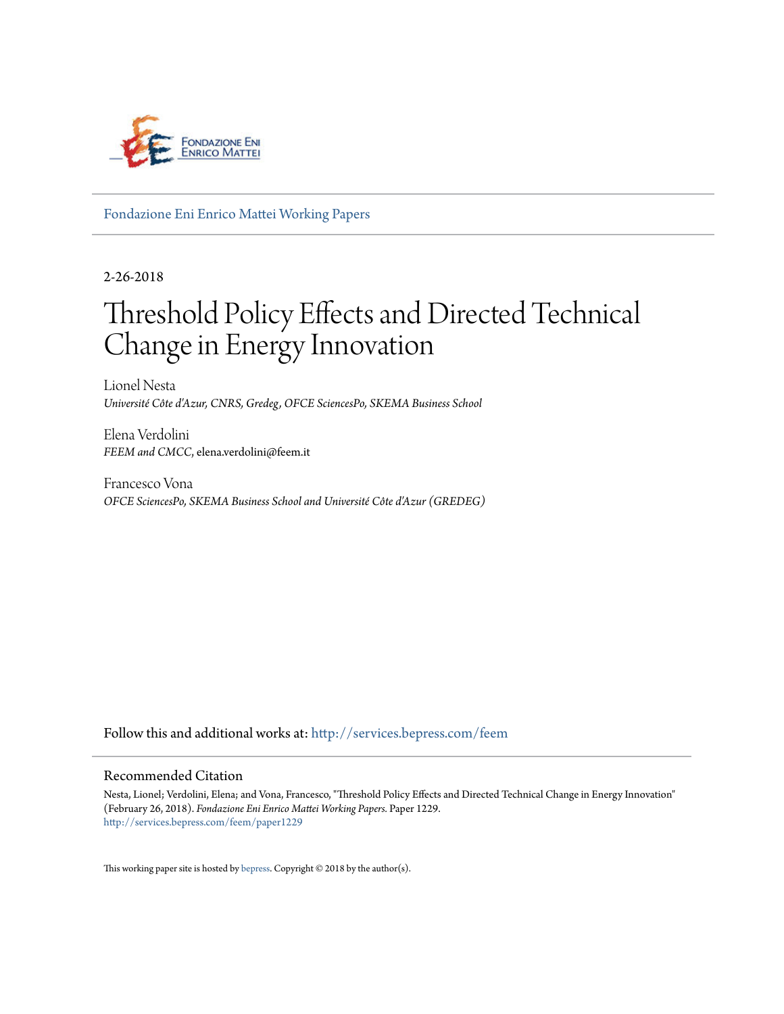

[Fondazione Eni Enrico Mattei Working Papers](http://services.bepress.com/feem?utm_source=services.bepress.com%2Ffeem%2Fpaper1229&utm_medium=PDF&utm_campaign=PDFCoverPages)

2-26-2018

## Threshold Policy Effects and Directed Technical Change in Energy Innovation

Lionel Nesta *Université Côte d'Azur, CNRS, Gredeg, OFCE SciencesPo, SKEMA Business School*

Elena Verdolini *FEEM and CMCC*, elena.verdolini@feem.it

Francesco Vona *OFCE SciencesPo, SKEMA Business School and Université Côte d'Azur (GREDEG)*

Follow this and additional works at: [http://services.bepress.com/feem](http://services.bepress.com/feem?utm_source=services.bepress.com%2Ffeem%2Fpaper1229&utm_medium=PDF&utm_campaign=PDFCoverPages)

#### Recommended Citation

Nesta, Lionel; Verdolini, Elena; and Vona, Francesco, "Threshold Policy Effects and Directed Technical Change in Energy Innovation" (February 26, 2018). *Fondazione Eni Enrico Mattei Working Papers.* Paper 1229. [http://services.bepress.com/feem/paper1229](http://services.bepress.com/feem/paper1229?utm_source=services.bepress.com%2Ffeem%2Fpaper1229&utm_medium=PDF&utm_campaign=PDFCoverPages)

This working paper site is hosted by [bepress.](www.bepress.com) Copyright  $©$  2018 by the author(s).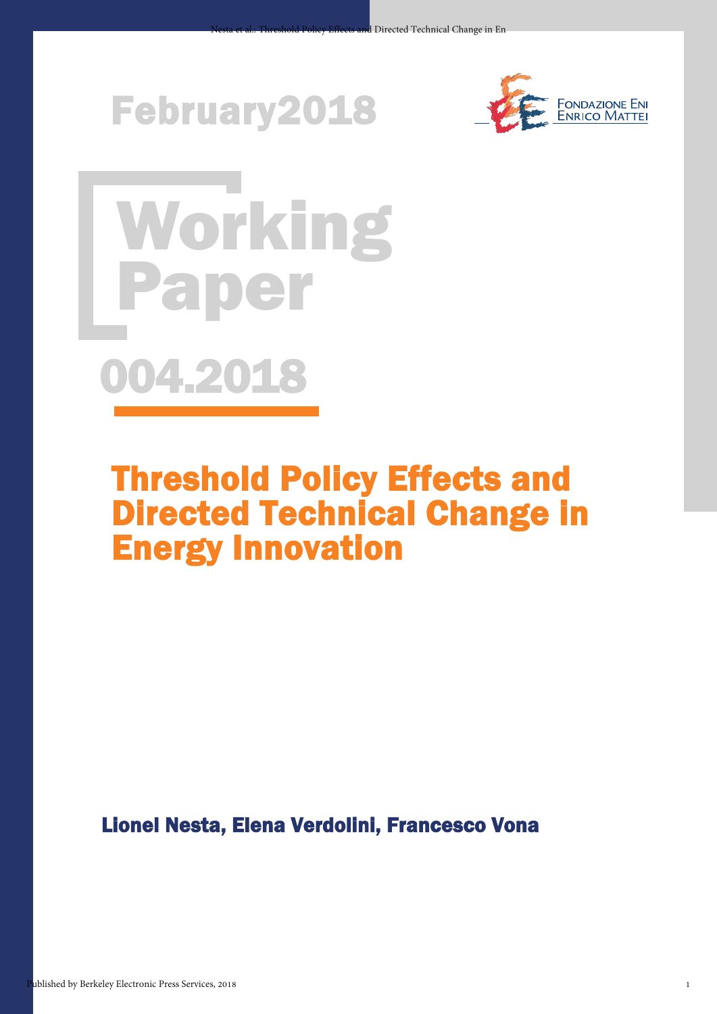# February 2018



004.2018 Working Paper

## Threshold Policy Effects and Directed Technical Change in Energy Innovation

Lionel Nesta, Elena Verdolini, Francesco Vona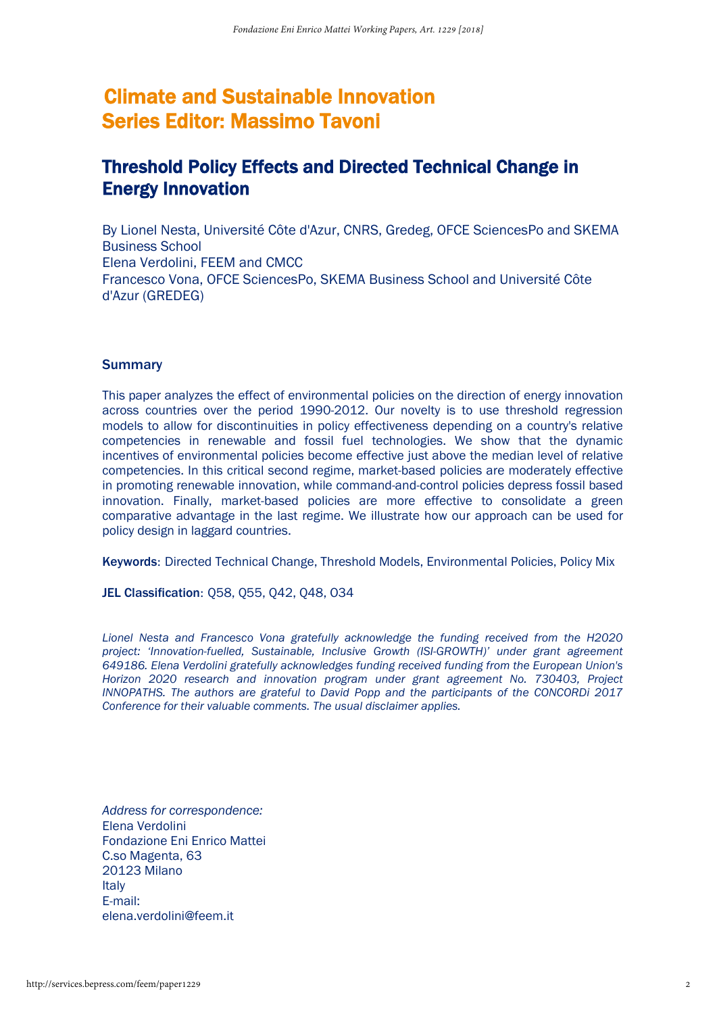## Climate and Sustainable Innovation Series Editor: Massimo Tavoni

### Threshold Policy Effects and Directed Technical Change in Energy Innovation

By Lionel Nesta, Université Côte d'Azur, CNRS, Gredeg, OFCE SciencesPo and SKEMA Business School Elena Verdolini, FEEM and CMCC Francesco Vona, OFCE SciencesPo, SKEMA Business School and Université Côte d'Azur (GREDEG)

#### **Summary**

This paper analyzes the effect of environmental policies on the direction of energy innovation across countries over the period 1990-2012. Our novelty is to use threshold regression models to allow for discontinuities in policy effectiveness depending on a country's relative competencies in renewable and fossil fuel technologies. We show that the dynamic incentives of environmental policies become effective just above the median level of relative competencies. In this critical second regime, market-based policies are moderately effective in promoting renewable innovation, while command-and-control policies depress fossil based innovation. Finally, market-based policies are more effective to consolidate a green comparative advantage in the last regime. We illustrate how our approach can be used for policy design in laggard countries.

Keywords: Directed Technical Change, Threshold Models, Environmental Policies, Policy Mix

JEL Classification: Q58, Q55, Q42, Q48, O34

*Lionel Nesta and Francesco Vona gratefully acknowledge the funding received from the H2020 project: 'Innovation-fuelled, Sustainable, Inclusive Growth (ISI-GROWTH)' under grant agreement 649186. Elena Verdolini gratefully acknowledges funding received funding from the European Union's Horizon 2020 research and innovation program under grant agreement No. 730403, Project INNOPATHS. The authors are grateful to David Popp and the participants of the CONCORDi 2017 Conference for their valuable comments. The usual disclaimer applies.*

*Address for correspondence:*  Elena Verdolini Fondazione Eni Enrico Mattei C.so Magenta, 63 20123 Milano Italy E-mail: elena.verdolini@feem.it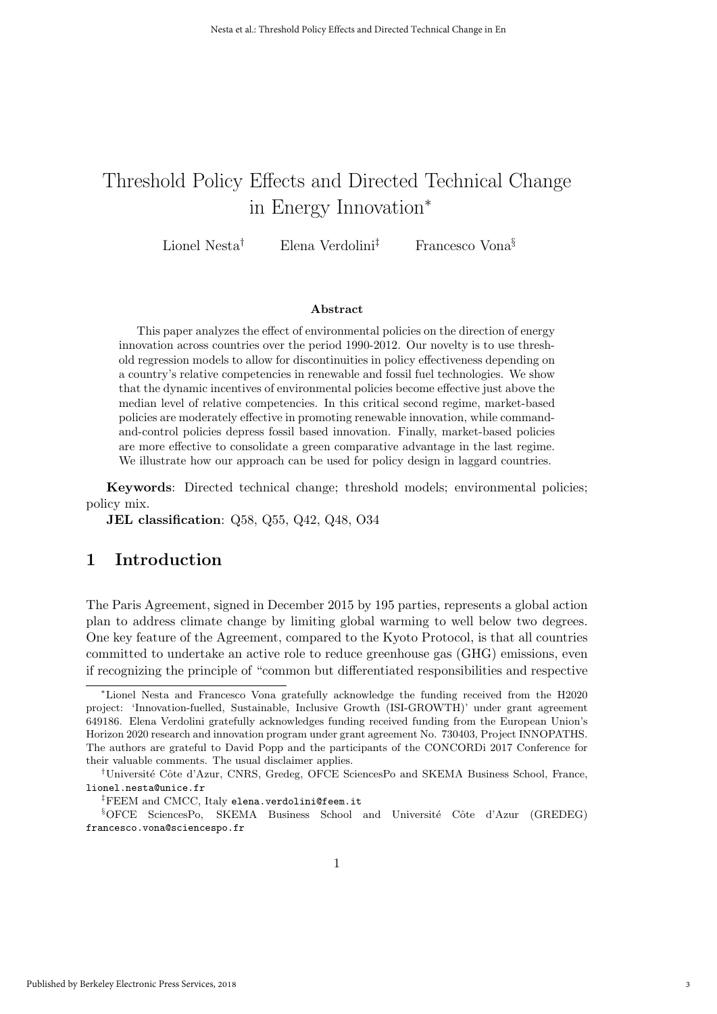### Threshold Policy Effects and Directed Technical Change in Energy Innovation<sup>∗</sup>

Lionel Nesta† Elena Verdolini‡ Francesco Vona§

#### Abstract

This paper analyzes the effect of environmental policies on the direction of energy innovation across countries over the period 1990-2012. Our novelty is to use threshold regression models to allow for discontinuities in policy effectiveness depending on a country's relative competencies in renewable and fossil fuel technologies. We show that the dynamic incentives of environmental policies become effective just above the median level of relative competencies. In this critical second regime, market-based policies are moderately effective in promoting renewable innovation, while commandand-control policies depress fossil based innovation. Finally, market-based policies are more effective to consolidate a green comparative advantage in the last regime. We illustrate how our approach can be used for policy design in laggard countries.

Keywords: Directed technical change; threshold models; environmental policies; policy mix.

JEL classification: Q58, Q55, Q42, Q48, O34

#### 1 Introduction

The Paris Agreement, signed in December 2015 by 195 parties, represents a global action plan to address climate change by limiting global warming to well below two degrees. One key feature of the Agreement, compared to the Kyoto Protocol, is that all countries committed to undertake an active role to reduce greenhouse gas (GHG) emissions, even if recognizing the principle of "common but differentiated responsibilities and respective

<sup>∗</sup>Lionel Nesta and Francesco Vona gratefully acknowledge the funding received from the H2020 project: 'Innovation-fuelled, Sustainable, Inclusive Growth (ISI-GROWTH)' under grant agreement 649186. Elena Verdolini gratefully acknowledges funding received funding from the European Union's Horizon 2020 research and innovation program under grant agreement No. 730403, Project INNOPATHS. The authors are grateful to David Popp and the participants of the CONCORDi 2017 Conference for their valuable comments. The usual disclaimer applies.

<sup>&</sup>lt;sup>†</sup>Université Côte d'Azur, CNRS, Gredeg, OFCE SciencesPo and SKEMA Business School, France, lionel.nesta@unice.fr

<sup>&</sup>lt;sup>‡</sup>FEEM and CMCC, Italy elena.verdolini@feem.it

<sup>§</sup>OFCE SciencesPo, SKEMA Business School and Université Côte d'Azur (GREDEG) francesco.vona@sciencespo.fr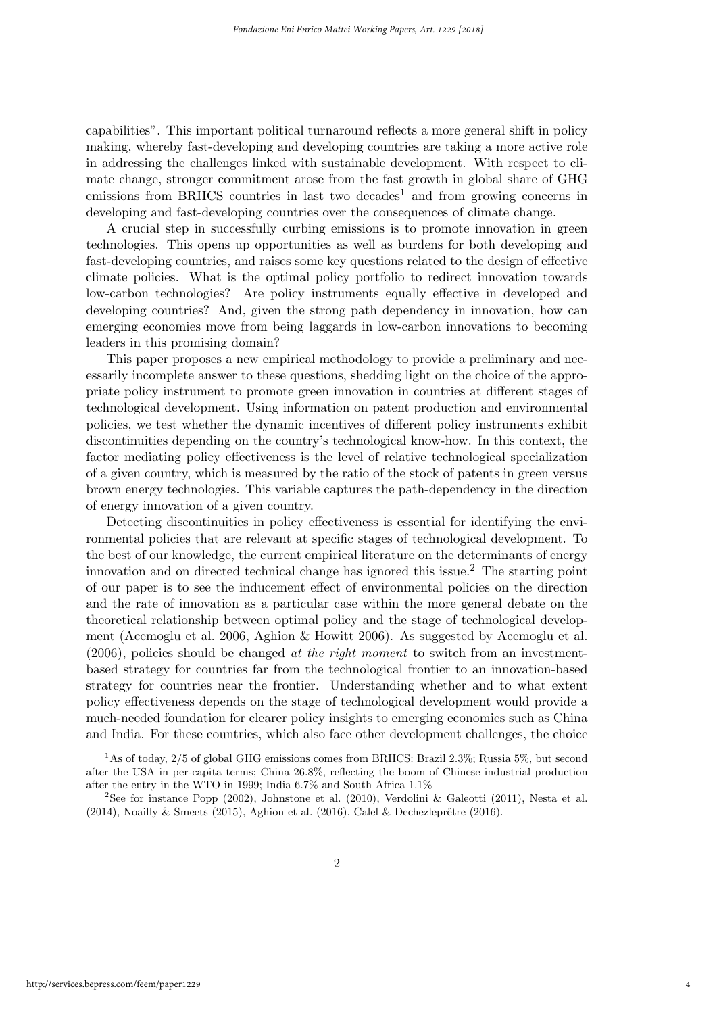capabilities". This important political turnaround reflects a more general shift in policy making, whereby fast-developing and developing countries are taking a more active role in addressing the challenges linked with sustainable development. With respect to climate change, stronger commitment arose from the fast growth in global share of GHG emissions from BRIICS countries in last two decades<sup>1</sup> and from growing concerns in developing and fast-developing countries over the consequences of climate change.

A crucial step in successfully curbing emissions is to promote innovation in green technologies. This opens up opportunities as well as burdens for both developing and fast-developing countries, and raises some key questions related to the design of effective climate policies. What is the optimal policy portfolio to redirect innovation towards low-carbon technologies? Are policy instruments equally effective in developed and developing countries? And, given the strong path dependency in innovation, how can emerging economies move from being laggards in low-carbon innovations to becoming leaders in this promising domain?

This paper proposes a new empirical methodology to provide a preliminary and necessarily incomplete answer to these questions, shedding light on the choice of the appropriate policy instrument to promote green innovation in countries at different stages of technological development. Using information on patent production and environmental policies, we test whether the dynamic incentives of different policy instruments exhibit discontinuities depending on the country's technological know-how. In this context, the factor mediating policy effectiveness is the level of relative technological specialization of a given country, which is measured by the ratio of the stock of patents in green versus brown energy technologies. This variable captures the path-dependency in the direction of energy innovation of a given country.

Detecting discontinuities in policy effectiveness is essential for identifying the environmental policies that are relevant at specific stages of technological development. To the best of our knowledge, the current empirical literature on the determinants of energy innovation and on directed technical change has ignored this issue.<sup>2</sup> The starting point of our paper is to see the inducement effect of environmental policies on the direction and the rate of innovation as a particular case within the more general debate on the theoretical relationship between optimal policy and the stage of technological development (Acemoglu et al. 2006, Aghion & Howitt 2006). As suggested by Acemoglu et al. (2006), policies should be changed at the right moment to switch from an investmentbased strategy for countries far from the technological frontier to an innovation-based strategy for countries near the frontier. Understanding whether and to what extent policy effectiveness depends on the stage of technological development would provide a much-needed foundation for clearer policy insights to emerging economies such as China and India. For these countries, which also face other development challenges, the choice

<sup>1</sup>As of today, 2/5 of global GHG emissions comes from BRIICS: Brazil 2.3%; Russia 5%, but second after the USA in per-capita terms; China 26.8%, reflecting the boom of Chinese industrial production after the entry in the WTO in 1999; India 6.7% and South Africa 1.1%

<sup>&</sup>lt;sup>2</sup>See for instance Popp (2002), Johnstone et al. (2010), Verdolini & Galeotti (2011), Nesta et al. (2014), Noailly & Smeets (2015), Aghion et al. (2016), Calel & Dechezleprêtre (2016).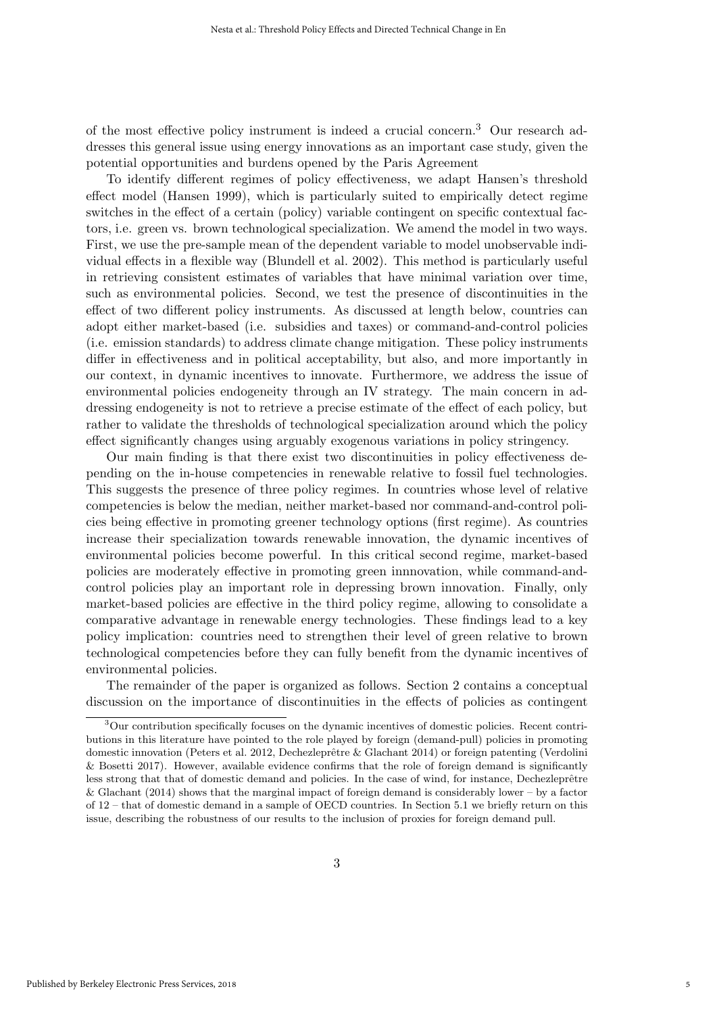of the most effective policy instrument is indeed a crucial concern.<sup>3</sup> Our research addresses this general issue using energy innovations as an important case study, given the potential opportunities and burdens opened by the Paris Agreement

To identify different regimes of policy effectiveness, we adapt Hansen's threshold effect model (Hansen 1999), which is particularly suited to empirically detect regime switches in the effect of a certain (policy) variable contingent on specific contextual factors, i.e. green vs. brown technological specialization. We amend the model in two ways. First, we use the pre-sample mean of the dependent variable to model unobservable individual effects in a flexible way (Blundell et al. 2002). This method is particularly useful in retrieving consistent estimates of variables that have minimal variation over time, such as environmental policies. Second, we test the presence of discontinuities in the effect of two different policy instruments. As discussed at length below, countries can adopt either market-based (i.e. subsidies and taxes) or command-and-control policies (i.e. emission standards) to address climate change mitigation. These policy instruments differ in effectiveness and in political acceptability, but also, and more importantly in our context, in dynamic incentives to innovate. Furthermore, we address the issue of environmental policies endogeneity through an IV strategy. The main concern in addressing endogeneity is not to retrieve a precise estimate of the effect of each policy, but rather to validate the thresholds of technological specialization around which the policy effect significantly changes using arguably exogenous variations in policy stringency.

Our main finding is that there exist two discontinuities in policy effectiveness depending on the in-house competencies in renewable relative to fossil fuel technologies. This suggests the presence of three policy regimes. In countries whose level of relative competencies is below the median, neither market-based nor command-and-control policies being effective in promoting greener technology options (first regime). As countries increase their specialization towards renewable innovation, the dynamic incentives of environmental policies become powerful. In this critical second regime, market-based policies are moderately effective in promoting green innnovation, while command-andcontrol policies play an important role in depressing brown innovation. Finally, only market-based policies are effective in the third policy regime, allowing to consolidate a comparative advantage in renewable energy technologies. These findings lead to a key policy implication: countries need to strengthen their level of green relative to brown technological competencies before they can fully benefit from the dynamic incentives of environmental policies.

The remainder of the paper is organized as follows. Section 2 contains a conceptual discussion on the importance of discontinuities in the effects of policies as contingent

<sup>3</sup>Our contribution specifically focuses on the dynamic incentives of domestic policies. Recent contributions in this literature have pointed to the role played by foreign (demand-pull) policies in promoting domestic innovation (Peters et al. 2012, Dechezleprêtre & Glachant 2014) or foreign patenting (Verdolini & Bosetti 2017). However, available evidence confirms that the role of foreign demand is significantly less strong that that of domestic demand and policies. In the case of wind, for instance, Dechezleprêtre & Glachant (2014) shows that the marginal impact of foreign demand is considerably lower – by a factor of 12 – that of domestic demand in a sample of OECD countries. In Section 5.1 we briefly return on this issue, describing the robustness of our results to the inclusion of proxies for foreign demand pull.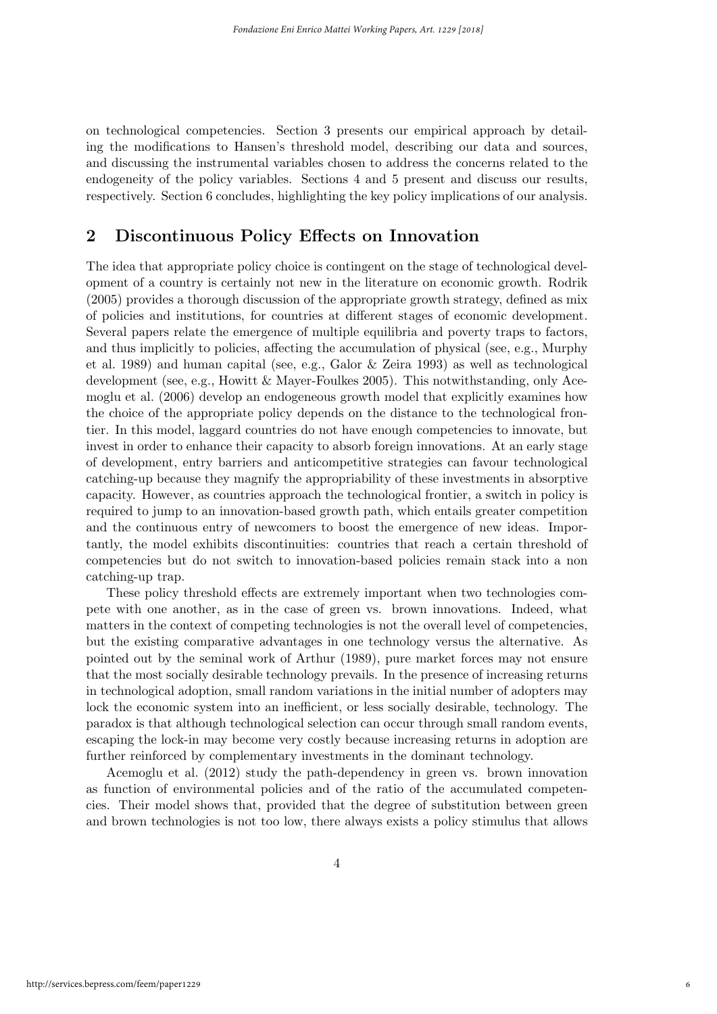on technological competencies. Section 3 presents our empirical approach by detailing the modifications to Hansen's threshold model, describing our data and sources, and discussing the instrumental variables chosen to address the concerns related to the endogeneity of the policy variables. Sections 4 and 5 present and discuss our results, respectively. Section 6 concludes, highlighting the key policy implications of our analysis.

#### 2 Discontinuous Policy Effects on Innovation

The idea that appropriate policy choice is contingent on the stage of technological development of a country is certainly not new in the literature on economic growth. Rodrik (2005) provides a thorough discussion of the appropriate growth strategy, defined as mix of policies and institutions, for countries at different stages of economic development. Several papers relate the emergence of multiple equilibria and poverty traps to factors, and thus implicitly to policies, affecting the accumulation of physical (see, e.g., Murphy et al. 1989) and human capital (see, e.g., Galor & Zeira 1993) as well as technological development (see, e.g., Howitt & Mayer-Foulkes 2005). This notwithstanding, only Acemoglu et al. (2006) develop an endogeneous growth model that explicitly examines how the choice of the appropriate policy depends on the distance to the technological frontier. In this model, laggard countries do not have enough competencies to innovate, but invest in order to enhance their capacity to absorb foreign innovations. At an early stage of development, entry barriers and anticompetitive strategies can favour technological catching-up because they magnify the appropriability of these investments in absorptive capacity. However, as countries approach the technological frontier, a switch in policy is required to jump to an innovation-based growth path, which entails greater competition and the continuous entry of newcomers to boost the emergence of new ideas. Importantly, the model exhibits discontinuities: countries that reach a certain threshold of competencies but do not switch to innovation-based policies remain stack into a non catching-up trap.

These policy threshold effects are extremely important when two technologies compete with one another, as in the case of green vs. brown innovations. Indeed, what matters in the context of competing technologies is not the overall level of competencies, but the existing comparative advantages in one technology versus the alternative. As pointed out by the seminal work of Arthur (1989), pure market forces may not ensure that the most socially desirable technology prevails. In the presence of increasing returns in technological adoption, small random variations in the initial number of adopters may lock the economic system into an inefficient, or less socially desirable, technology. The paradox is that although technological selection can occur through small random events, escaping the lock-in may become very costly because increasing returns in adoption are further reinforced by complementary investments in the dominant technology.

Acemoglu et al. (2012) study the path-dependency in green vs. brown innovation as function of environmental policies and of the ratio of the accumulated competencies. Their model shows that, provided that the degree of substitution between green and brown technologies is not too low, there always exists a policy stimulus that allows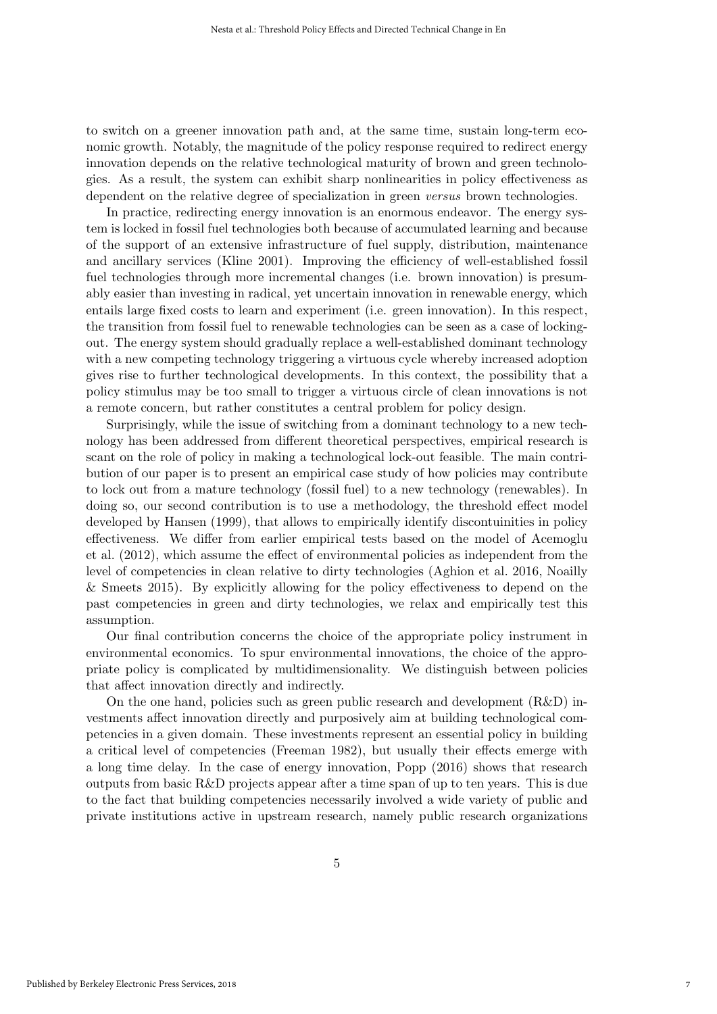to switch on a greener innovation path and, at the same time, sustain long-term economic growth. Notably, the magnitude of the policy response required to redirect energy innovation depends on the relative technological maturity of brown and green technologies. As a result, the system can exhibit sharp nonlinearities in policy effectiveness as dependent on the relative degree of specialization in green versus brown technologies.

In practice, redirecting energy innovation is an enormous endeavor. The energy system is locked in fossil fuel technologies both because of accumulated learning and because of the support of an extensive infrastructure of fuel supply, distribution, maintenance and ancillary services (Kline 2001). Improving the efficiency of well-established fossil fuel technologies through more incremental changes (i.e. brown innovation) is presumably easier than investing in radical, yet uncertain innovation in renewable energy, which entails large fixed costs to learn and experiment (i.e. green innovation). In this respect, the transition from fossil fuel to renewable technologies can be seen as a case of lockingout. The energy system should gradually replace a well-established dominant technology with a new competing technology triggering a virtuous cycle whereby increased adoption gives rise to further technological developments. In this context, the possibility that a policy stimulus may be too small to trigger a virtuous circle of clean innovations is not a remote concern, but rather constitutes a central problem for policy design.

Surprisingly, while the issue of switching from a dominant technology to a new technology has been addressed from different theoretical perspectives, empirical research is scant on the role of policy in making a technological lock-out feasible. The main contribution of our paper is to present an empirical case study of how policies may contribute to lock out from a mature technology (fossil fuel) to a new technology (renewables). In doing so, our second contribution is to use a methodology, the threshold effect model developed by Hansen (1999), that allows to empirically identify discontuinities in policy effectiveness. We differ from earlier empirical tests based on the model of Acemoglu et al. (2012), which assume the effect of environmental policies as independent from the level of competencies in clean relative to dirty technologies (Aghion et al. 2016, Noailly & Smeets 2015). By explicitly allowing for the policy effectiveness to depend on the past competencies in green and dirty technologies, we relax and empirically test this assumption.

Our final contribution concerns the choice of the appropriate policy instrument in environmental economics. To spur environmental innovations, the choice of the appropriate policy is complicated by multidimensionality. We distinguish between policies that affect innovation directly and indirectly.

On the one hand, policies such as green public research and development  $(R\&D)$  investments affect innovation directly and purposively aim at building technological competencies in a given domain. These investments represent an essential policy in building a critical level of competencies (Freeman 1982), but usually their effects emerge with a long time delay. In the case of energy innovation, Popp (2016) shows that research outputs from basic R&D projects appear after a time span of up to ten years. This is due to the fact that building competencies necessarily involved a wide variety of public and private institutions active in upstream research, namely public research organizations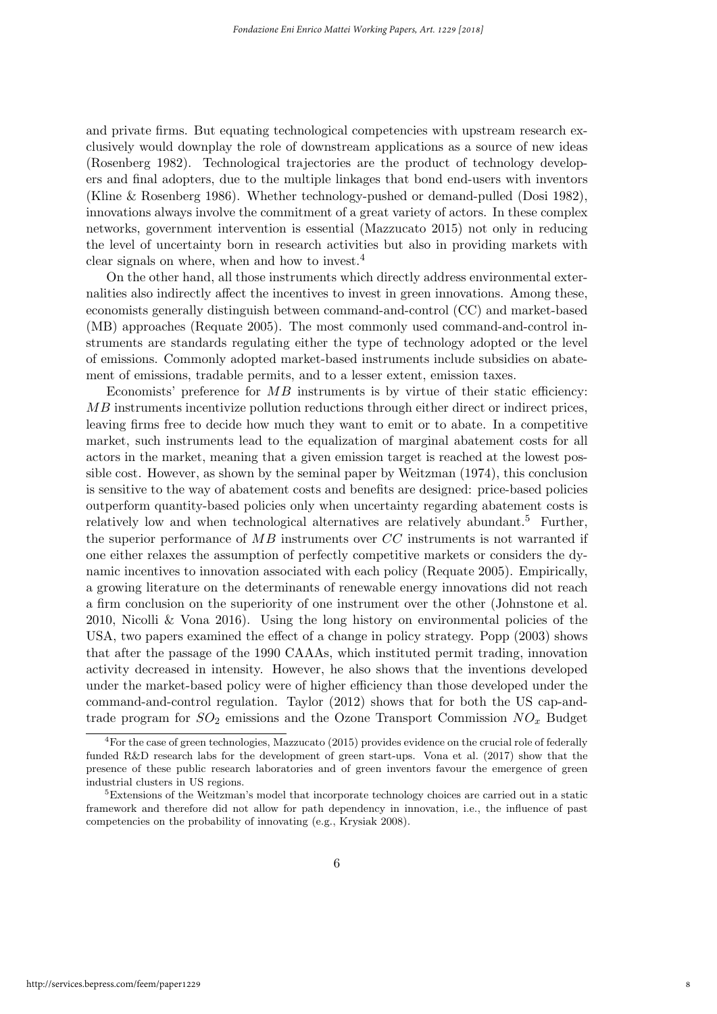and private firms. But equating technological competencies with upstream research exclusively would downplay the role of downstream applications as a source of new ideas (Rosenberg 1982). Technological trajectories are the product of technology developers and final adopters, due to the multiple linkages that bond end-users with inventors (Kline & Rosenberg 1986). Whether technology-pushed or demand-pulled (Dosi 1982), innovations always involve the commitment of a great variety of actors. In these complex networks, government intervention is essential (Mazzucato 2015) not only in reducing the level of uncertainty born in research activities but also in providing markets with clear signals on where, when and how to invest.<sup>4</sup>

On the other hand, all those instruments which directly address environmental externalities also indirectly affect the incentives to invest in green innovations. Among these, economists generally distinguish between command-and-control (CC) and market-based (MB) approaches (Requate 2005). The most commonly used command-and-control instruments are standards regulating either the type of technology adopted or the level of emissions. Commonly adopted market-based instruments include subsidies on abatement of emissions, tradable permits, and to a lesser extent, emission taxes.

Economists' preference for  $MB$  instruments is by virtue of their static efficiency: MB instruments incentivize pollution reductions through either direct or indirect prices, leaving firms free to decide how much they want to emit or to abate. In a competitive market, such instruments lead to the equalization of marginal abatement costs for all actors in the market, meaning that a given emission target is reached at the lowest possible cost. However, as shown by the seminal paper by Weitzman (1974), this conclusion is sensitive to the way of abatement costs and benefits are designed: price-based policies outperform quantity-based policies only when uncertainty regarding abatement costs is relatively low and when technological alternatives are relatively abundant.<sup>5</sup> Further, the superior performance of  $MB$  instruments over  $CC$  instruments is not warranted if one either relaxes the assumption of perfectly competitive markets or considers the dynamic incentives to innovation associated with each policy (Requate 2005). Empirically, a growing literature on the determinants of renewable energy innovations did not reach a firm conclusion on the superiority of one instrument over the other (Johnstone et al. 2010, Nicolli & Vona 2016). Using the long history on environmental policies of the USA, two papers examined the effect of a change in policy strategy. Popp (2003) shows that after the passage of the 1990 CAAAs, which instituted permit trading, innovation activity decreased in intensity. However, he also shows that the inventions developed under the market-based policy were of higher efficiency than those developed under the command-and-control regulation. Taylor (2012) shows that for both the US cap-andtrade program for  $SO_2$  emissions and the Ozone Transport Commission  $NO_x$  Budget

<sup>4</sup>For the case of green technologies, Mazzucato (2015) provides evidence on the crucial role of federally funded R&D research labs for the development of green start-ups. Vona et al. (2017) show that the presence of these public research laboratories and of green inventors favour the emergence of green industrial clusters in US regions.

<sup>&</sup>lt;sup>5</sup>Extensions of the Weitzman's model that incorporate technology choices are carried out in a static framework and therefore did not allow for path dependency in innovation, i.e., the influence of past competencies on the probability of innovating (e.g., Krysiak 2008).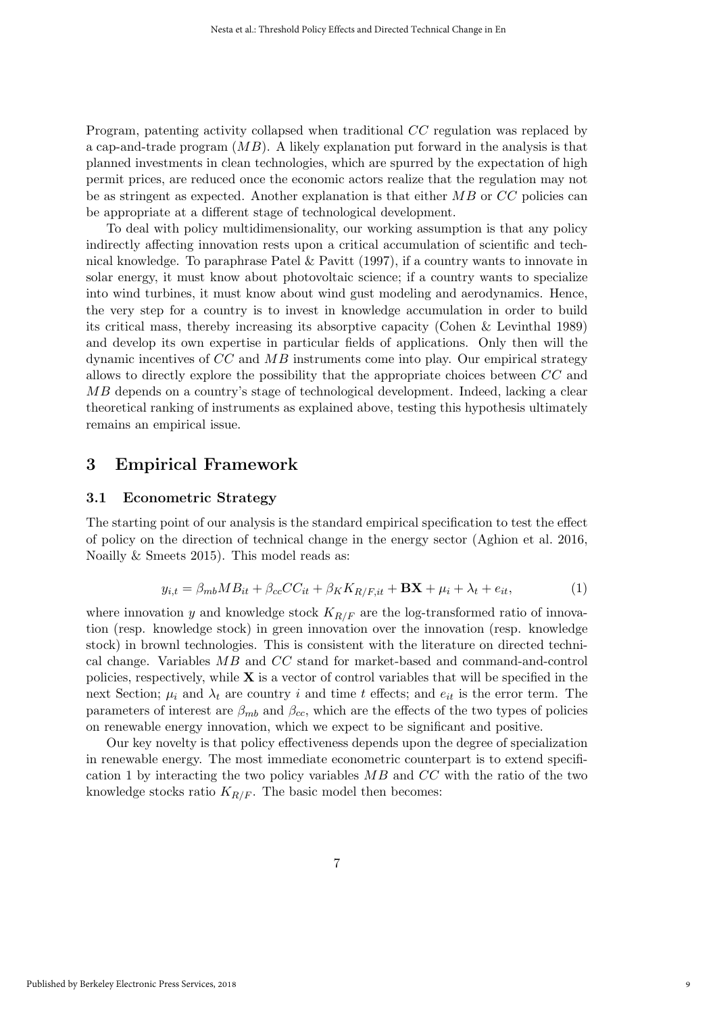Program, patenting activity collapsed when traditional CC regulation was replaced by a cap-and-trade program  $(MB)$ . A likely explanation put forward in the analysis is that planned investments in clean technologies, which are spurred by the expectation of high permit prices, are reduced once the economic actors realize that the regulation may not be as stringent as expected. Another explanation is that either MB or CC policies can be appropriate at a different stage of technological development.

To deal with policy multidimensionality, our working assumption is that any policy indirectly affecting innovation rests upon a critical accumulation of scientific and technical knowledge. To paraphrase Patel & Pavitt (1997), if a country wants to innovate in solar energy, it must know about photovoltaic science; if a country wants to specialize into wind turbines, it must know about wind gust modeling and aerodynamics. Hence, the very step for a country is to invest in knowledge accumulation in order to build its critical mass, thereby increasing its absorptive capacity (Cohen & Levinthal 1989) and develop its own expertise in particular fields of applications. Only then will the dynamic incentives of  $CC$  and  $MB$  instruments come into play. Our empirical strategy allows to directly explore the possibility that the appropriate choices between CC and MB depends on a country's stage of technological development. Indeed, lacking a clear theoretical ranking of instruments as explained above, testing this hypothesis ultimately remains an empirical issue.

#### 3 Empirical Framework

#### 3.1 Econometric Strategy

The starting point of our analysis is the standard empirical specification to test the effect of policy on the direction of technical change in the energy sector (Aghion et al. 2016, Noailly & Smeets 2015). This model reads as:

$$
y_{i,t} = \beta_{mb} MB_{it} + \beta_{cc} CC_{it} + \beta_K K_{R/F, it} + \mathbf{BX} + \mu_i + \lambda_t + e_{it},\tag{1}
$$

where innovation y and knowledge stock  $K_{R/F}$  are the log-transformed ratio of innovation (resp. knowledge stock) in green innovation over the innovation (resp. knowledge stock) in brownl technologies. This is consistent with the literature on directed technical change. Variables MB and CC stand for market-based and command-and-control policies, respectively, while  $X$  is a vector of control variables that will be specified in the next Section;  $\mu_i$  and  $\lambda_t$  are country i and time t effects; and  $e_{it}$  is the error term. The parameters of interest are  $\beta_{mb}$  and  $\beta_{cc}$ , which are the effects of the two types of policies on renewable energy innovation, which we expect to be significant and positive.

Our key novelty is that policy effectiveness depends upon the degree of specialization in renewable energy. The most immediate econometric counterpart is to extend specification 1 by interacting the two policy variables  $MB$  and  $CC$  with the ratio of the two knowledge stocks ratio  $K_{R/F}$ . The basic model then becomes: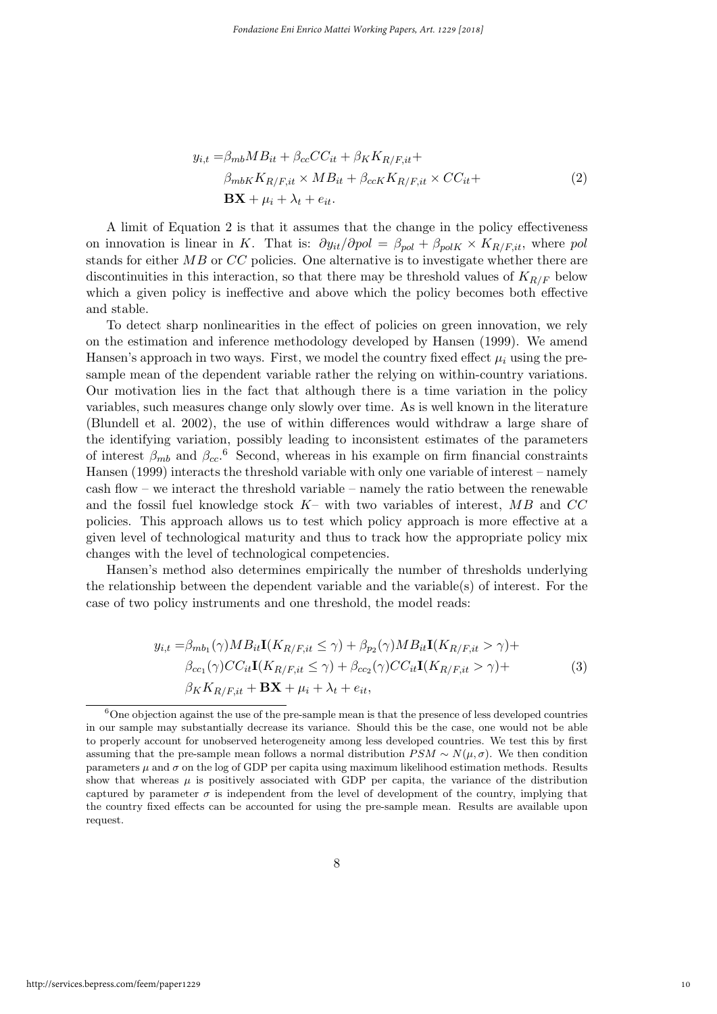$$
y_{i,t} = \beta_{mb} MB_{it} + \beta_{cc} CC_{it} + \beta_K K_{R/F,it} +
$$
  
\n
$$
\beta_{mbK} K_{R/F,it} \times MB_{it} + \beta_{ccK} K_{R/F,it} \times CC_{it} +
$$
  
\n
$$
BX + \mu_i + \lambda_t + e_{it}.
$$
\n(2)

A limit of Equation 2 is that it assumes that the change in the policy effectiveness on innovation is linear in K. That is:  $\partial y_{it}/\partial pol = \beta_{pol} + \beta_{polK} \times K_{R/F, it}$ , where pol stands for either MB or CC policies. One alternative is to investigate whether there are discontinuities in this interaction, so that there may be threshold values of  $K_{R/F}$  below which a given policy is ineffective and above which the policy becomes both effective and stable.

To detect sharp nonlinearities in the effect of policies on green innovation, we rely on the estimation and inference methodology developed by Hansen (1999). We amend Hansen's approach in two ways. First, we model the country fixed effect  $\mu_i$  using the presample mean of the dependent variable rather the relying on within-country variations. Our motivation lies in the fact that although there is a time variation in the policy variables, such measures change only slowly over time. As is well known in the literature (Blundell et al. 2002), the use of within differences would withdraw a large share of the identifying variation, possibly leading to inconsistent estimates of the parameters of interest  $\beta_{mb}$  and  $\beta_{cc}$ <sup>6</sup>. Second, whereas in his example on firm financial constraints Hansen (1999) interacts the threshold variable with only one variable of interest – namely cash flow – we interact the threshold variable – namely the ratio between the renewable and the fossil fuel knowledge stock  $K-$  with two variables of interest,  $MB$  and  $CC$ policies. This approach allows us to test which policy approach is more effective at a given level of technological maturity and thus to track how the appropriate policy mix changes with the level of technological competencies.

Hansen's method also determines empirically the number of thresholds underlying the relationship between the dependent variable and the variable(s) of interest. For the case of two policy instruments and one threshold, the model reads:

$$
y_{i,t} = \beta_{mb_1}(\gamma)MB_{it}\mathbf{I}(K_{R/F,it} \le \gamma) + \beta_{p_2}(\gamma)MB_{it}\mathbf{I}(K_{R/F,it} > \gamma) +
$$
  
\n
$$
\beta_{cc_1}(\gamma)CC_{it}\mathbf{I}(K_{R/F,it} \le \gamma) + \beta_{cc_2}(\gamma)CC_{it}\mathbf{I}(K_{R/F,it} > \gamma) +
$$
  
\n
$$
\beta_K K_{R/F,it} + \mathbf{BX} + \mu_i + \lambda_t + e_{it},
$$
\n(3)

 $6$ One objection against the use of the pre-sample mean is that the presence of less developed countries in our sample may substantially decrease its variance. Should this be the case, one would not be able to properly account for unobserved heterogeneity among less developed countries. We test this by first assuming that the pre-sample mean follows a normal distribution  $PSM \sim N(\mu, \sigma)$ . We then condition parameters  $\mu$  and  $\sigma$  on the log of GDP per capita using maximum likelihood estimation methods. Results show that whereas  $\mu$  is positively associated with GDP per capita, the variance of the distribution captured by parameter  $\sigma$  is independent from the level of development of the country, implying that the country fixed effects can be accounted for using the pre-sample mean. Results are available upon request.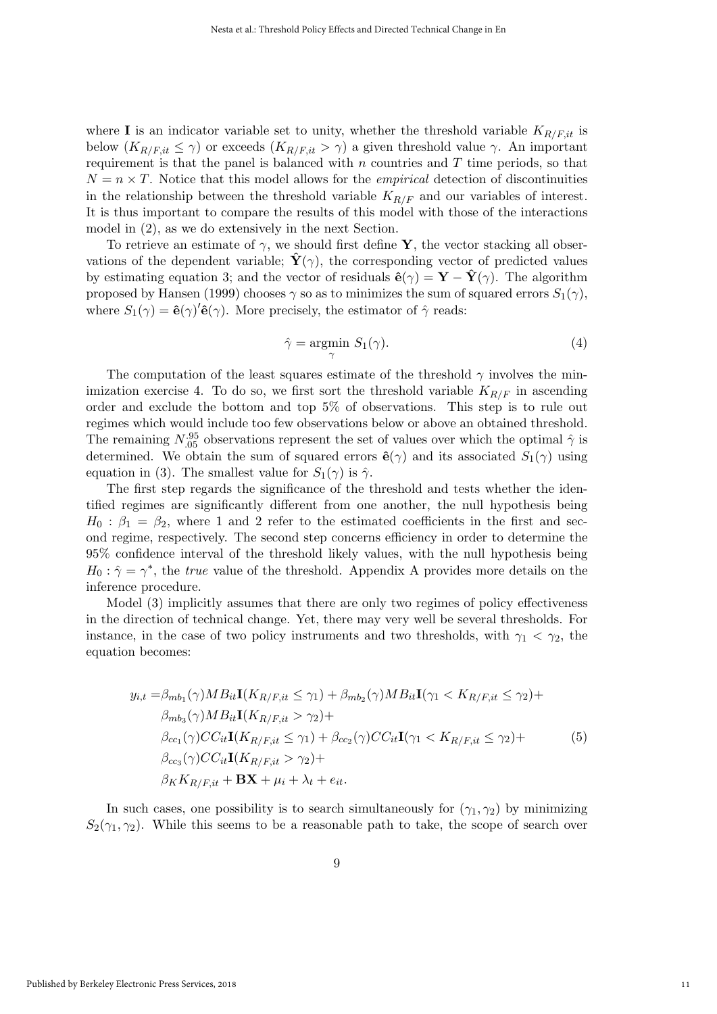where I is an indicator variable set to unity, whether the threshold variable  $K_{R/F, it}$  is below  $(K_{R/F, it} \leq \gamma)$  or exceeds  $(K_{R/F, it} > \gamma)$  a given threshold value  $\gamma$ . An important requirement is that the panel is balanced with  $n$  countries and  $T$  time periods, so that  $N = n \times T$ . Notice that this model allows for the *empirical* detection of discontinuities in the relationship between the threshold variable  $K_{R/F}$  and our variables of interest. It is thus important to compare the results of this model with those of the interactions model in (2), as we do extensively in the next Section.

To retrieve an estimate of  $\gamma$ , we should first define Y, the vector stacking all observations of the dependent variable;  $\hat{\mathbf{Y}}(\gamma)$ , the corresponding vector of predicted values by estimating equation 3; and the vector of residuals  $\hat{\mathbf{e}}(\gamma) = \mathbf{Y} - \hat{\mathbf{Y}}(\gamma)$ . The algorithm proposed by Hansen (1999) chooses  $\gamma$  so as to minimizes the sum of squared errors  $S_1(\gamma)$ , where  $S_1(\gamma) = \hat{\mathbf{e}}(\gamma)' \hat{\mathbf{e}}(\gamma)$ . More precisely, the estimator of  $\hat{\gamma}$  reads:

$$
\hat{\gamma} = \underset{\gamma}{\text{argmin}} \ S_1(\gamma). \tag{4}
$$

The computation of the least squares estimate of the threshold  $\gamma$  involves the minimization exercise 4. To do so, we first sort the threshold variable  $K_{R/F}$  in ascending order and exclude the bottom and top 5% of observations. This step is to rule out regimes which would include too few observations below or above an obtained threshold. The remaining  $N_{.05}^{.95}$  observations represent the set of values over which the optimal  $\hat{\gamma}$  is determined. We obtain the sum of squared errors  $\hat{\mathbf{e}}(\gamma)$  and its associated  $S_1(\gamma)$  using equation in (3). The smallest value for  $S_1(\gamma)$  is  $\hat{\gamma}$ .

The first step regards the significance of the threshold and tests whether the identified regimes are significantly different from one another, the null hypothesis being  $H_0$ :  $\beta_1 = \beta_2$ , where 1 and 2 refer to the estimated coefficients in the first and second regime, respectively. The second step concerns efficiency in order to determine the 95% confidence interval of the threshold likely values, with the null hypothesis being  $H_0: \hat{\gamma} = \gamma^*$ , the *true* value of the threshold. Appendix A provides more details on the inference procedure.

Model (3) implicitly assumes that there are only two regimes of policy effectiveness in the direction of technical change. Yet, there may very well be several thresholds. For instance, in the case of two policy instruments and two thresholds, with  $\gamma_1 < \gamma_2$ , the equation becomes:

$$
y_{i,t} = \beta_{mb_1}(\gamma)MB_{it}\mathbf{I}(K_{R/F,it} \leq \gamma_1) + \beta_{mb_2}(\gamma)MB_{it}\mathbf{I}(\gamma_1 < K_{R/F,it} \leq \gamma_2) +
$$
  
\n
$$
\beta_{mb_3}(\gamma)MB_{it}\mathbf{I}(K_{R/F,it} > \gamma_2) +
$$
  
\n
$$
\beta_{cc_1}(\gamma)CC_{it}\mathbf{I}(K_{R/F,it} \leq \gamma_1) + \beta_{cc_2}(\gamma)CC_{it}\mathbf{I}(\gamma_1 < K_{R/F,it} \leq \gamma_2) +
$$
  
\n
$$
\beta_{cc_3}(\gamma)CC_{it}\mathbf{I}(K_{R/F,it} > \gamma_2) +
$$
  
\n
$$
\beta_K K_{R/F,it} + \mathbf{BX} + \mu_i + \lambda_t + e_{it}.
$$
\n(5)

In such cases, one possibility is to search simultaneously for  $(\gamma_1, \gamma_2)$  by minimizing  $S_2(\gamma_1, \gamma_2)$ . While this seems to be a reasonable path to take, the scope of search over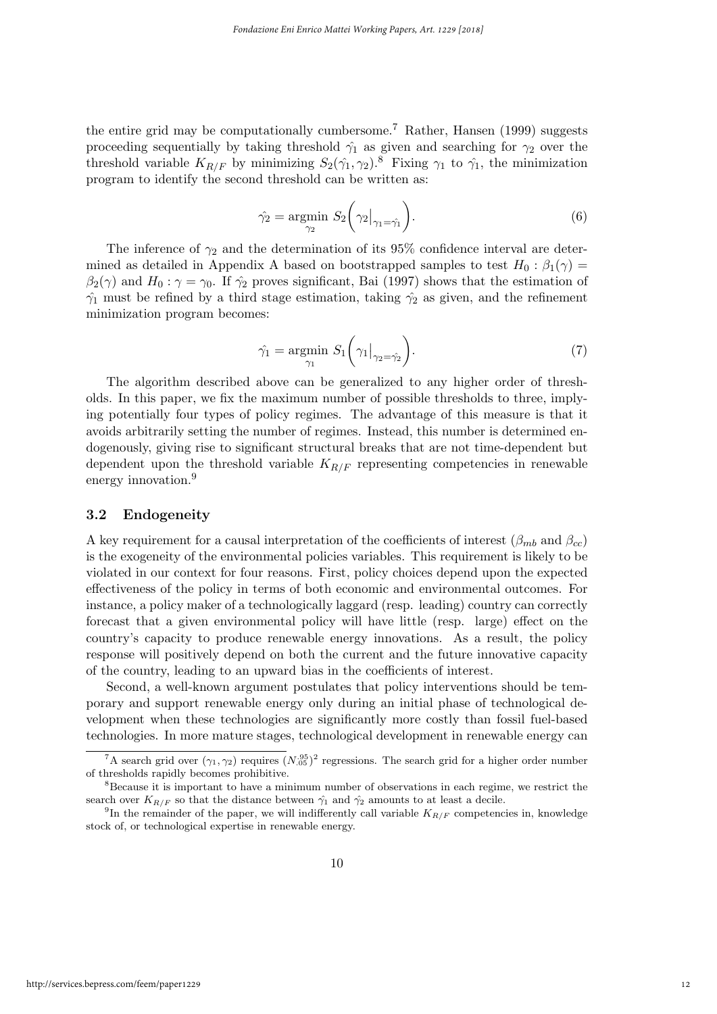the entire grid may be computationally cumbersome.<sup>7</sup> Rather, Hansen (1999) suggests proceeding sequentially by taking threshold  $\hat{\gamma}_1$  as given and searching for  $\gamma_2$  over the threshold variable  $K_{R/F}$  by minimizing  $S_2(\hat{\gamma}_1, \gamma_2)$ .<sup>8</sup> Fixing  $\gamma_1$  to  $\hat{\gamma}_1$ , the minimization program to identify the second threshold can be written as:

$$
\hat{\gamma_2} = \underset{\gamma_2}{\text{argmin}} \ S_2 \bigg( \gamma_2 \big|_{\gamma_1 = \hat{\gamma_1}} \bigg). \tag{6}
$$

The inference of  $\gamma_2$  and the determination of its 95% confidence interval are determined as detailed in Appendix A based on bootstrapped samples to test  $H_0$ :  $\beta_1(\gamma)$  =  $\beta_2(\gamma)$  and  $H_0: \gamma = \gamma_0$ . If  $\hat{\gamma_2}$  proves significant, Bai (1997) shows that the estimation of  $\hat{\gamma}_1$  must be refined by a third stage estimation, taking  $\hat{\gamma}_2$  as given, and the refinement minimization program becomes:

$$
\hat{\gamma_1} = \underset{\gamma_1}{\text{argmin}} \ S_1 \bigg( \gamma_1 \big|_{\gamma_2 = \hat{\gamma_2}} \bigg). \tag{7}
$$

The algorithm described above can be generalized to any higher order of thresholds. In this paper, we fix the maximum number of possible thresholds to three, implying potentially four types of policy regimes. The advantage of this measure is that it avoids arbitrarily setting the number of regimes. Instead, this number is determined endogenously, giving rise to significant structural breaks that are not time-dependent but dependent upon the threshold variable  $K_{R/F}$  representing competencies in renewable energy innovation.<sup>9</sup>

#### 3.2 Endogeneity

A key requirement for a causal interpretation of the coefficients of interest  $(\beta_{mb}$  and  $\beta_{cc})$ is the exogeneity of the environmental policies variables. This requirement is likely to be violated in our context for four reasons. First, policy choices depend upon the expected effectiveness of the policy in terms of both economic and environmental outcomes. For instance, a policy maker of a technologically laggard (resp. leading) country can correctly forecast that a given environmental policy will have little (resp. large) effect on the country's capacity to produce renewable energy innovations. As a result, the policy response will positively depend on both the current and the future innovative capacity of the country, leading to an upward bias in the coefficients of interest.

Second, a well-known argument postulates that policy interventions should be temporary and support renewable energy only during an initial phase of technological development when these technologies are significantly more costly than fossil fuel-based technologies. In more mature stages, technological development in renewable energy can

<sup>&</sup>lt;sup>7</sup>A search grid over  $(\gamma_1, \gamma_2)$  requires  $(N_{.05}^{.95})^2$  regressions. The search grid for a higher order number of thresholds rapidly becomes prohibitive.

<sup>8</sup>Because it is important to have a minimum number of observations in each regime, we restrict the search over  $K_{R/F}$  so that the distance between  $\hat{\gamma}_1$  and  $\hat{\gamma}_2$  amounts to at least a decile.

<sup>&</sup>lt;sup>9</sup>In the remainder of the paper, we will indifferently call variable  $K_{R/F}$  competencies in, knowledge stock of, or technological expertise in renewable energy.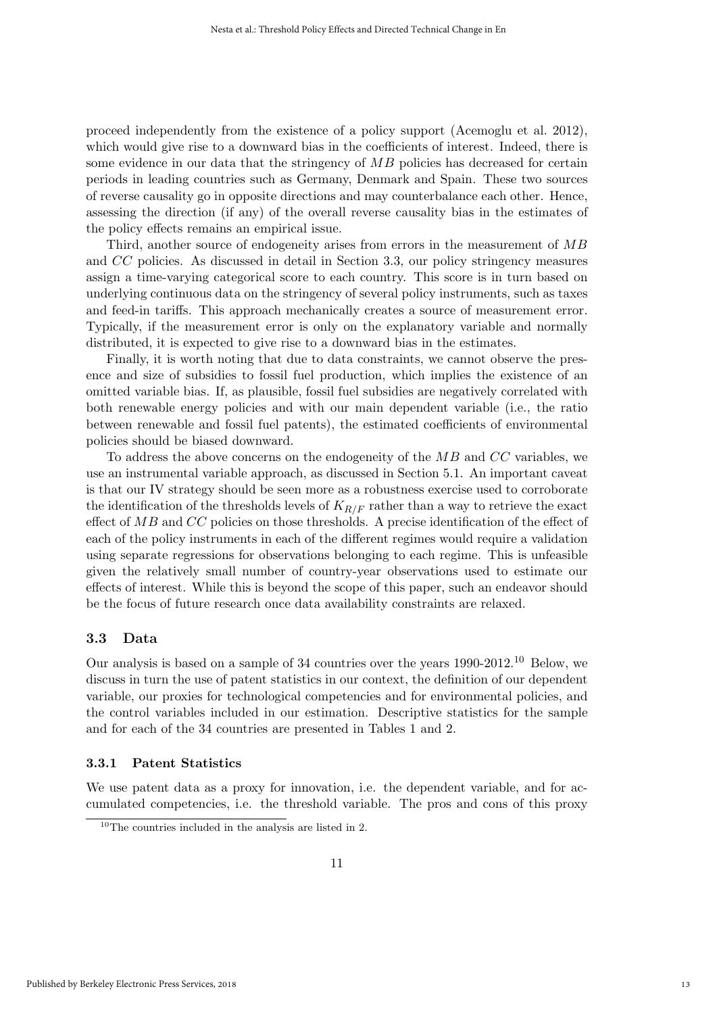proceed independently from the existence of a policy support (Acemoglu et al. 2012), which would give rise to a downward bias in the coefficients of interest. Indeed, there is some evidence in our data that the stringency of MB policies has decreased for certain periods in leading countries such as Germany, Denmark and Spain. These two sources of reverse causality go in opposite directions and may counterbalance each other. Hence, assessing the direction (if any) of the overall reverse causality bias in the estimates of the policy effects remains an empirical issue.

Third, another source of endogeneity arises from errors in the measurement of  $MB$ and CC policies. As discussed in detail in Section 3.3, our policy stringency measures assign a time-varying categorical score to each country. This score is in turn based on underlying continuous data on the stringency of several policy instruments, such as taxes and feed-in tariffs. This approach mechanically creates a source of measurement error. Typically, if the measurement error is only on the explanatory variable and normally distributed, it is expected to give rise to a downward bias in the estimates.

Finally, it is worth noting that due to data constraints, we cannot observe the presence and size of subsidies to fossil fuel production, which implies the existence of an omitted variable bias. If, as plausible, fossil fuel subsidies are negatively correlated with both renewable energy policies and with our main dependent variable (i.e., the ratio between renewable and fossil fuel patents), the estimated coefficients of environmental policies should be biased downward.

To address the above concerns on the endogeneity of the MB and CC variables, we use an instrumental variable approach, as discussed in Section 5.1. An important caveat is that our IV strategy should be seen more as a robustness exercise used to corroborate the identification of the thresholds levels of  $K_{R/F}$  rather than a way to retrieve the exact effect of  $MB$  and  $CC$  policies on those thresholds. A precise identification of the effect of each of the policy instruments in each of the different regimes would require a validation using separate regressions for observations belonging to each regime. This is unfeasible given the relatively small number of country-year observations used to estimate our effects of interest. While this is beyond the scope of this paper, such an endeavor should be the focus of future research once data availability constraints are relaxed.

#### 3.3 Data

Our analysis is based on a sample of 34 countries over the years  $1990-2012$ .<sup>10</sup> Below, we discuss in turn the use of patent statistics in our context, the definition of our dependent variable, our proxies for technological competencies and for environmental policies, and the control variables included in our estimation. Descriptive statistics for the sample and for each of the 34 countries are presented in Tables 1 and 2.

#### 3.3.1 Patent Statistics

We use patent data as a proxy for innovation, i.e. the dependent variable, and for accumulated competencies, i.e. the threshold variable. The pros and cons of this proxy

<sup>10</sup>The countries included in the analysis are listed in 2.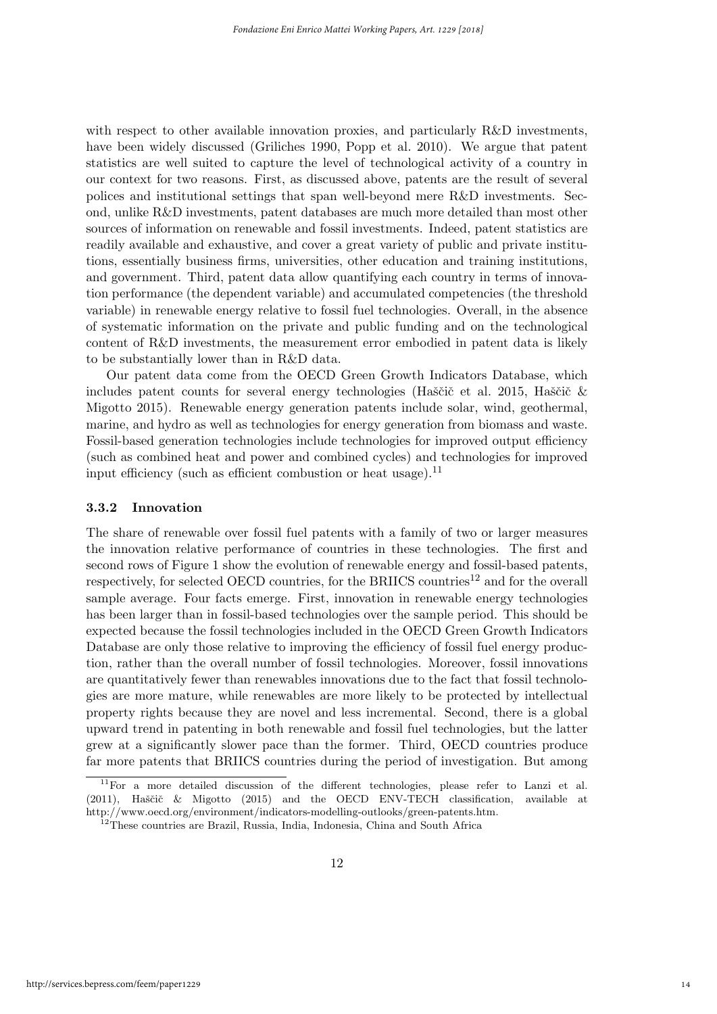with respect to other available innovation proxies, and particularly R&D investments, have been widely discussed (Griliches 1990, Popp et al. 2010). We argue that patent statistics are well suited to capture the level of technological activity of a country in our context for two reasons. First, as discussed above, patents are the result of several polices and institutional settings that span well-beyond mere R&D investments. Second, unlike R&D investments, patent databases are much more detailed than most other sources of information on renewable and fossil investments. Indeed, patent statistics are readily available and exhaustive, and cover a great variety of public and private institutions, essentially business firms, universities, other education and training institutions, and government. Third, patent data allow quantifying each country in terms of innovation performance (the dependent variable) and accumulated competencies (the threshold variable) in renewable energy relative to fossil fuel technologies. Overall, in the absence of systematic information on the private and public funding and on the technological content of R&D investments, the measurement error embodied in patent data is likely to be substantially lower than in R&D data.

Our patent data come from the OECD Green Growth Indicators Database, which includes patent counts for several energy technologies (Haščič et al. 2015, Haščič  $\&$ Migotto 2015). Renewable energy generation patents include solar, wind, geothermal, marine, and hydro as well as technologies for energy generation from biomass and waste. Fossil-based generation technologies include technologies for improved output efficiency (such as combined heat and power and combined cycles) and technologies for improved input efficiency (such as efficient combustion or heat usage). $^{11}$ 

#### 3.3.2 Innovation

The share of renewable over fossil fuel patents with a family of two or larger measures the innovation relative performance of countries in these technologies. The first and second rows of Figure 1 show the evolution of renewable energy and fossil-based patents, respectively, for selected OECD countries, for the BRIICS countries<sup>12</sup> and for the overall sample average. Four facts emerge. First, innovation in renewable energy technologies has been larger than in fossil-based technologies over the sample period. This should be expected because the fossil technologies included in the OECD Green Growth Indicators Database are only those relative to improving the efficiency of fossil fuel energy production, rather than the overall number of fossil technologies. Moreover, fossil innovations are quantitatively fewer than renewables innovations due to the fact that fossil technologies are more mature, while renewables are more likely to be protected by intellectual property rights because they are novel and less incremental. Second, there is a global upward trend in patenting in both renewable and fossil fuel technologies, but the latter grew at a significantly slower pace than the former. Third, OECD countries produce far more patents that BRIICS countries during the period of investigation. But among

<sup>&</sup>lt;sup>11</sup>For a more detailed discussion of the different technologies, please refer to Lanzi et al. (2011), Haščič & Migotto (2015) and the OECD ENV-TECH classification, available at http://www.oecd.org/environment/indicators-modelling-outlooks/green-patents.htm.

<sup>12</sup>These countries are Brazil, Russia, India, Indonesia, China and South Africa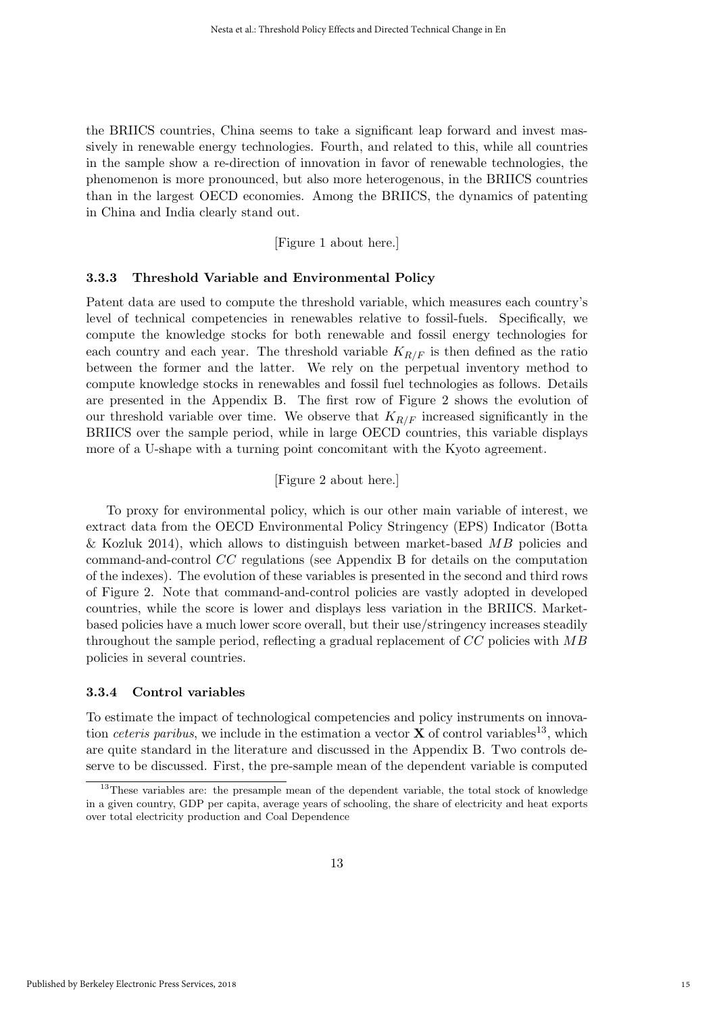the BRIICS countries, China seems to take a significant leap forward and invest massively in renewable energy technologies. Fourth, and related to this, while all countries in the sample show a re-direction of innovation in favor of renewable technologies, the phenomenon is more pronounced, but also more heterogenous, in the BRIICS countries than in the largest OECD economies. Among the BRIICS, the dynamics of patenting in China and India clearly stand out.

[Figure 1 about here.]

#### 3.3.3 Threshold Variable and Environmental Policy

Patent data are used to compute the threshold variable, which measures each country's level of technical competencies in renewables relative to fossil-fuels. Specifically, we compute the knowledge stocks for both renewable and fossil energy technologies for each country and each year. The threshold variable  $K_{R/F}$  is then defined as the ratio between the former and the latter. We rely on the perpetual inventory method to compute knowledge stocks in renewables and fossil fuel technologies as follows. Details are presented in the Appendix B. The first row of Figure 2 shows the evolution of our threshold variable over time. We observe that  $K_{R/F}$  increased significantly in the BRIICS over the sample period, while in large OECD countries, this variable displays more of a U-shape with a turning point concomitant with the Kyoto agreement.

#### [Figure 2 about here.]

To proxy for environmental policy, which is our other main variable of interest, we extract data from the OECD Environmental Policy Stringency (EPS) Indicator (Botta & Kozluk 2014), which allows to distinguish between market-based  $MB$  policies and command-and-control CC regulations (see Appendix B for details on the computation of the indexes). The evolution of these variables is presented in the second and third rows of Figure 2. Note that command-and-control policies are vastly adopted in developed countries, while the score is lower and displays less variation in the BRIICS. Marketbased policies have a much lower score overall, but their use/stringency increases steadily throughout the sample period, reflecting a gradual replacement of  $CC$  policies with  $MB$ policies in several countries.

#### 3.3.4 Control variables

To estimate the impact of technological competencies and policy instruments on innovation *ceteris paribus*, we include in the estimation a vector **X** of control variables<sup>13</sup>, which are quite standard in the literature and discussed in the Appendix B. Two controls deserve to be discussed. First, the pre-sample mean of the dependent variable is computed

<sup>&</sup>lt;sup>13</sup>These variables are: the presample mean of the dependent variable, the total stock of knowledge in a given country, GDP per capita, average years of schooling, the share of electricity and heat exports over total electricity production and Coal Dependence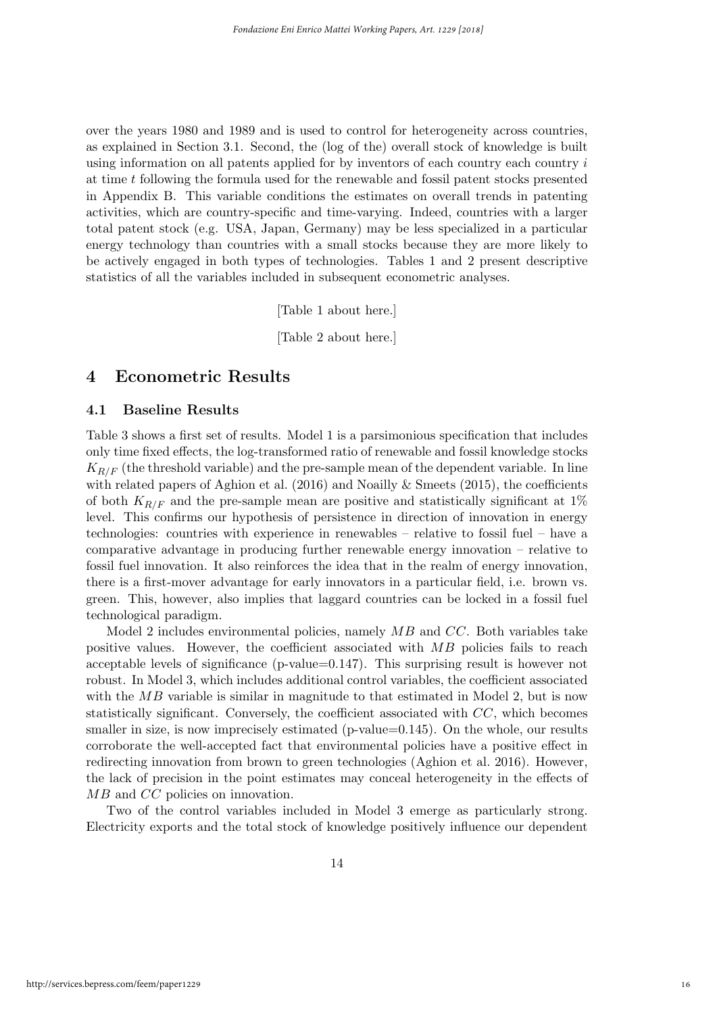over the years 1980 and 1989 and is used to control for heterogeneity across countries, as explained in Section 3.1. Second, the (log of the) overall stock of knowledge is built using information on all patents applied for by inventors of each country each country i at time t following the formula used for the renewable and fossil patent stocks presented in Appendix B. This variable conditions the estimates on overall trends in patenting activities, which are country-specific and time-varying. Indeed, countries with a larger total patent stock (e.g. USA, Japan, Germany) may be less specialized in a particular energy technology than countries with a small stocks because they are more likely to be actively engaged in both types of technologies. Tables 1 and 2 present descriptive statistics of all the variables included in subsequent econometric analyses.

> [Table 1 about here.] [Table 2 about here.]

#### 4 Econometric Results

#### 4.1 Baseline Results

Table 3 shows a first set of results. Model 1 is a parsimonious specification that includes only time fixed effects, the log-transformed ratio of renewable and fossil knowledge stocks  $K_{R/F}$  (the threshold variable) and the pre-sample mean of the dependent variable. In line with related papers of Aghion et al. (2016) and Noailly & Smeets (2015), the coefficients of both  $K_{R/F}$  and the pre-sample mean are positive and statistically significant at 1% level. This confirms our hypothesis of persistence in direction of innovation in energy technologies: countries with experience in renewables – relative to fossil fuel – have a comparative advantage in producing further renewable energy innovation – relative to fossil fuel innovation. It also reinforces the idea that in the realm of energy innovation, there is a first-mover advantage for early innovators in a particular field, i.e. brown vs. green. This, however, also implies that laggard countries can be locked in a fossil fuel technological paradigm.

Model 2 includes environmental policies, namely MB and CC. Both variables take positive values. However, the coefficient associated with MB policies fails to reach acceptable levels of significance (p-value=0.147). This surprising result is however not robust. In Model 3, which includes additional control variables, the coefficient associated with the MB variable is similar in magnitude to that estimated in Model 2, but is now statistically significant. Conversely, the coefficient associated with CC, which becomes smaller in size, is now imprecisely estimated  $(p-value=0.145)$ . On the whole, our results corroborate the well-accepted fact that environmental policies have a positive effect in redirecting innovation from brown to green technologies (Aghion et al. 2016). However, the lack of precision in the point estimates may conceal heterogeneity in the effects of MB and CC policies on innovation.

Two of the control variables included in Model 3 emerge as particularly strong. Electricity exports and the total stock of knowledge positively influence our dependent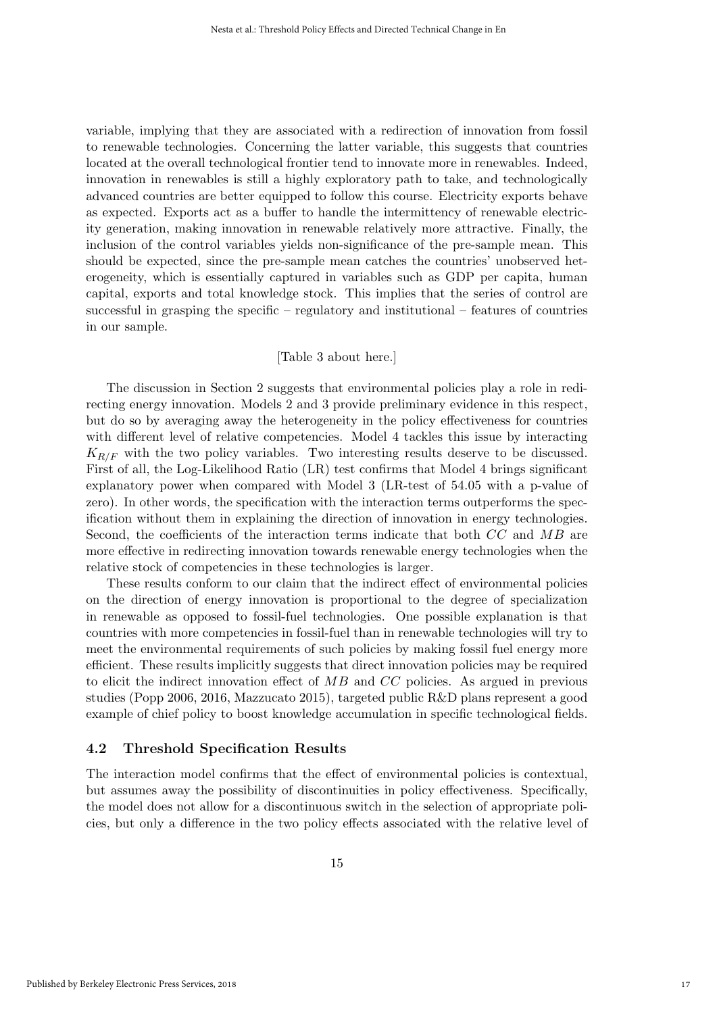variable, implying that they are associated with a redirection of innovation from fossil to renewable technologies. Concerning the latter variable, this suggests that countries located at the overall technological frontier tend to innovate more in renewables. Indeed, innovation in renewables is still a highly exploratory path to take, and technologically advanced countries are better equipped to follow this course. Electricity exports behave as expected. Exports act as a buffer to handle the intermittency of renewable electricity generation, making innovation in renewable relatively more attractive. Finally, the inclusion of the control variables yields non-significance of the pre-sample mean. This should be expected, since the pre-sample mean catches the countries' unobserved heterogeneity, which is essentially captured in variables such as GDP per capita, human capital, exports and total knowledge stock. This implies that the series of control are successful in grasping the specific – regulatory and institutional – features of countries in our sample.

#### [Table 3 about here.]

The discussion in Section 2 suggests that environmental policies play a role in redirecting energy innovation. Models 2 and 3 provide preliminary evidence in this respect, but do so by averaging away the heterogeneity in the policy effectiveness for countries with different level of relative competencies. Model 4 tackles this issue by interacting  $K_{R/F}$  with the two policy variables. Two interesting results deserve to be discussed. First of all, the Log-Likelihood Ratio (LR) test confirms that Model 4 brings significant explanatory power when compared with Model 3 (LR-test of 54.05 with a p-value of zero). In other words, the specification with the interaction terms outperforms the specification without them in explaining the direction of innovation in energy technologies. Second, the coefficients of the interaction terms indicate that both CC and MB are more effective in redirecting innovation towards renewable energy technologies when the relative stock of competencies in these technologies is larger.

These results conform to our claim that the indirect effect of environmental policies on the direction of energy innovation is proportional to the degree of specialization in renewable as opposed to fossil-fuel technologies. One possible explanation is that countries with more competencies in fossil-fuel than in renewable technologies will try to meet the environmental requirements of such policies by making fossil fuel energy more efficient. These results implicitly suggests that direct innovation policies may be required to elicit the indirect innovation effect of MB and CC policies. As argued in previous studies (Popp 2006, 2016, Mazzucato 2015), targeted public R&D plans represent a good example of chief policy to boost knowledge accumulation in specific technological fields.

#### 4.2 Threshold Specification Results

The interaction model confirms that the effect of environmental policies is contextual, but assumes away the possibility of discontinuities in policy effectiveness. Specifically, the model does not allow for a discontinuous switch in the selection of appropriate policies, but only a difference in the two policy effects associated with the relative level of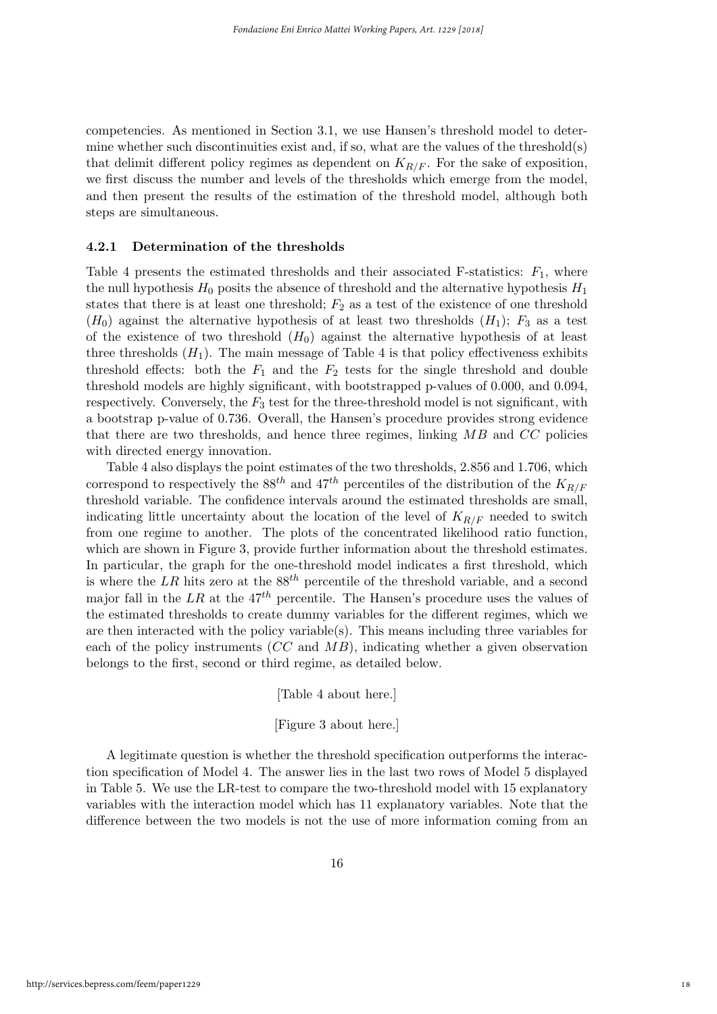competencies. As mentioned in Section 3.1, we use Hansen's threshold model to determine whether such discontinuities exist and, if so, what are the values of the threshold $(s)$ that delimit different policy regimes as dependent on  $K_{R/F}$ . For the sake of exposition, we first discuss the number and levels of the thresholds which emerge from the model, and then present the results of the estimation of the threshold model, although both steps are simultaneous.

#### 4.2.1 Determination of the thresholds

Table 4 presents the estimated thresholds and their associated F-statistics:  $F_1$ , where the null hypothesis  $H_0$  posits the absence of threshold and the alternative hypothesis  $H_1$ states that there is at least one threshold;  $F_2$  as a test of the existence of one threshold  $(H_0)$  against the alternative hypothesis of at least two thresholds  $(H_1)$ ;  $F_3$  as a test of the existence of two threshold  $(H_0)$  against the alternative hypothesis of at least three thresholds  $(H_1)$ . The main message of Table 4 is that policy effectiveness exhibits threshold effects: both the  $F_1$  and the  $F_2$  tests for the single threshold and double threshold models are highly significant, with bootstrapped p-values of 0.000, and 0.094, respectively. Conversely, the  $F_3$  test for the three-threshold model is not significant, with a bootstrap p-value of 0.736. Overall, the Hansen's procedure provides strong evidence that there are two thresholds, and hence three regimes, linking MB and CC policies with directed energy innovation.

Table 4 also displays the point estimates of the two thresholds, 2.856 and 1.706, which correspond to respectively the 88<sup>th</sup> and 47<sup>th</sup> percentiles of the distribution of the  $K_{R/F}$ threshold variable. The confidence intervals around the estimated thresholds are small, indicating little uncertainty about the location of the level of  $K_{R/F}$  needed to switch from one regime to another. The plots of the concentrated likelihood ratio function, which are shown in Figure 3, provide further information about the threshold estimates. In particular, the graph for the one-threshold model indicates a first threshold, which is where the LR hits zero at the  $88^{th}$  percentile of the threshold variable, and a second major fall in the LR at the  $47<sup>th</sup>$  percentile. The Hansen's procedure uses the values of the estimated thresholds to create dummy variables for the different regimes, which we are then interacted with the policy variable(s). This means including three variables for each of the policy instruments  $(CC \text{ and } MB)$ , indicating whether a given observation belongs to the first, second or third regime, as detailed below.

[Table 4 about here.]

#### [Figure 3 about here.]

A legitimate question is whether the threshold specification outperforms the interaction specification of Model 4. The answer lies in the last two rows of Model 5 displayed in Table 5. We use the LR-test to compare the two-threshold model with 15 explanatory variables with the interaction model which has 11 explanatory variables. Note that the difference between the two models is not the use of more information coming from an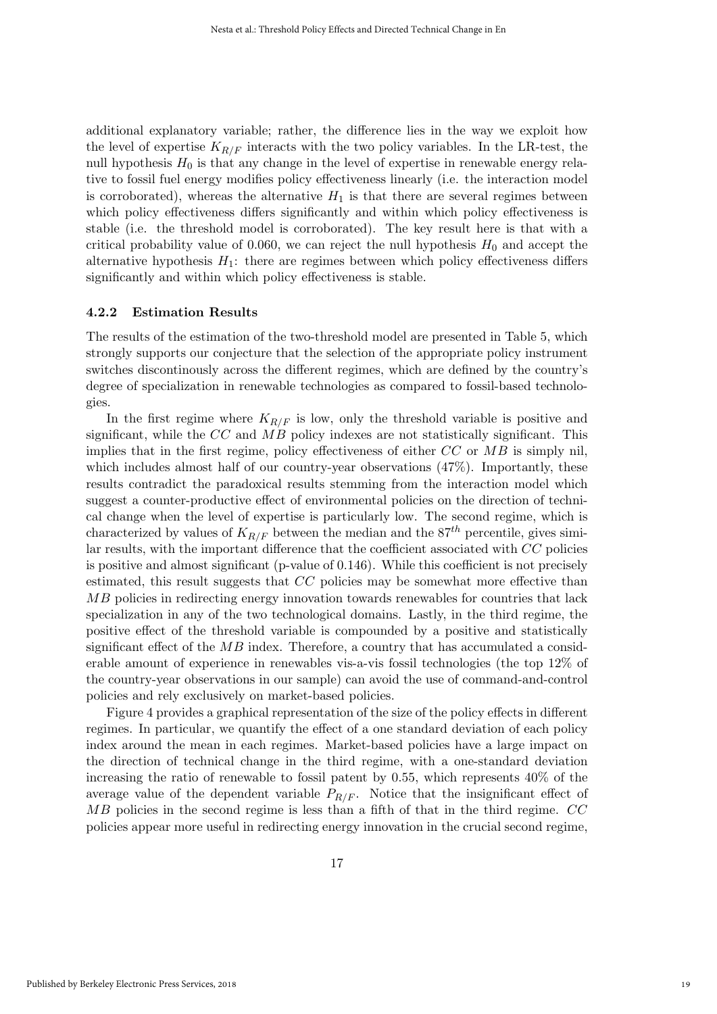additional explanatory variable; rather, the difference lies in the way we exploit how the level of expertise  $K_{R/F}$  interacts with the two policy variables. In the LR-test, the null hypothesis  $H_0$  is that any change in the level of expertise in renewable energy relative to fossil fuel energy modifies policy effectiveness linearly (i.e. the interaction model is corroborated), whereas the alternative  $H_1$  is that there are several regimes between which policy effectiveness differs significantly and within which policy effectiveness is stable (i.e. the threshold model is corroborated). The key result here is that with a critical probability value of 0.060, we can reject the null hypothesis  $H_0$  and accept the alternative hypothesis  $H_1$ : there are regimes between which policy effectiveness differs significantly and within which policy effectiveness is stable.

#### 4.2.2 Estimation Results

The results of the estimation of the two-threshold model are presented in Table 5, which strongly supports our conjecture that the selection of the appropriate policy instrument switches discontinously across the different regimes, which are defined by the country's degree of specialization in renewable technologies as compared to fossil-based technologies.

In the first regime where  $K_{R/F}$  is low, only the threshold variable is positive and significant, while the  $CC$  and  $MB$  policy indexes are not statistically significant. This implies that in the first regime, policy effectiveness of either  $CC$  or  $MB$  is simply nil, which includes almost half of our country-year observations  $(47\%)$ . Importantly, these results contradict the paradoxical results stemming from the interaction model which suggest a counter-productive effect of environmental policies on the direction of technical change when the level of expertise is particularly low. The second regime, which is characterized by values of  $K_{R/F}$  between the median and the 87<sup>th</sup> percentile, gives similar results, with the important difference that the coefficient associated with CC policies is positive and almost significant (p-value of 0.146). While this coefficient is not precisely estimated, this result suggests that CC policies may be somewhat more effective than MB policies in redirecting energy innovation towards renewables for countries that lack specialization in any of the two technological domains. Lastly, in the third regime, the positive effect of the threshold variable is compounded by a positive and statistically significant effect of the  $MB$  index. Therefore, a country that has accumulated a considerable amount of experience in renewables vis-a-vis fossil technologies (the top 12% of the country-year observations in our sample) can avoid the use of command-and-control policies and rely exclusively on market-based policies.

Figure 4 provides a graphical representation of the size of the policy effects in different regimes. In particular, we quantify the effect of a one standard deviation of each policy index around the mean in each regimes. Market-based policies have a large impact on the direction of technical change in the third regime, with a one-standard deviation increasing the ratio of renewable to fossil patent by 0.55, which represents 40% of the average value of the dependent variable  $P_{R/F}$ . Notice that the insignificant effect of MB policies in the second regime is less than a fifth of that in the third regime. CC policies appear more useful in redirecting energy innovation in the crucial second regime,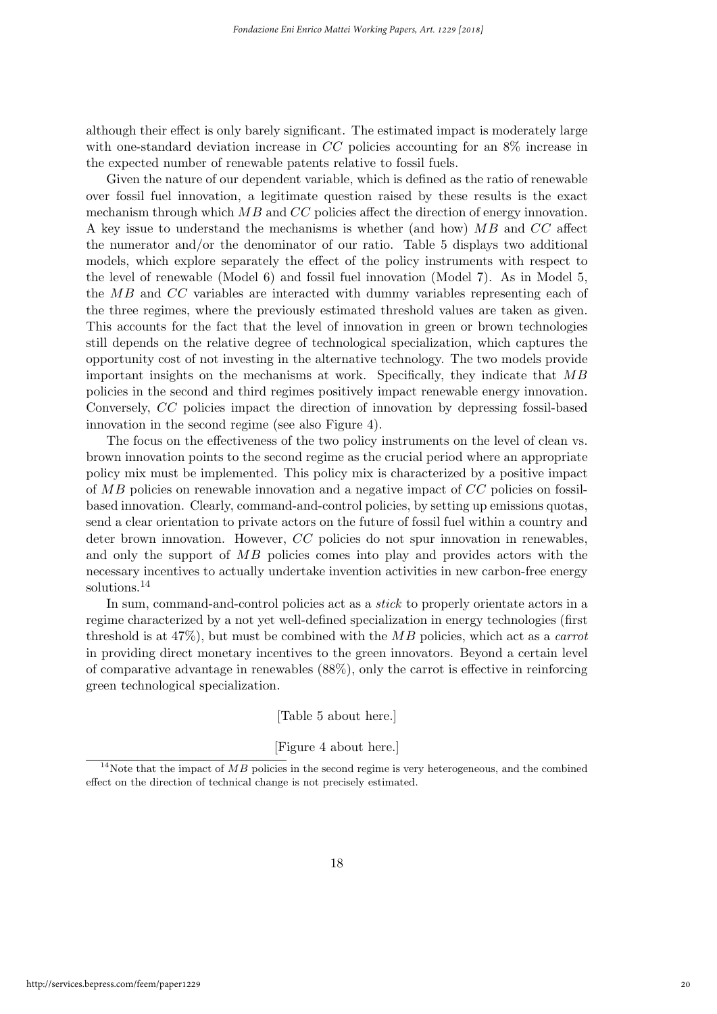although their effect is only barely significant. The estimated impact is moderately large with one-standard deviation increase in CC policies accounting for an 8\% increase in the expected number of renewable patents relative to fossil fuels.

Given the nature of our dependent variable, which is defined as the ratio of renewable over fossil fuel innovation, a legitimate question raised by these results is the exact mechanism through which MB and CC policies affect the direction of energy innovation. A key issue to understand the mechanisms is whether (and how) MB and CC affect the numerator and/or the denominator of our ratio. Table 5 displays two additional models, which explore separately the effect of the policy instruments with respect to the level of renewable (Model 6) and fossil fuel innovation (Model 7). As in Model 5, the MB and CC variables are interacted with dummy variables representing each of the three regimes, where the previously estimated threshold values are taken as given. This accounts for the fact that the level of innovation in green or brown technologies still depends on the relative degree of technological specialization, which captures the opportunity cost of not investing in the alternative technology. The two models provide important insights on the mechanisms at work. Specifically, they indicate that  $MB$ policies in the second and third regimes positively impact renewable energy innovation. Conversely, CC policies impact the direction of innovation by depressing fossil-based innovation in the second regime (see also Figure 4).

The focus on the effectiveness of the two policy instruments on the level of clean vs. brown innovation points to the second regime as the crucial period where an appropriate policy mix must be implemented. This policy mix is characterized by a positive impact of MB policies on renewable innovation and a negative impact of CC policies on fossilbased innovation. Clearly, command-and-control policies, by setting up emissions quotas, send a clear orientation to private actors on the future of fossil fuel within a country and deter brown innovation. However, CC policies do not spur innovation in renewables, and only the support of MB policies comes into play and provides actors with the necessary incentives to actually undertake invention activities in new carbon-free energy solutions.<sup>14</sup>

In sum, command-and-control policies act as a stick to properly orientate actors in a regime characterized by a not yet well-defined specialization in energy technologies (first threshold is at  $47\%$ ), but must be combined with the MB policies, which act as a *carrot* in providing direct monetary incentives to the green innovators. Beyond a certain level of comparative advantage in renewables (88%), only the carrot is effective in reinforcing green technological specialization.

[Table 5 about here.]

[Figure 4 about here.]

<sup>&</sup>lt;sup>14</sup>Note that the impact of  $MB$  policies in the second regime is very heterogeneous, and the combined effect on the direction of technical change is not precisely estimated.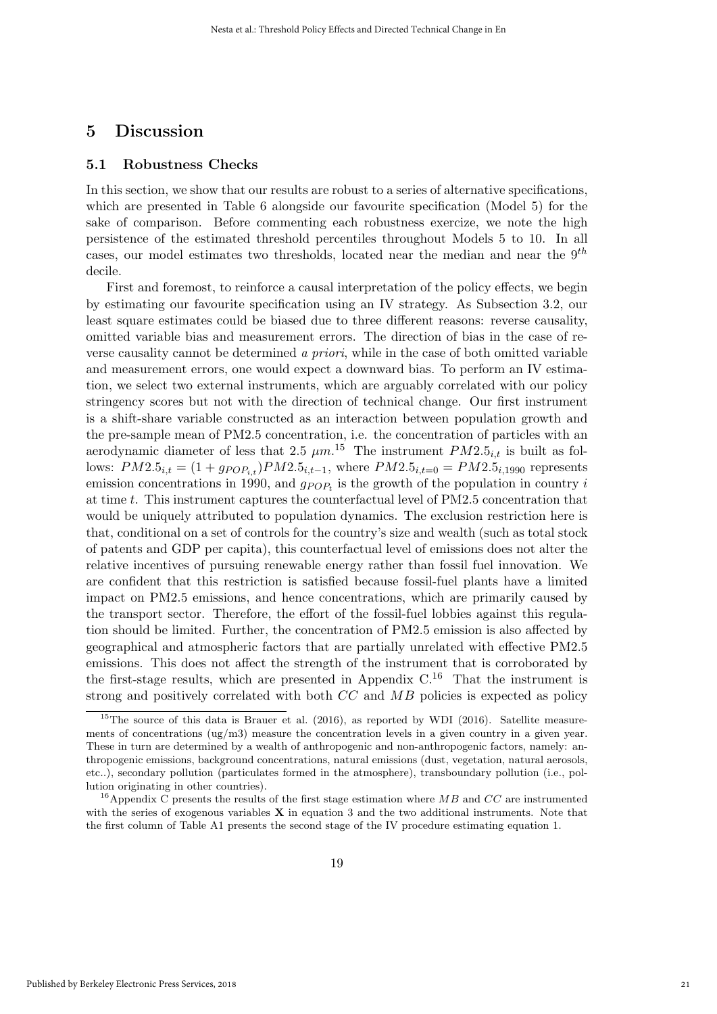#### 5 Discussion

#### 5.1 Robustness Checks

In this section, we show that our results are robust to a series of alternative specifications, which are presented in Table 6 alongside our favourite specification (Model 5) for the sake of comparison. Before commenting each robustness exercize, we note the high persistence of the estimated threshold percentiles throughout Models 5 to 10. In all cases, our model estimates two thresholds, located near the median and near the  $9<sup>th</sup>$ decile.

First and foremost, to reinforce a causal interpretation of the policy effects, we begin by estimating our favourite specification using an IV strategy. As Subsection 3.2, our least square estimates could be biased due to three different reasons: reverse causality, omitted variable bias and measurement errors. The direction of bias in the case of reverse causality cannot be determined a priori, while in the case of both omitted variable and measurement errors, one would expect a downward bias. To perform an IV estimation, we select two external instruments, which are arguably correlated with our policy stringency scores but not with the direction of technical change. Our first instrument is a shift-share variable constructed as an interaction between population growth and the pre-sample mean of PM2.5 concentration, i.e. the concentration of particles with an aerodynamic diameter of less that 2.5  $\mu$ m.<sup>15</sup> The instrument  $PM2.5_{i,t}$  is built as follows:  $PM2.5_{i,t} = (1 + g_{POP_{i,t}})PM2.5_{i,t-1}$ , where  $PM2.5_{i,t=0} = PM2.5_{i,1990}$  represents emission concentrations in 1990, and  $g_{POP_t}$  is the growth of the population in country i at time t. This instrument captures the counterfactual level of PM2.5 concentration that would be uniquely attributed to population dynamics. The exclusion restriction here is that, conditional on a set of controls for the country's size and wealth (such as total stock of patents and GDP per capita), this counterfactual level of emissions does not alter the relative incentives of pursuing renewable energy rather than fossil fuel innovation. We are confident that this restriction is satisfied because fossil-fuel plants have a limited impact on PM2.5 emissions, and hence concentrations, which are primarily caused by the transport sector. Therefore, the effort of the fossil-fuel lobbies against this regulation should be limited. Further, the concentration of PM2.5 emission is also affected by geographical and atmospheric factors that are partially unrelated with effective PM2.5 emissions. This does not affect the strength of the instrument that is corroborated by the first-stage results, which are presented in Appendix  $C<sup>16</sup>$  That the instrument is strong and positively correlated with both CC and MB policies is expected as policy

 $15$ The source of this data is Brauer et al. (2016), as reported by WDI (2016). Satellite measurements of concentrations  $(\frac{ug}{m3})$  measure the concentration levels in a given country in a given year. These in turn are determined by a wealth of anthropogenic and non-anthropogenic factors, namely: anthropogenic emissions, background concentrations, natural emissions (dust, vegetation, natural aerosols, etc..), secondary pollution (particulates formed in the atmosphere), transboundary pollution (i.e., pollution originating in other countries).

<sup>&</sup>lt;sup>16</sup>Appendix C presents the results of the first stage estimation where  $MB$  and  $CC$  are instrumented with the series of exogenous variables  $X$  in equation 3 and the two additional instruments. Note that the first column of Table A1 presents the second stage of the IV procedure estimating equation 1.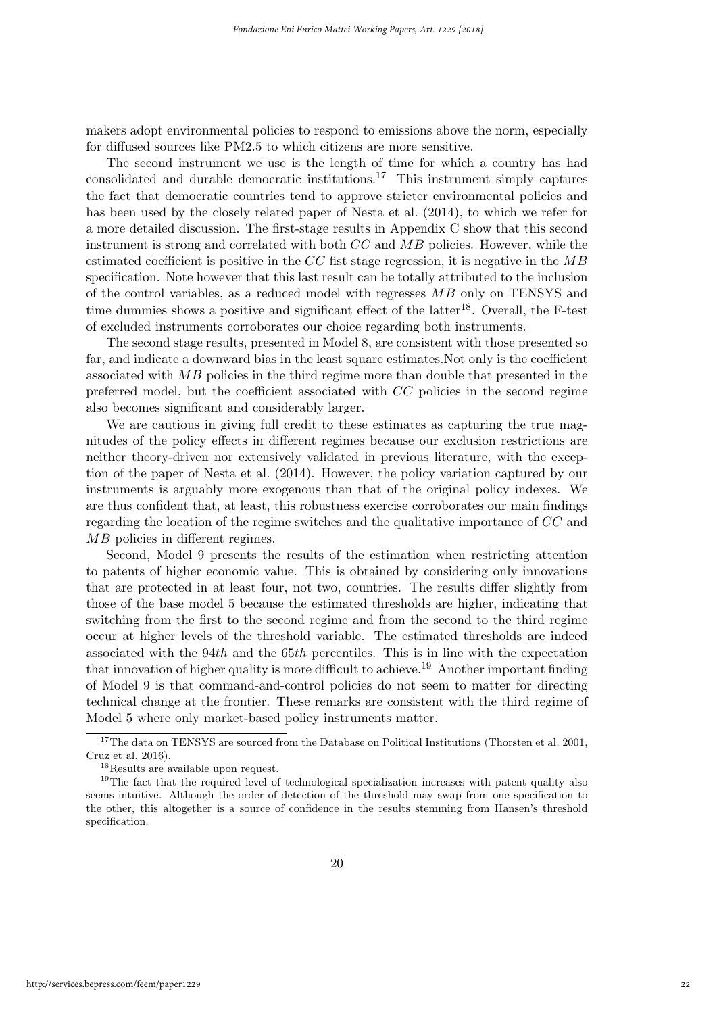makers adopt environmental policies to respond to emissions above the norm, especially for diffused sources like PM2.5 to which citizens are more sensitive.

The second instrument we use is the length of time for which a country has had consolidated and durable democratic institutions.<sup>17</sup> This instrument simply captures the fact that democratic countries tend to approve stricter environmental policies and has been used by the closely related paper of Nesta et al. (2014), to which we refer for a more detailed discussion. The first-stage results in Appendix C show that this second instrument is strong and correlated with both CC and MB policies. However, while the estimated coefficient is positive in the  $CC$  fist stage regression, it is negative in the  $MB$ specification. Note however that this last result can be totally attributed to the inclusion of the control variables, as a reduced model with regresses MB only on TENSYS and time dummies shows a positive and significant effect of the latter<sup>18</sup>. Overall, the F-test of excluded instruments corroborates our choice regarding both instruments.

The second stage results, presented in Model 8, are consistent with those presented so far, and indicate a downward bias in the least square estimates.Not only is the coefficient associated with MB policies in the third regime more than double that presented in the preferred model, but the coefficient associated with CC policies in the second regime also becomes significant and considerably larger.

We are cautious in giving full credit to these estimates as capturing the true magnitudes of the policy effects in different regimes because our exclusion restrictions are neither theory-driven nor extensively validated in previous literature, with the exception of the paper of Nesta et al. (2014). However, the policy variation captured by our instruments is arguably more exogenous than that of the original policy indexes. We are thus confident that, at least, this robustness exercise corroborates our main findings regarding the location of the regime switches and the qualitative importance of CC and MB policies in different regimes.

Second, Model 9 presents the results of the estimation when restricting attention to patents of higher economic value. This is obtained by considering only innovations that are protected in at least four, not two, countries. The results differ slightly from those of the base model 5 because the estimated thresholds are higher, indicating that switching from the first to the second regime and from the second to the third regime occur at higher levels of the threshold variable. The estimated thresholds are indeed associated with the 94th and the 65th percentiles. This is in line with the expectation that innovation of higher quality is more difficult to achieve.<sup>19</sup> Another important finding of Model 9 is that command-and-control policies do not seem to matter for directing technical change at the frontier. These remarks are consistent with the third regime of Model 5 where only market-based policy instruments matter.

<sup>&</sup>lt;sup>17</sup>The data on TENSYS are sourced from the Database on Political Institutions (Thorsten et al. 2001, Cruz et al. 2016).

 $^{18}\mathrm{Results}$  are available upon request.

<sup>&</sup>lt;sup>19</sup>The fact that the required level of technological specialization increases with patent quality also seems intuitive. Although the order of detection of the threshold may swap from one specification to the other, this altogether is a source of confidence in the results stemming from Hansen's threshold specification.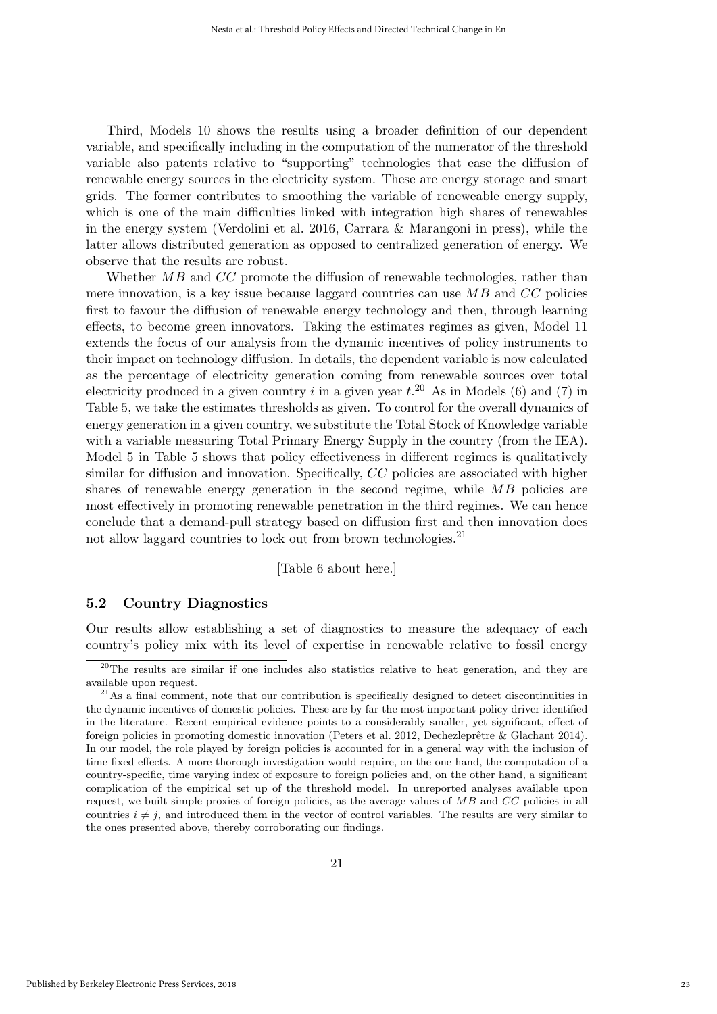Third, Models 10 shows the results using a broader definition of our dependent variable, and specifically including in the computation of the numerator of the threshold variable also patents relative to "supporting" technologies that ease the diffusion of renewable energy sources in the electricity system. These are energy storage and smart grids. The former contributes to smoothing the variable of reneweable energy supply, which is one of the main difficulties linked with integration high shares of renewables in the energy system (Verdolini et al. 2016, Carrara & Marangoni in press), while the latter allows distributed generation as opposed to centralized generation of energy. We observe that the results are robust.

Whether MB and CC promote the diffusion of renewable technologies, rather than mere innovation, is a key issue because laggard countries can use  $MB$  and  $CC$  policies first to favour the diffusion of renewable energy technology and then, through learning effects, to become green innovators. Taking the estimates regimes as given, Model 11 extends the focus of our analysis from the dynamic incentives of policy instruments to their impact on technology diffusion. In details, the dependent variable is now calculated as the percentage of electricity generation coming from renewable sources over total electricity produced in a given country i in a given year  $t.^{20}$  As in Models (6) and (7) in Table 5, we take the estimates thresholds as given. To control for the overall dynamics of energy generation in a given country, we substitute the Total Stock of Knowledge variable with a variable measuring Total Primary Energy Supply in the country (from the IEA). Model 5 in Table 5 shows that policy effectiveness in different regimes is qualitatively similar for diffusion and innovation. Specifically, CC policies are associated with higher shares of renewable energy generation in the second regime, while MB policies are most effectively in promoting renewable penetration in the third regimes. We can hence conclude that a demand-pull strategy based on diffusion first and then innovation does not allow laggard countries to lock out from brown technologies.<sup>21</sup>

#### [Table 6 about here.]

#### 5.2 Country Diagnostics

Our results allow establishing a set of diagnostics to measure the adequacy of each country's policy mix with its level of expertise in renewable relative to fossil energy

 $20$ The results are similar if one includes also statistics relative to heat generation, and they are available upon request.

 $21$ As a final comment, note that our contribution is specifically designed to detect discontinuities in the dynamic incentives of domestic policies. These are by far the most important policy driver identified in the literature. Recent empirical evidence points to a considerably smaller, yet significant, effect of foreign policies in promoting domestic innovation (Peters et al. 2012, Dechezleprêtre & Glachant 2014). In our model, the role played by foreign policies is accounted for in a general way with the inclusion of time fixed effects. A more thorough investigation would require, on the one hand, the computation of a country-specific, time varying index of exposure to foreign policies and, on the other hand, a significant complication of the empirical set up of the threshold model. In unreported analyses available upon request, we built simple proxies of foreign policies, as the average values of MB and CC policies in all countries  $i \neq j$ , and introduced them in the vector of control variables. The results are very similar to the ones presented above, thereby corroborating our findings.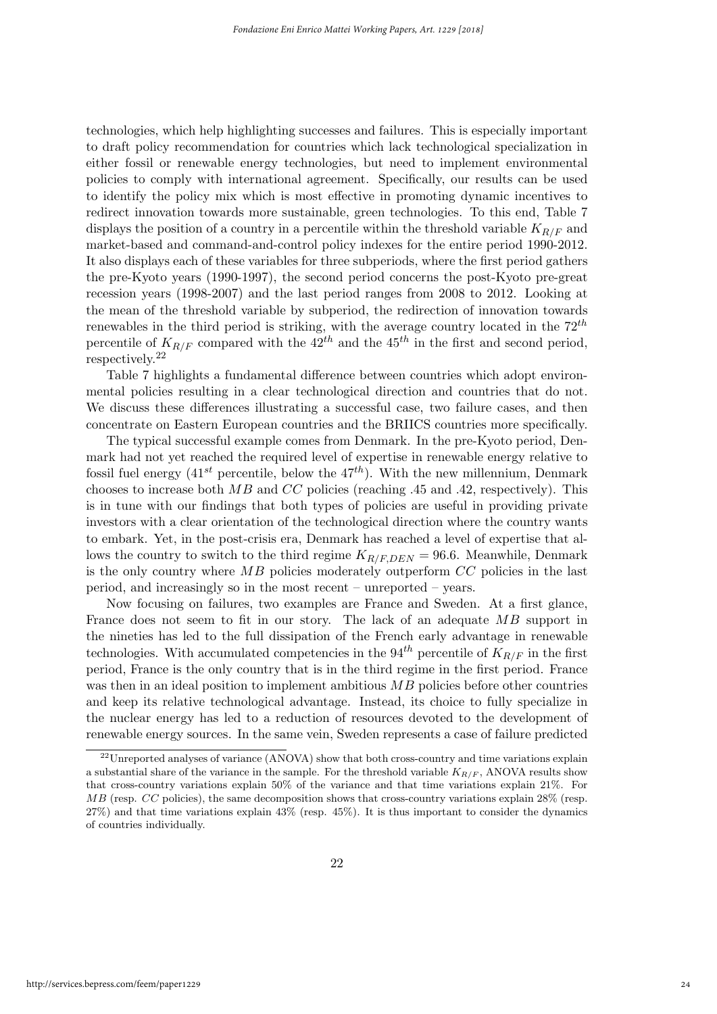technologies, which help highlighting successes and failures. This is especially important to draft policy recommendation for countries which lack technological specialization in either fossil or renewable energy technologies, but need to implement environmental policies to comply with international agreement. Specifically, our results can be used to identify the policy mix which is most effective in promoting dynamic incentives to redirect innovation towards more sustainable, green technologies. To this end, Table 7 displays the position of a country in a percentile within the threshold variable  $K_{R/F}$  and market-based and command-and-control policy indexes for the entire period 1990-2012. It also displays each of these variables for three subperiods, where the first period gathers the pre-Kyoto years (1990-1997), the second period concerns the post-Kyoto pre-great recession years (1998-2007) and the last period ranges from 2008 to 2012. Looking at the mean of the threshold variable by subperiod, the redirection of innovation towards renewables in the third period is striking, with the average country located in the  $72^{th}$ percentile of  $K_{R/F}$  compared with the 42<sup>th</sup> and the 45<sup>th</sup> in the first and second period, respectively.<sup>22</sup>

Table 7 highlights a fundamental difference between countries which adopt environmental policies resulting in a clear technological direction and countries that do not. We discuss these differences illustrating a successful case, two failure cases, and then concentrate on Eastern European countries and the BRIICS countries more specifically.

The typical successful example comes from Denmark. In the pre-Kyoto period, Denmark had not yet reached the required level of expertise in renewable energy relative to fossil fuel energy  $(41^{st}$  percentile, below the  $47^{th}$ ). With the new millennium, Denmark chooses to increase both  $MB$  and  $CC$  policies (reaching .45 and .42, respectively). This is in tune with our findings that both types of policies are useful in providing private investors with a clear orientation of the technological direction where the country wants to embark. Yet, in the post-crisis era, Denmark has reached a level of expertise that allows the country to switch to the third regime  $K_{R/FDEN} = 96.6$ . Meanwhile, Denmark is the only country where  $MB$  policies moderately outperform  $CC$  policies in the last period, and increasingly so in the most recent – unreported – years.

Now focusing on failures, two examples are France and Sweden. At a first glance, France does not seem to fit in our story. The lack of an adequate MB support in the nineties has led to the full dissipation of the French early advantage in renewable technologies. With accumulated competencies in the 94<sup>th</sup> percentile of  $K_{R/F}$  in the first period, France is the only country that is in the third regime in the first period. France was then in an ideal position to implement ambitious MB policies before other countries and keep its relative technological advantage. Instead, its choice to fully specialize in the nuclear energy has led to a reduction of resources devoted to the development of renewable energy sources. In the same vein, Sweden represents a case of failure predicted

 $^{22}$ Unreported analyses of variance (ANOVA) show that both cross-country and time variations explain a substantial share of the variance in the sample. For the threshold variable  $K_{R/F}$ , ANOVA results show that cross-country variations explain 50% of the variance and that time variations explain 21%. For  $MB$  (resp. CC policies), the same decomposition shows that cross-country variations explain 28% (resp. 27%) and that time variations explain 43% (resp. 45%). It is thus important to consider the dynamics of countries individually.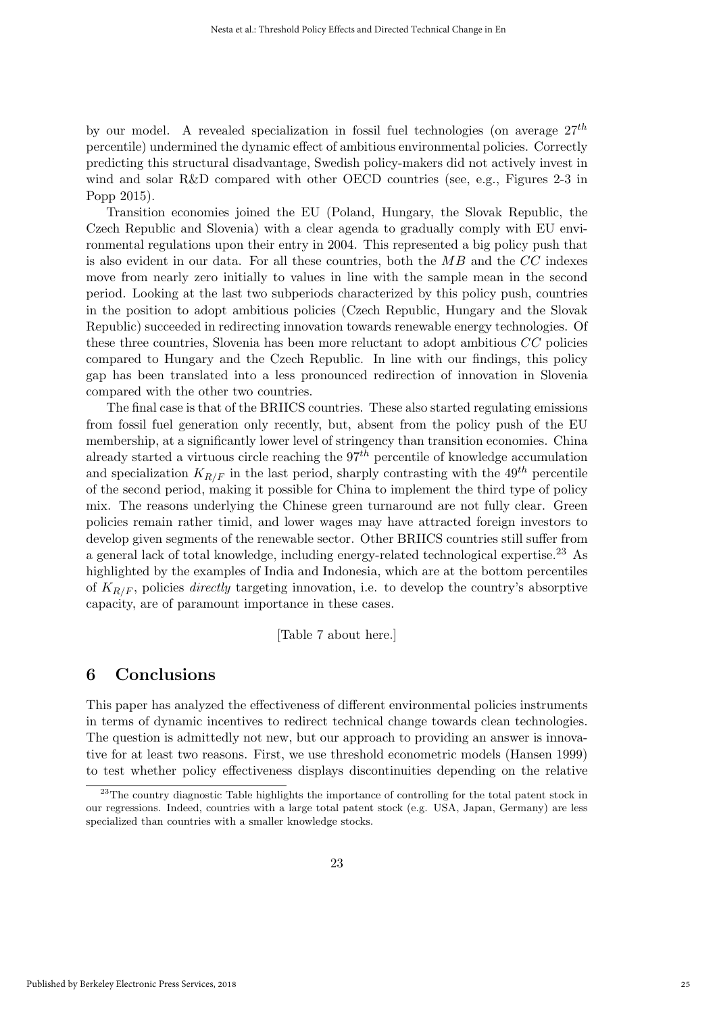by our model. A revealed specialization in fossil fuel technologies (on average  $27<sup>th</sup>$ percentile) undermined the dynamic effect of ambitious environmental policies. Correctly predicting this structural disadvantage, Swedish policy-makers did not actively invest in wind and solar R&D compared with other OECD countries (see, e.g., Figures 2-3 in Popp 2015).

Transition economies joined the EU (Poland, Hungary, the Slovak Republic, the Czech Republic and Slovenia) with a clear agenda to gradually comply with EU environmental regulations upon their entry in 2004. This represented a big policy push that is also evident in our data. For all these countries, both the  $MB$  and the  $CC$  indexes move from nearly zero initially to values in line with the sample mean in the second period. Looking at the last two subperiods characterized by this policy push, countries in the position to adopt ambitious policies (Czech Republic, Hungary and the Slovak Republic) succeeded in redirecting innovation towards renewable energy technologies. Of these three countries, Slovenia has been more reluctant to adopt ambitious CC policies compared to Hungary and the Czech Republic. In line with our findings, this policy gap has been translated into a less pronounced redirection of innovation in Slovenia compared with the other two countries.

The final case is that of the BRIICS countries. These also started regulating emissions from fossil fuel generation only recently, but, absent from the policy push of the EU membership, at a significantly lower level of stringency than transition economies. China already started a virtuous circle reaching the  $97<sup>th</sup>$  percentile of knowledge accumulation and specialization  $K_{R/F}$  in the last period, sharply contrasting with the 49<sup>th</sup> percentile of the second period, making it possible for China to implement the third type of policy mix. The reasons underlying the Chinese green turnaround are not fully clear. Green policies remain rather timid, and lower wages may have attracted foreign investors to develop given segments of the renewable sector. Other BRIICS countries still suffer from a general lack of total knowledge, including energy-related technological expertise.<sup>23</sup> As highlighted by the examples of India and Indonesia, which are at the bottom percentiles of  $K_{R/F}$ , policies *directly* targeting innovation, i.e. to develop the country's absorptive capacity, are of paramount importance in these cases.

[Table 7 about here.]

#### 6 Conclusions

This paper has analyzed the effectiveness of different environmental policies instruments in terms of dynamic incentives to redirect technical change towards clean technologies. The question is admittedly not new, but our approach to providing an answer is innovative for at least two reasons. First, we use threshold econometric models (Hansen 1999) to test whether policy effectiveness displays discontinuities depending on the relative

<sup>&</sup>lt;sup>23</sup>The country diagnostic Table highlights the importance of controlling for the total patent stock in our regressions. Indeed, countries with a large total patent stock (e.g. USA, Japan, Germany) are less specialized than countries with a smaller knowledge stocks.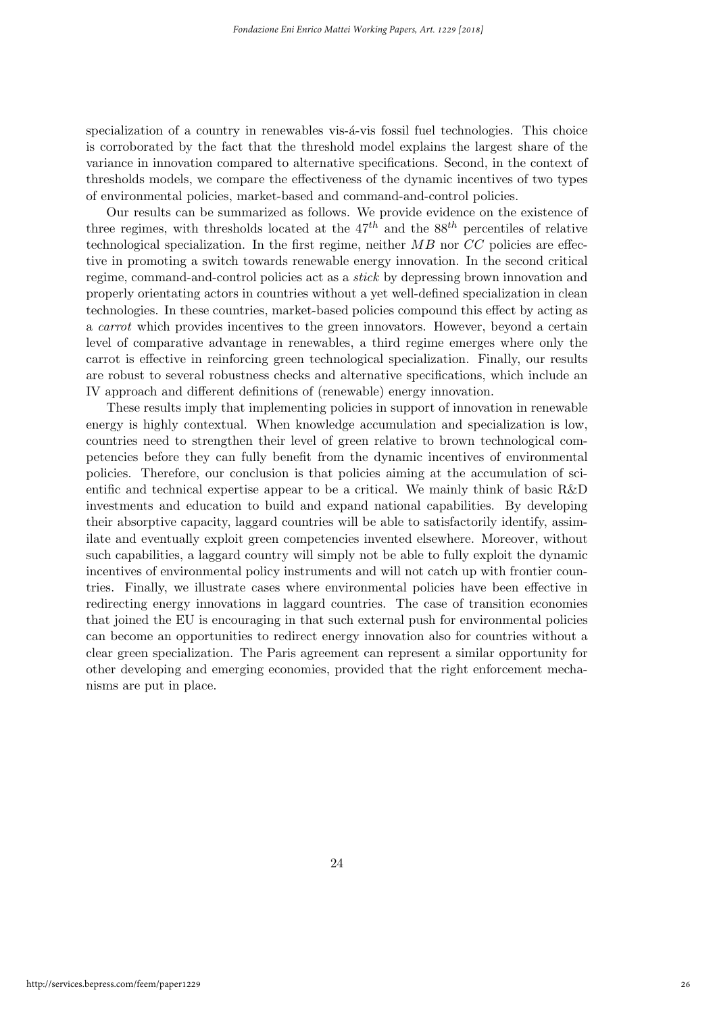specialization of a country in renewables vis- $\acute{a}$ -vis fossil fuel technologies. This choice is corroborated by the fact that the threshold model explains the largest share of the variance in innovation compared to alternative specifications. Second, in the context of thresholds models, we compare the effectiveness of the dynamic incentives of two types of environmental policies, market-based and command-and-control policies.

Our results can be summarized as follows. We provide evidence on the existence of three regimes, with thresholds located at the  $47^{th}$  and the  $88^{th}$  percentiles of relative technological specialization. In the first regime, neither  $MB$  nor  $CC$  policies are effective in promoting a switch towards renewable energy innovation. In the second critical regime, command-and-control policies act as a stick by depressing brown innovation and properly orientating actors in countries without a yet well-defined specialization in clean technologies. In these countries, market-based policies compound this effect by acting as a carrot which provides incentives to the green innovators. However, beyond a certain level of comparative advantage in renewables, a third regime emerges where only the carrot is effective in reinforcing green technological specialization. Finally, our results are robust to several robustness checks and alternative specifications, which include an IV approach and different definitions of (renewable) energy innovation.

These results imply that implementing policies in support of innovation in renewable energy is highly contextual. When knowledge accumulation and specialization is low, countries need to strengthen their level of green relative to brown technological competencies before they can fully benefit from the dynamic incentives of environmental policies. Therefore, our conclusion is that policies aiming at the accumulation of scientific and technical expertise appear to be a critical. We mainly think of basic R&D investments and education to build and expand national capabilities. By developing their absorptive capacity, laggard countries will be able to satisfactorily identify, assimilate and eventually exploit green competencies invented elsewhere. Moreover, without such capabilities, a laggard country will simply not be able to fully exploit the dynamic incentives of environmental policy instruments and will not catch up with frontier countries. Finally, we illustrate cases where environmental policies have been effective in redirecting energy innovations in laggard countries. The case of transition economies that joined the EU is encouraging in that such external push for environmental policies can become an opportunities to redirect energy innovation also for countries without a clear green specialization. The Paris agreement can represent a similar opportunity for other developing and emerging economies, provided that the right enforcement mechanisms are put in place.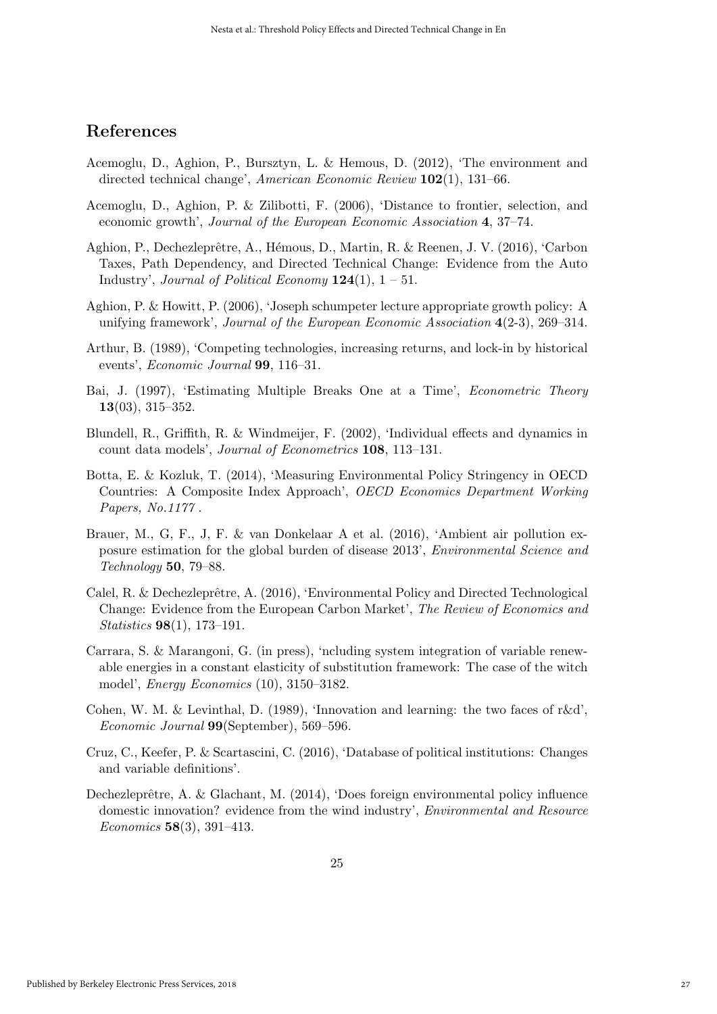#### References

- Acemoglu, D., Aghion, P., Bursztyn, L. & Hemous, D. (2012), 'The environment and directed technical change', American Economic Review 102(1), 131–66.
- Acemoglu, D., Aghion, P. & Zilibotti, F. (2006), 'Distance to frontier, selection, and economic growth', Journal of the European Economic Association 4, 37–74.
- Aghion, P., Dechezleprêtre, A., Hémous, D., Martin, R. & Reenen, J. V. (2016), 'Carbon Taxes, Path Dependency, and Directed Technical Change: Evidence from the Auto Industry', Journal of Political Economy  $124(1)$ ,  $1-51$ .
- Aghion, P. & Howitt, P. (2006), 'Joseph schumpeter lecture appropriate growth policy: A unifying framework', Journal of the European Economic Association 4(2-3), 269–314.
- Arthur, B. (1989), 'Competing technologies, increasing returns, and lock-in by historical events', Economic Journal 99, 116–31.
- Bai, J. (1997), 'Estimating Multiple Breaks One at a Time', Econometric Theory  $13(03), 315-352.$
- Blundell, R., Griffith, R. & Windmeijer, F. (2002), 'Individual effects and dynamics in count data models', Journal of Econometrics 108, 113–131.
- Botta, E. & Kozluk, T. (2014), 'Measuring Environmental Policy Stringency in OECD Countries: A Composite Index Approach', OECD Economics Department Working Papers, No.1177 .
- Brauer, M., G, F., J, F. & van Donkelaar A et al. (2016), 'Ambient air pollution exposure estimation for the global burden of disease 2013', Environmental Science and Technology 50, 79–88.
- Calel, R. & Dechezleprêtre, A. (2016), 'Environmental Policy and Directed Technological Change: Evidence from the European Carbon Market', The Review of Economics and Statistics 98(1), 173–191.
- Carrara, S. & Marangoni, G. (in press), 'ncluding system integration of variable renewable energies in a constant elasticity of substitution framework: The case of the witch model', Energy Economics (10), 3150–3182.
- Cohen, W. M. & Levinthal, D. (1989), 'Innovation and learning: the two faces of r&d', Economic Journal 99(September), 569–596.
- Cruz, C., Keefer, P. & Scartascini, C. (2016), 'Database of political institutions: Changes and variable definitions'.
- Dechezleprêtre, A. & Glachant, M. (2014), 'Does foreign environmental policy influence domestic innovation? evidence from the wind industry', *Environmental and Resource* Economics 58(3), 391–413.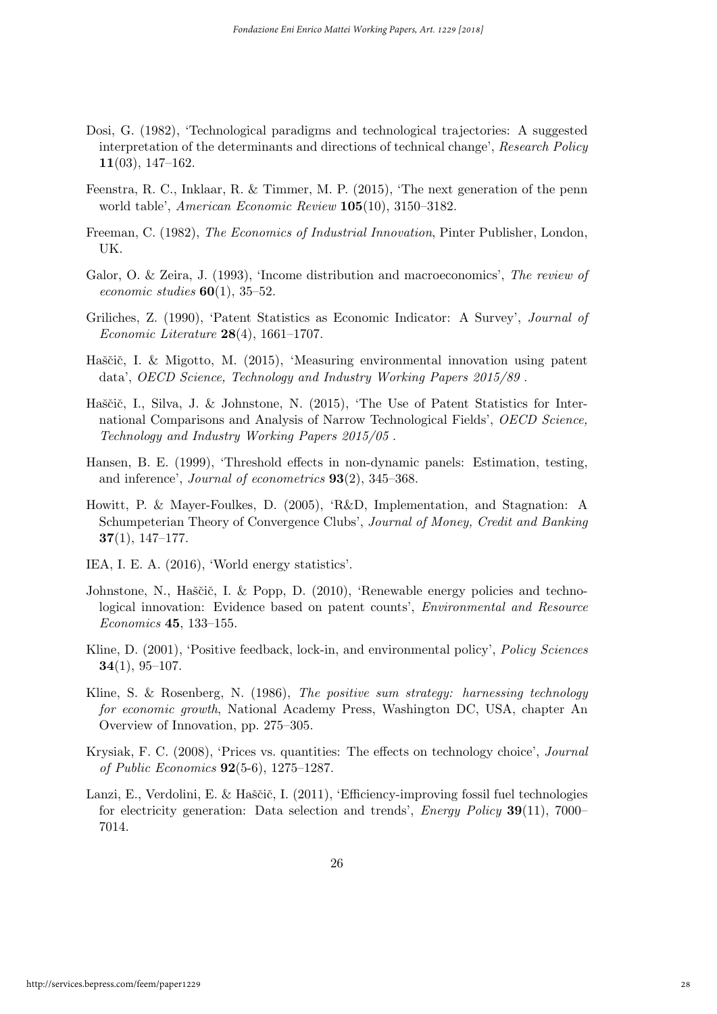- Dosi, G. (1982), 'Technological paradigms and technological trajectories: A suggested interpretation of the determinants and directions of technical change', Research Policy 11(03), 147–162.
- Feenstra, R. C., Inklaar, R. & Timmer, M. P. (2015), 'The next generation of the penn world table', American Economic Review 105(10), 3150–3182.
- Freeman, C. (1982), The Economics of Industrial Innovation, Pinter Publisher, London, UK.
- Galor, O. & Zeira, J. (1993), 'Income distribution and macroeconomics', The review of economic studies  $60(1)$ , 35–52.
- Griliches, Z. (1990), 'Patent Statistics as Economic Indicator: A Survey', Journal of Economic Literature  $28(4)$ , 1661-1707.
- Haščič, I. & Migotto, M. (2015), 'Measuring environmental innovation using patent data', OECD Science, Technology and Industry Working Papers 2015/89.
- Haščič, I., Silva, J. & Johnstone, N.  $(2015)$ , 'The Use of Patent Statistics for International Comparisons and Analysis of Narrow Technological Fields', OECD Science, Technology and Industry Working Papers 2015/05 .
- Hansen, B. E. (1999), 'Threshold effects in non-dynamic panels: Estimation, testing, and inference', Journal of econometrics 93(2), 345–368.
- Howitt, P. & Mayer-Foulkes, D. (2005), 'R&D, Implementation, and Stagnation: A Schumpeterian Theory of Convergence Clubs', Journal of Money, Credit and Banking 37(1), 147–177.
- IEA, I. E. A. (2016), 'World energy statistics'.
- Johnstone, N., Haščič, I. & Popp, D. (2010), 'Renewable energy policies and technological innovation: Evidence based on patent counts', Environmental and Resource Economics 45, 133–155.
- Kline, D. (2001), 'Positive feedback, lock-in, and environmental policy', Policy Sciences  $34(1), 95-107.$
- Kline, S. & Rosenberg, N. (1986), The positive sum strategy: harnessing technology for economic growth, National Academy Press, Washington DC, USA, chapter An Overview of Innovation, pp. 275–305.
- Krysiak, F. C. (2008), 'Prices vs. quantities: The effects on technology choice', Journal of Public Economics 92(5-6), 1275–1287.
- Lanzi, E., Verdolini, E. & Haščič, I. (2011), 'Efficiency-improving fossil fuel technologies for electricity generation: Data selection and trends', Energy Policy 39(11), 7000– 7014.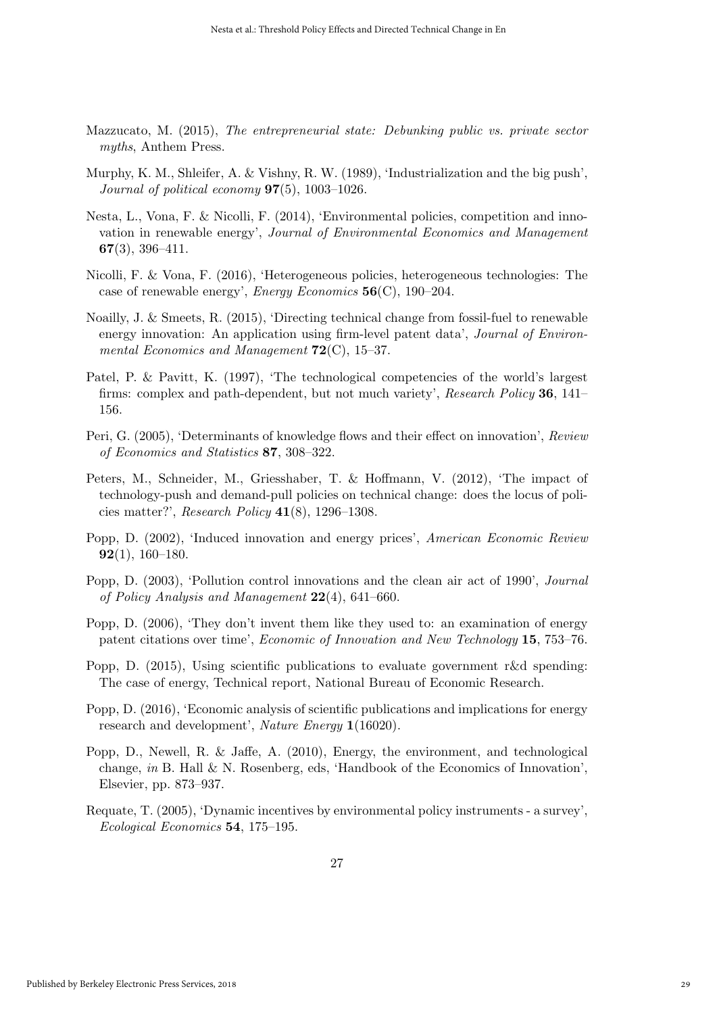- Mazzucato, M. (2015), The entrepreneurial state: Debunking public vs. private sector myths, Anthem Press.
- Murphy, K. M., Shleifer, A. & Vishny, R. W. (1989), 'Industrialization and the big push', Journal of political economy 97(5), 1003–1026.
- Nesta, L., Vona, F. & Nicolli, F. (2014), 'Environmental policies, competition and innovation in renewable energy', Journal of Environmental Economics and Management 67(3), 396–411.
- Nicolli, F. & Vona, F. (2016), 'Heterogeneous policies, heterogeneous technologies: The case of renewable energy', *Energy Economics*  $56(C)$ , 190–204.
- Noailly, J. & Smeets, R. (2015), 'Directing technical change from fossil-fuel to renewable energy innovation: An application using firm-level patent data', *Journal of Environ*mental Economics and Management  $72^{\circ}$ , 15-37.
- Patel, P. & Pavitt, K. (1997), 'The technological competencies of the world's largest firms: complex and path-dependent, but not much variety', Research Policy 36, 141– 156.
- Peri, G. (2005), 'Determinants of knowledge flows and their effect on innovation', Review of Economics and Statistics 87, 308–322.
- Peters, M., Schneider, M., Griesshaber, T. & Hoffmann, V. (2012), 'The impact of technology-push and demand-pull policies on technical change: does the locus of policies matter?', Research Policy 41(8), 1296–1308.
- Popp, D. (2002), 'Induced innovation and energy prices', American Economic Review  $92(1), 160-180.$
- Popp, D. (2003), 'Pollution control innovations and the clean air act of 1990', Journal of Policy Analysis and Management  $22(4)$ , 641–660.
- Popp, D. (2006), 'They don't invent them like they used to: an examination of energy patent citations over time', Economic of Innovation and New Technology 15, 753–76.
- Popp, D. (2015), Using scientific publications to evaluate government r&d spending: The case of energy, Technical report, National Bureau of Economic Research.
- Popp, D. (2016), 'Economic analysis of scientific publications and implications for energy research and development', *Nature Energy* 1(16020).
- Popp, D., Newell, R. & Jaffe, A. (2010), Energy, the environment, and technological change, in B. Hall  $\&$  N. Rosenberg, eds, 'Handbook of the Economics of Innovation', Elsevier, pp. 873–937.
- Requate, T. (2005), 'Dynamic incentives by environmental policy instruments a survey', Ecological Economics 54, 175–195.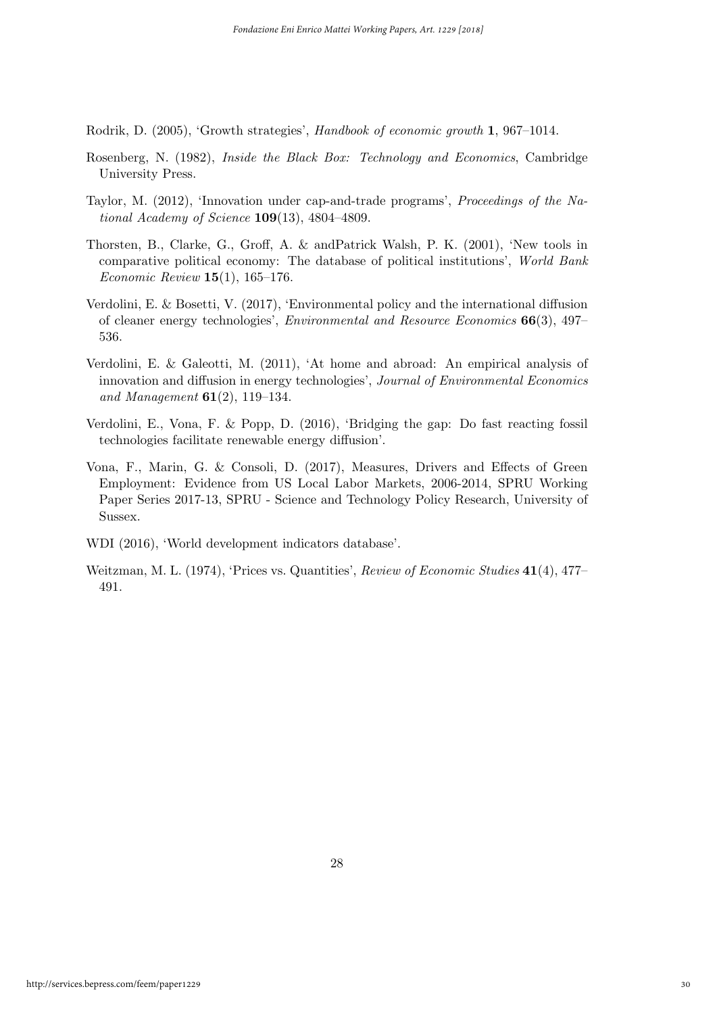Rodrik, D. (2005), 'Growth strategies', Handbook of economic growth 1, 967–1014.

- Rosenberg, N. (1982), Inside the Black Box: Technology and Economics, Cambridge University Press.
- Taylor, M. (2012), 'Innovation under cap-and-trade programs', Proceedings of the National Academy of Science  $109(13)$ , 4804-4809.
- Thorsten, B., Clarke, G., Groff, A. & andPatrick Walsh, P. K. (2001), 'New tools in comparative political economy: The database of political institutions', World Bank *Economic Review* **15**(1), 165–176.
- Verdolini, E. & Bosetti, V. (2017), 'Environmental policy and the international diffusion of cleaner energy technologies', Environmental and Resource Economics 66(3), 497– 536.
- Verdolini, E. & Galeotti, M. (2011), 'At home and abroad: An empirical analysis of innovation and diffusion in energy technologies', Journal of Environmental Economics and Management  $61(2)$ , 119-134.
- Verdolini, E., Vona, F. & Popp, D. (2016), 'Bridging the gap: Do fast reacting fossil technologies facilitate renewable energy diffusion'.
- Vona, F., Marin, G. & Consoli, D. (2017), Measures, Drivers and Effects of Green Employment: Evidence from US Local Labor Markets, 2006-2014, SPRU Working Paper Series 2017-13, SPRU - Science and Technology Policy Research, University of Sussex.

WDI (2016), 'World development indicators database'.

Weitzman, M. L. (1974), 'Prices vs. Quantities', Review of Economic Studies 41(4), 477– 491.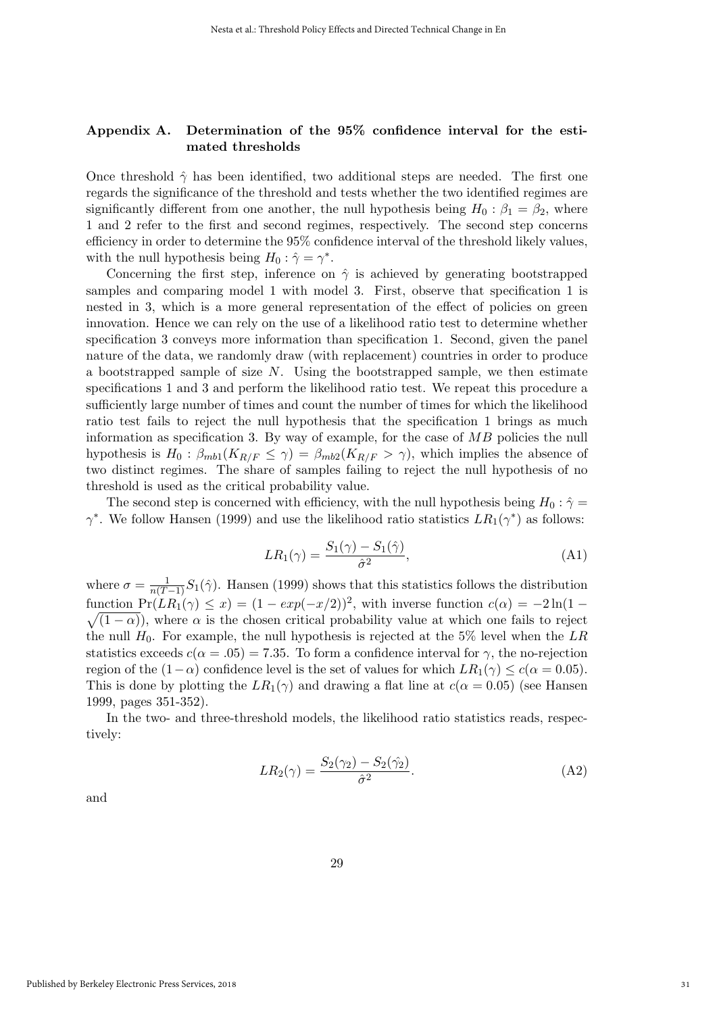#### Appendix A. Determination of the 95% confidence interval for the estimated thresholds

Once threshold  $\hat{\gamma}$  has been identified, two additional steps are needed. The first one regards the significance of the threshold and tests whether the two identified regimes are significantly different from one another, the null hypothesis being  $H_0$  :  $\beta_1 = \beta_2$ , where 1 and 2 refer to the first and second regimes, respectively. The second step concerns efficiency in order to determine the 95% confidence interval of the threshold likely values, with the null hypothesis being  $H_0: \hat{\gamma} = \gamma^*$ .

Concerning the first step, inference on  $\hat{\gamma}$  is achieved by generating bootstrapped samples and comparing model 1 with model 3. First, observe that specification 1 is nested in 3, which is a more general representation of the effect of policies on green innovation. Hence we can rely on the use of a likelihood ratio test to determine whether specification 3 conveys more information than specification 1. Second, given the panel nature of the data, we randomly draw (with replacement) countries in order to produce a bootstrapped sample of size N. Using the bootstrapped sample, we then estimate specifications 1 and 3 and perform the likelihood ratio test. We repeat this procedure a sufficiently large number of times and count the number of times for which the likelihood ratio test fails to reject the null hypothesis that the specification 1 brings as much information as specification 3. By way of example, for the case of  $MB$  policies the null hypothesis is  $H_0$ :  $\beta_{mb1}(K_{R/F} \leq \gamma) = \beta_{mb2}(K_{R/F} > \gamma)$ , which implies the absence of two distinct regimes. The share of samples failing to reject the null hypothesis of no threshold is used as the critical probability value.

The second step is concerned with efficiency, with the null hypothesis being  $H_0 : \hat{\gamma} =$  $\gamma^*$ . We follow Hansen (1999) and use the likelihood ratio statistics  $LR_1(\gamma^*)$  as follows:

$$
LR_1(\gamma) = \frac{S_1(\gamma) - S_1(\hat{\gamma})}{\hat{\sigma}^2},\tag{A1}
$$

where  $\sigma = \frac{1}{n(T-1)}S_1(\hat{\gamma})$ . Hansen (1999) shows that this statistics follows the distribution function  $Pr(LR_1(\gamma) \leq x) = (1 - exp(-x/2))^2$ , with inverse function  $c(\alpha) = -2\ln(1 \sqrt{(1-\alpha)}$ , where  $\alpha$  is the chosen critical probability value at which one fails to reject the null  $H_0$ . For example, the null hypothesis is rejected at the 5% level when the LR statistics exceeds  $c(\alpha = .05) = 7.35$ . To form a confidence interval for  $\gamma$ , the no-rejection region of the  $(1-\alpha)$  confidence level is the set of values for which  $LR_1(\gamma) \leq c(\alpha = 0.05)$ . This is done by plotting the  $LR_1(\gamma)$  and drawing a flat line at  $c(\alpha = 0.05)$  (see Hansen 1999, pages 351-352).

In the two- and three-threshold models, the likelihood ratio statistics reads, respectively:

$$
LR_2(\gamma) = \frac{S_2(\gamma_2) - S_2(\hat{\gamma_2})}{\hat{\sigma}^2}.
$$
 (A2)

and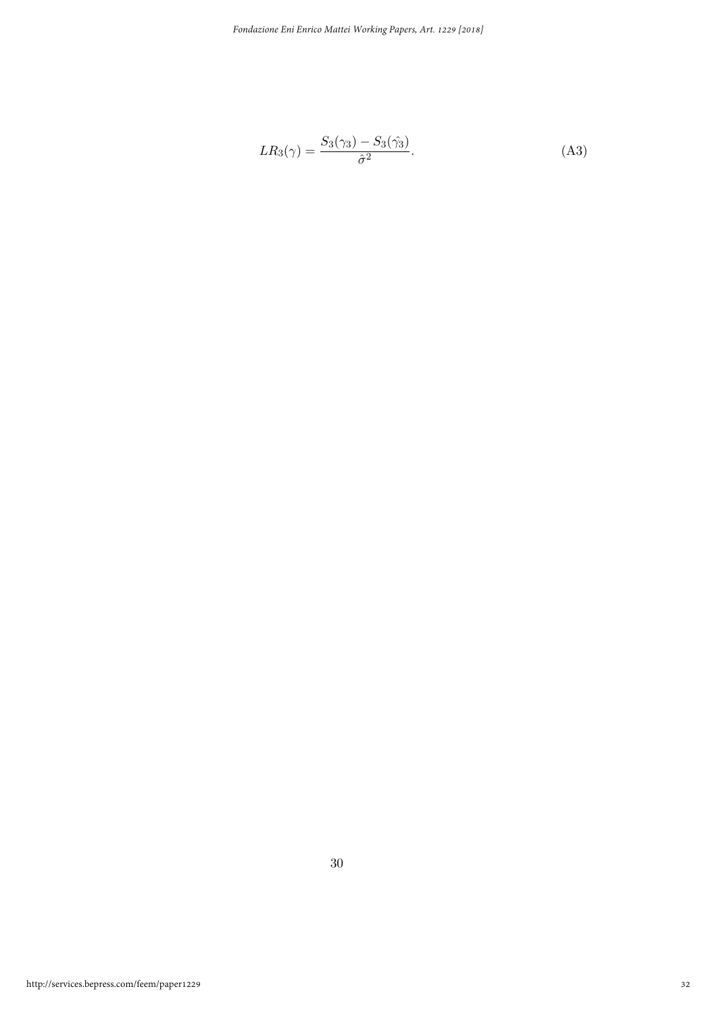*Fondazione Eni Enrico Mattei Working Papers, Art. 1229 [2018]*

$$
LR_3(\gamma) = \frac{S_3(\gamma_3) - S_3(\hat{\gamma}_3)}{\hat{\sigma}^2}.
$$
 (A3)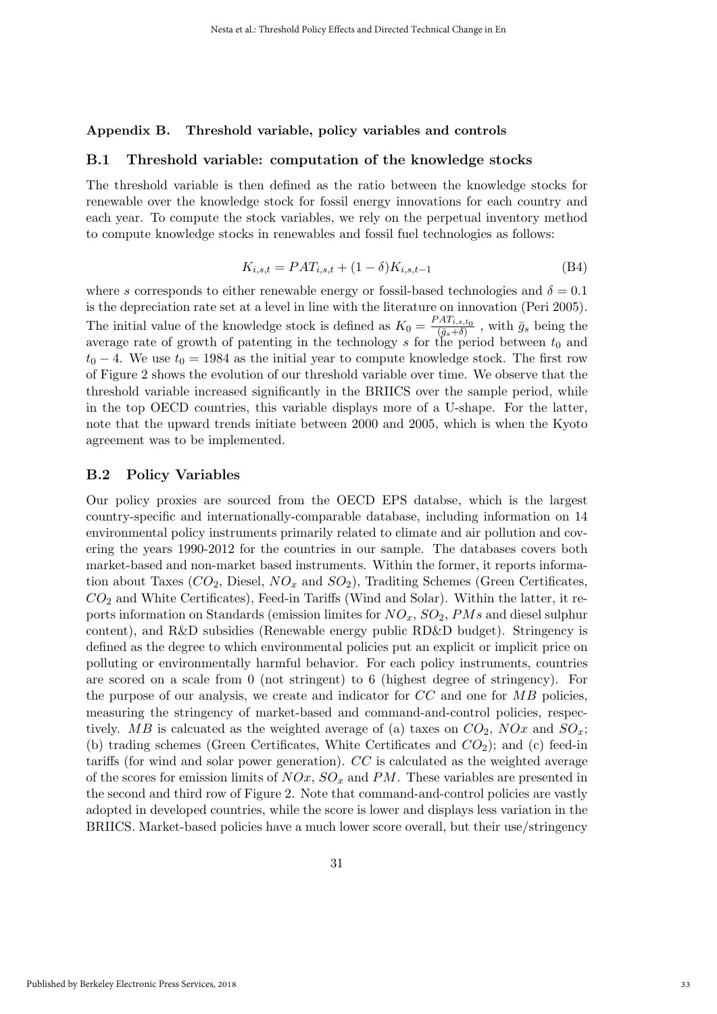#### Appendix B. Threshold variable, policy variables and controls

#### B.1 Threshold variable: computation of the knowledge stocks

The threshold variable is then defined as the ratio between the knowledge stocks for renewable over the knowledge stock for fossil energy innovations for each country and each year. To compute the stock variables, we rely on the perpetual inventory method to compute knowledge stocks in renewables and fossil fuel technologies as follows:

$$
K_{i,s,t} = PAT_{i,s,t} + (1 - \delta)K_{i,s,t-1}
$$
\n(B4)

where s corresponds to either renewable energy or fossil-based technologies and  $\delta = 0.1$ is the depreciation rate set at a level in line with the literature on innovation (Peri 2005). The initial value of the knowledge stock is defined as  $K_0 = \frac{PAT_{i,s,t_0}}{(\bar{a}_s+\delta)}$  $\frac{\overline{A1}_{i,s,t_0}}{(\bar{g}_s+\delta)}$ , with  $\bar{g}_s$  being the average rate of growth of patenting in the technology s for the period between  $t_0$  and  $t_0 - 4$ . We use  $t_0 = 1984$  as the initial year to compute knowledge stock. The first row of Figure 2 shows the evolution of our threshold variable over time. We observe that the threshold variable increased significantly in the BRIICS over the sample period, while in the top OECD countries, this variable displays more of a U-shape. For the latter, note that the upward trends initiate between 2000 and 2005, which is when the Kyoto agreement was to be implemented.

#### B.2 Policy Variables

Our policy proxies are sourced from the OECD EPS databse, which is the largest country-specific and internationally-comparable database, including information on 14 environmental policy instruments primarily related to climate and air pollution and covering the years 1990-2012 for the countries in our sample. The databases covers both market-based and non-market based instruments. Within the former, it reports information about Taxes  $(CO_2, \text{Diesel}, NO_x \text{ and } SO_2)$ , Traditing Schemes (Green Certificates,  $CO<sub>2</sub>$  and White Certificates), Feed-in Tariffs (Wind and Solar). Within the latter, it reports information on Standards (emission limites for  $NO_x$ ,  $SO_2$ ,  $PMs$  and diesel sulphur content), and R&D subsidies (Renewable energy public RD&D budget). Stringency is defined as the degree to which environmental policies put an explicit or implicit price on polluting or environmentally harmful behavior. For each policy instruments, countries are scored on a scale from 0 (not stringent) to 6 (highest degree of stringency). For the purpose of our analysis, we create and indicator for  $CC$  and one for  $MB$  policies, measuring the stringency of market-based and command-and-control policies, respectively. MB is calcuated as the weighted average of (a) taxes on  $CO_2$ ,  $NOx$  and  $SO_x$ ; (b) trading schemes (Green Certificates, White Certificates and  $CO<sub>2</sub>$ ); and (c) feed-in tariffs (for wind and solar power generation).  $CC$  is calculated as the weighted average of the scores for emission limits of  $NOx$ ,  $SO_x$  and PM. These variables are presented in the second and third row of Figure 2. Note that command-and-control policies are vastly adopted in developed countries, while the score is lower and displays less variation in the BRIICS. Market-based policies have a much lower score overall, but their use/stringency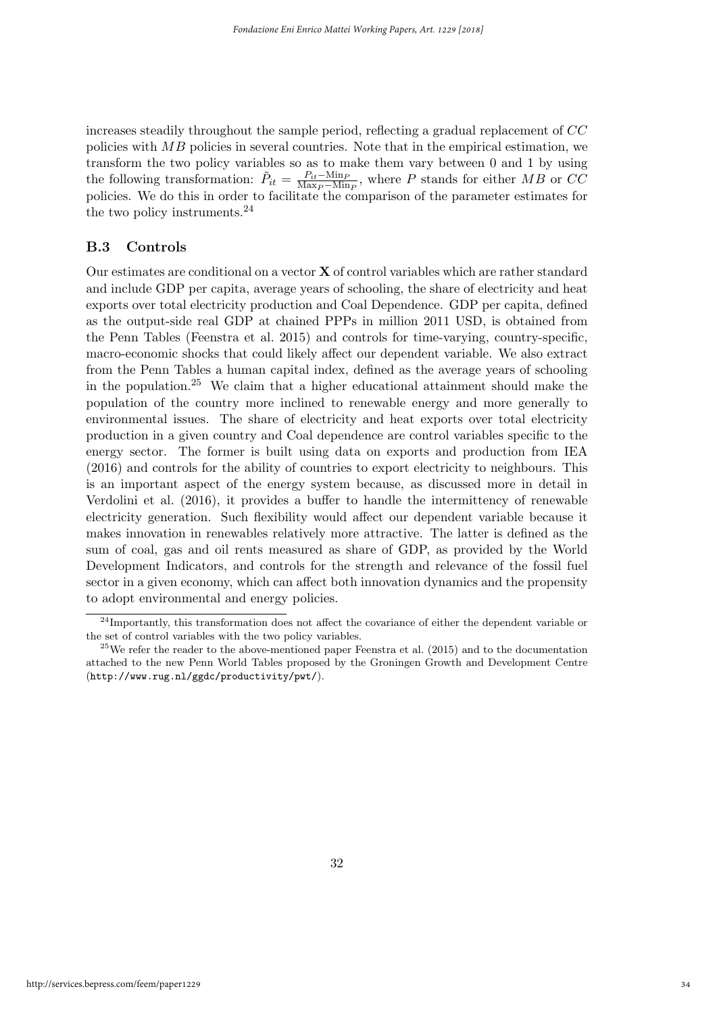increases steadily throughout the sample period, reflecting a gradual replacement of CC policies with MB policies in several countries. Note that in the empirical estimation, we transform the two policy variables so as to make them vary between 0 and 1 by using the following transformation:  $\tilde{P}_{it} = \frac{P_{it} - \text{Min}_F}{\text{Max } p - \text{Min}_F}$  $\frac{F_{it}-\text{Min}_P}{\text{Max}_P-\text{Min}_P}$ , where P stands for either MB or CC policies. We do this in order to facilitate the comparison of the parameter estimates for the two policy instruments.<sup>24</sup>

#### B.3 Controls

Our estimates are conditional on a vector  $X$  of control variables which are rather standard and include GDP per capita, average years of schooling, the share of electricity and heat exports over total electricity production and Coal Dependence. GDP per capita, defined as the output-side real GDP at chained PPPs in million 2011 USD, is obtained from the Penn Tables (Feenstra et al. 2015) and controls for time-varying, country-specific, macro-economic shocks that could likely affect our dependent variable. We also extract from the Penn Tables a human capital index, defined as the average years of schooling in the population.<sup>25</sup> We claim that a higher educational attainment should make the population of the country more inclined to renewable energy and more generally to environmental issues. The share of electricity and heat exports over total electricity production in a given country and Coal dependence are control variables specific to the energy sector. The former is built using data on exports and production from IEA (2016) and controls for the ability of countries to export electricity to neighbours. This is an important aspect of the energy system because, as discussed more in detail in Verdolini et al. (2016), it provides a buffer to handle the intermittency of renewable electricity generation. Such flexibility would affect our dependent variable because it makes innovation in renewables relatively more attractive. The latter is defined as the sum of coal, gas and oil rents measured as share of GDP, as provided by the World Development Indicators, and controls for the strength and relevance of the fossil fuel sector in a given economy, which can affect both innovation dynamics and the propensity to adopt environmental and energy policies.

 $24$ Importantly, this transformation does not affect the covariance of either the dependent variable or the set of control variables with the two policy variables.

<sup>&</sup>lt;sup>25</sup>We refer the reader to the above-mentioned paper Feenstra et al.  $(2015)$  and to the documentation attached to the new Penn World Tables proposed by the Groningen Growth and Development Centre (http://www.rug.nl/ggdc/productivity/pwt/).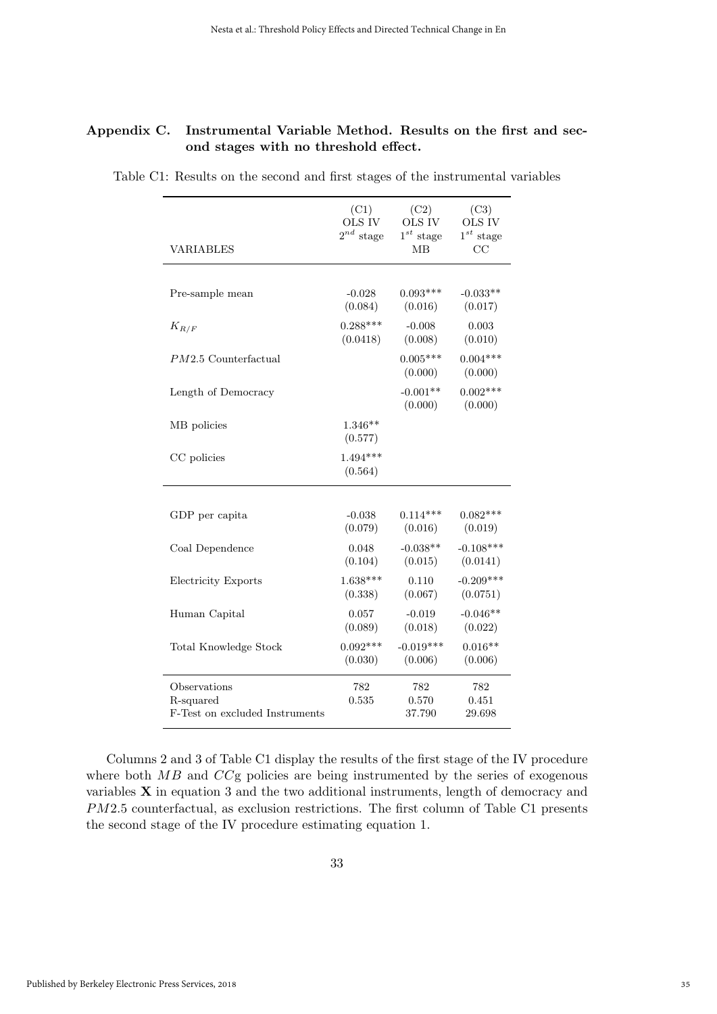#### Appendix C. Instrumental Variable Method. Results on the first and second stages with no threshold effect.

| <b>VARIABLES</b>                                            | (C1)<br><b>OLS IV</b><br>$2^{nd}$ stage | (C2)<br><b>OLS IV</b><br>$1^{st}$ stage<br>MВ | (C3)<br><b>OLS IV</b><br>$1^{st}$ stage<br>CC |
|-------------------------------------------------------------|-----------------------------------------|-----------------------------------------------|-----------------------------------------------|
|                                                             |                                         |                                               |                                               |
| Pre-sample mean                                             | $-0.028$<br>(0.084)                     | $0.093***$<br>(0.016)                         | $-0.033**$<br>(0.017)                         |
| $K_{R/F}$                                                   | $0.288***$<br>(0.0418)                  | $-0.008$<br>(0.008)                           | 0.003<br>(0.010)                              |
| $PM2.5$ Counterfactual                                      |                                         | $0.005***$<br>(0.000)                         | $0.004***$<br>(0.000)                         |
| Length of Democracy                                         |                                         | $-0.001**$<br>(0.000)                         | $0.002***$<br>(0.000)                         |
| MB policies                                                 | $1.346**$<br>(0.577)                    |                                               |                                               |
| CC policies                                                 | $1.494***$<br>(0.564)                   |                                               |                                               |
|                                                             |                                         |                                               |                                               |
| GDP per capita                                              | $-0.038$<br>(0.079)                     | $0.114***$<br>(0.016)                         | $0.082***$<br>(0.019)                         |
| Coal Dependence                                             | 0.048<br>(0.104)                        | $-0.038**$<br>(0.015)                         | $-0.108***$<br>(0.0141)                       |
| <b>Electricity Exports</b>                                  | $1.638***$<br>(0.338)                   | 0.110<br>(0.067)                              | $-0.209***$<br>(0.0751)                       |
| Human Capital                                               | 0.057<br>(0.089)                        | $-0.019$<br>(0.018)                           | $-0.046**$<br>(0.022)                         |
| Total Knowledge Stock                                       | $0.092***$<br>(0.030)                   | $-0.019***$<br>(0.006)                        | $0.016**$<br>(0.006)                          |
| Observations<br>R-squared<br>F-Test on excluded Instruments | 782<br>0.535                            | 782<br>0.570<br>37.790                        | 782<br>0.451<br>29.698                        |

Table C1: Results on the second and first stages of the instrumental variables

Columns 2 and 3 of Table C1 display the results of the first stage of the IV procedure where both  $MB$  and  $CCg$  policies are being instrumented by the series of exogenous variables X in equation 3 and the two additional instruments, length of democracy and PM2.5 counterfactual, as exclusion restrictions. The first column of Table C1 presents the second stage of the IV procedure estimating equation 1.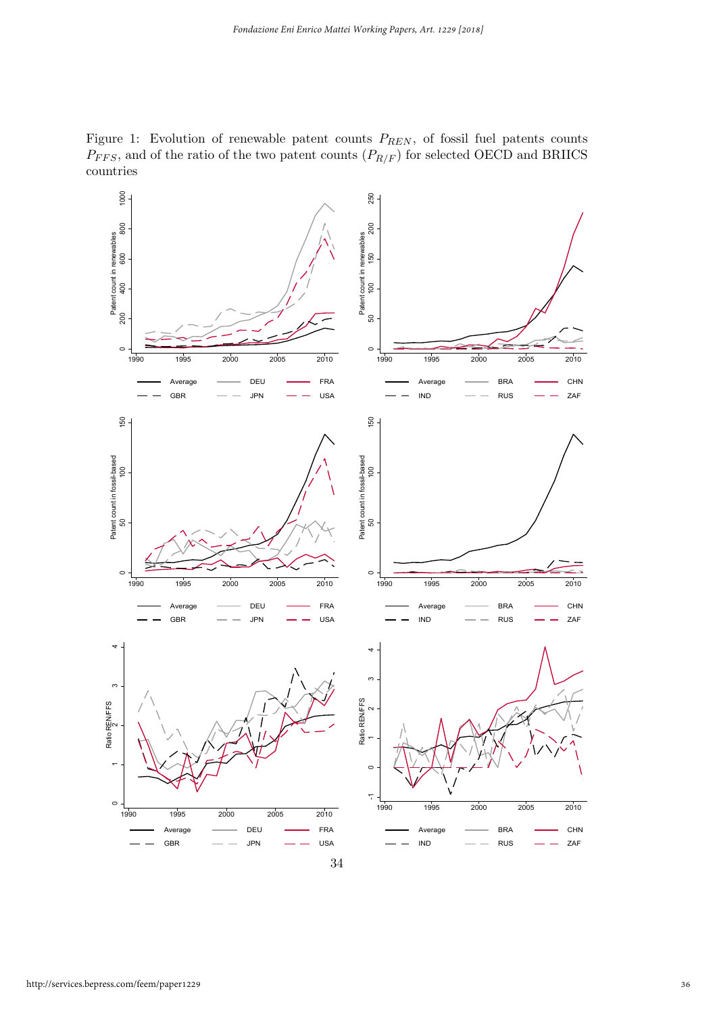Figure 1: Evolution of renewable patent counts  $P_{REN}$ , of fossil fuel patents counts  $P_{FFS}$ , and of the ratio of the two patent counts  $(P_{R/F})$  for selected OECD and BRIICS countries



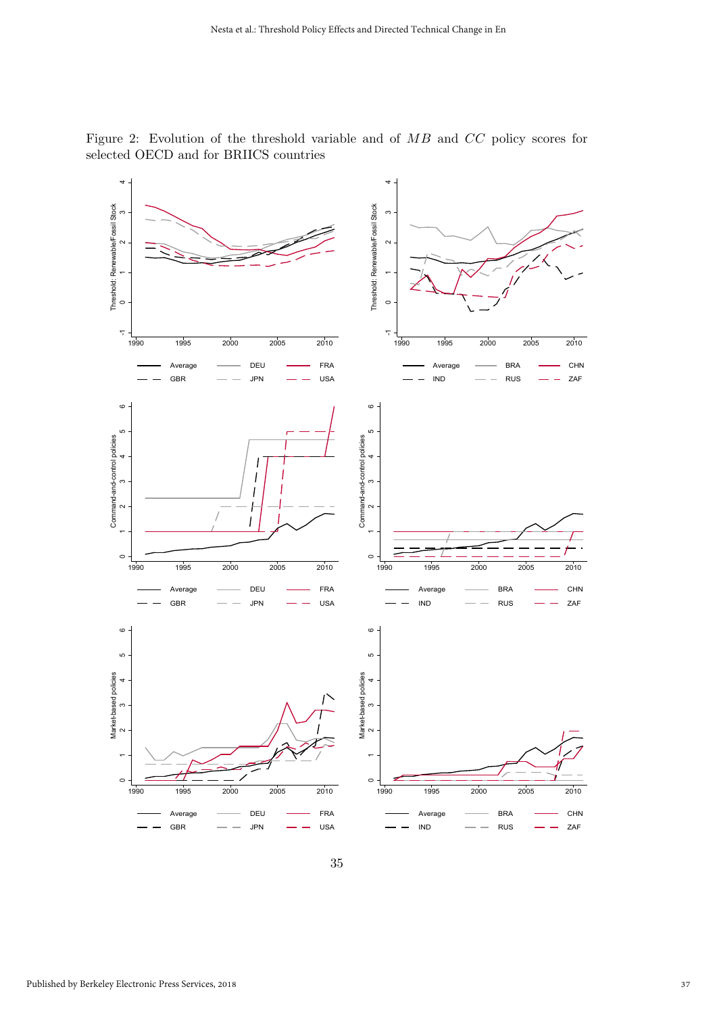

Figure 2: Evolution of the threshold variable and of MB and CC policy scores for selected OECD and for BRIICS countries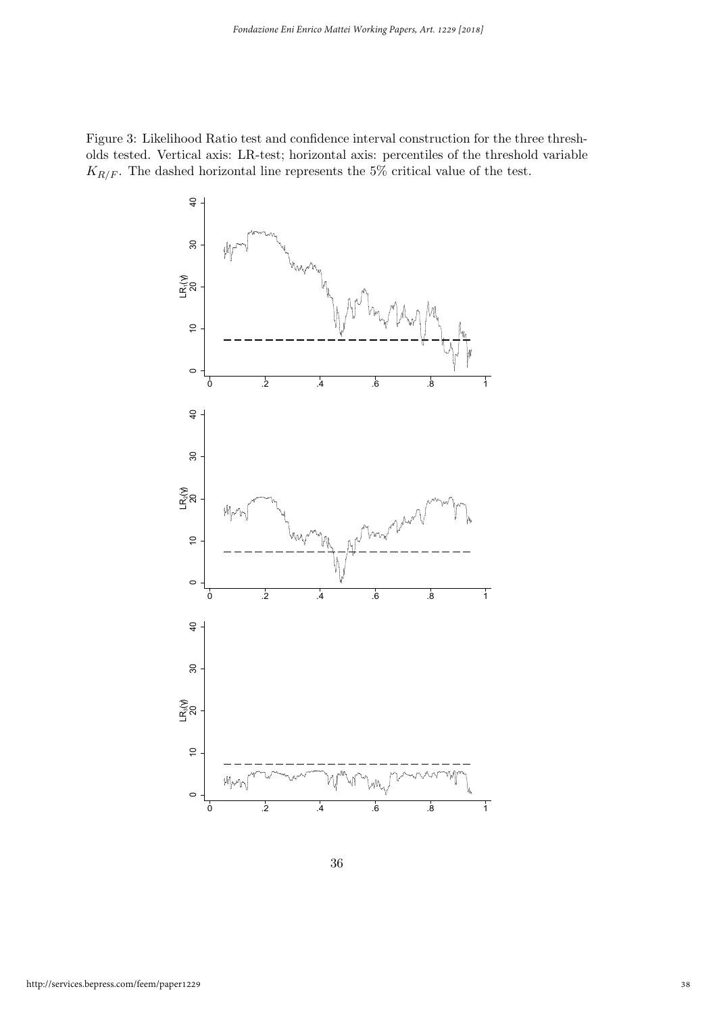Figure 3: Likelihood Ratio test and confidence interval construction for the three thresholds tested. Vertical axis: LR-test; horizontal axis: percentiles of the threshold variable  $K_{R/F}$ . The dashed horizontal line represents the 5% critical value of the test.

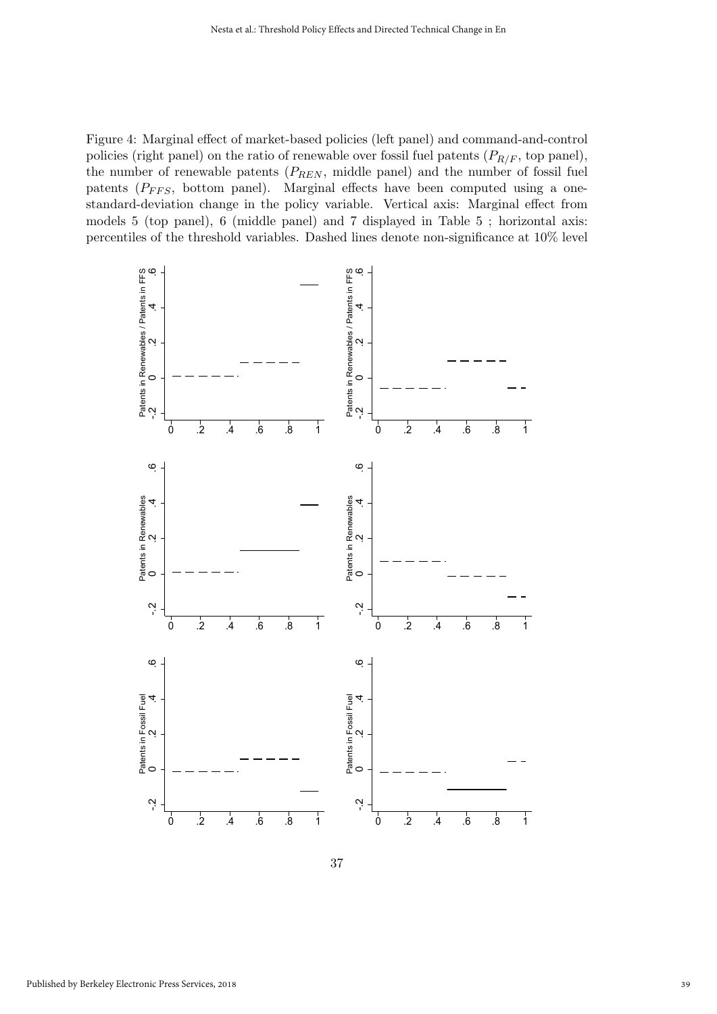Figure 4: Marginal effect of market-based policies (left panel) and command-and-control policies (right panel) on the ratio of renewable over fossil fuel patents  $(P_{R/F},$  top panel), the number of renewable patents  $(P_{REN},$  middle panel) and the number of fossil fuel patents  $(P_{FFS},$  bottom panel). Marginal effects have been computed using a onestandard-deviation change in the policy variable. Vertical axis: Marginal effect from models 5 (top panel), 6 (middle panel) and 7 displayed in Table 5 ; horizontal axis: percentiles of the threshold variables. Dashed lines denote non-significance at 10% level

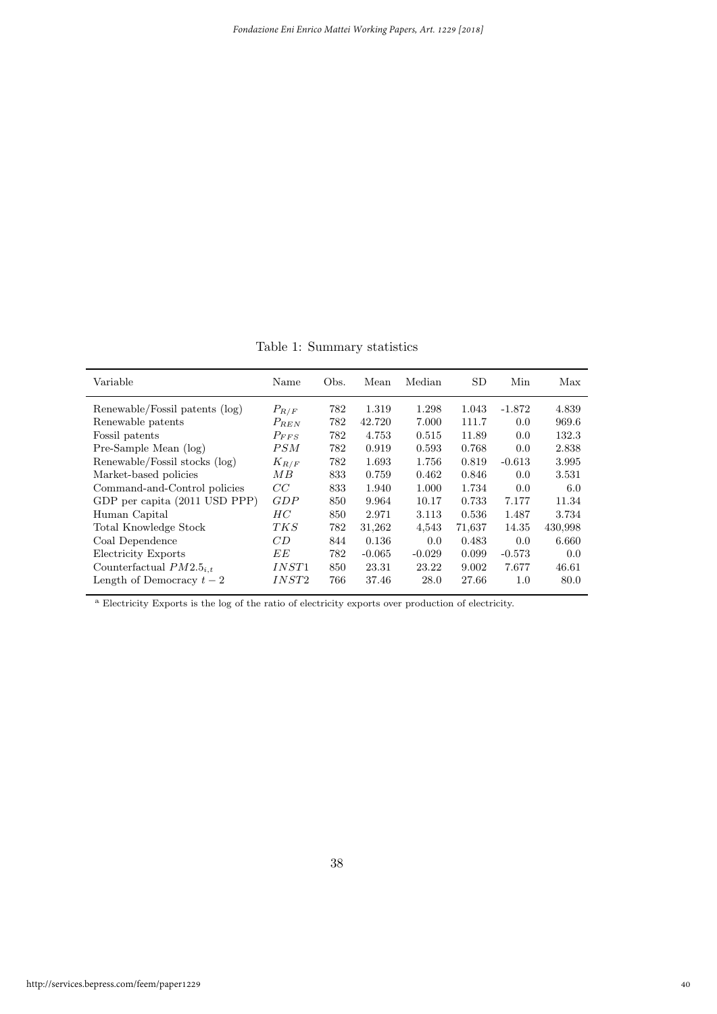Table 1: Summary statistics

| Variable                       | Name       | Obs. | Mean     | Median   | <b>SD</b> | Min      | Max     |
|--------------------------------|------------|------|----------|----------|-----------|----------|---------|
|                                |            |      |          |          |           |          |         |
| Renewable/Fossil patents (log) | $P_{R/F}$  | 782  | 1.319    | 1.298    | 1.043     | $-1.872$ | 4.839   |
| Renewable patents              | $P_{REN}$  | 782  | 42.720   | 7.000    | 111.7     | 0.0      | 969.6   |
| Fossil patents                 | $P_{FFS}$  | 782  | 4.753    | 0.515    | 11.89     | 0.0      | 132.3   |
| Pre-Sample Mean (log)          | PSM        | 782  | 0.919    | 0.593    | 0.768     | 0.0      | 2.838   |
| Renewable/Fossil stocks (log)  | $K_{R/F}$  | 782  | 1.693    | 1.756    | 0.819     | $-0.613$ | 3.995   |
| Market-based policies          | ΜВ         | 833  | 0.759    | 0.462    | 0.846     | 0.0      | 3.531   |
| Command-and-Control policies   | CC         | 833  | 1.940    | 1.000    | 1.734     | 0.0      | 6.0     |
| GDP per capita (2011 USD PPP)  | GDP        | 850  | 9.964    | 10.17    | 0.733     | 7.177    | 11.34   |
| Human Capital                  | HC         | 850  | 2.971    | 3.113    | 0.536     | 1.487    | 3.734   |
| Total Knowledge Stock          | <b>TKS</b> | 782  | 31,262   | 4,543    | 71,637    | 14.35    | 430,998 |
| Coal Dependence                | CD         | 844  | 0.136    | 0.0      | 0.483     | 0.0      | 6.660   |
| Electricity Exports            | ЕE         | 782  | $-0.065$ | $-0.029$ | 0.099     | $-0.573$ | 0.0     |
| Counterfactual $PM2.5_{i,t}$   | INST1      | 850  | 23.31    | 23.22    | 9.002     | 7.677    | 46.61   |
| Length of Democracy $t-2$      | INST2      | 766  | 37.46    | 28.0     | 27.66     | 1.0      | 80.0    |

<sup>a</sup> Electricity Exports is the log of the ratio of electricity exports over production of electricity.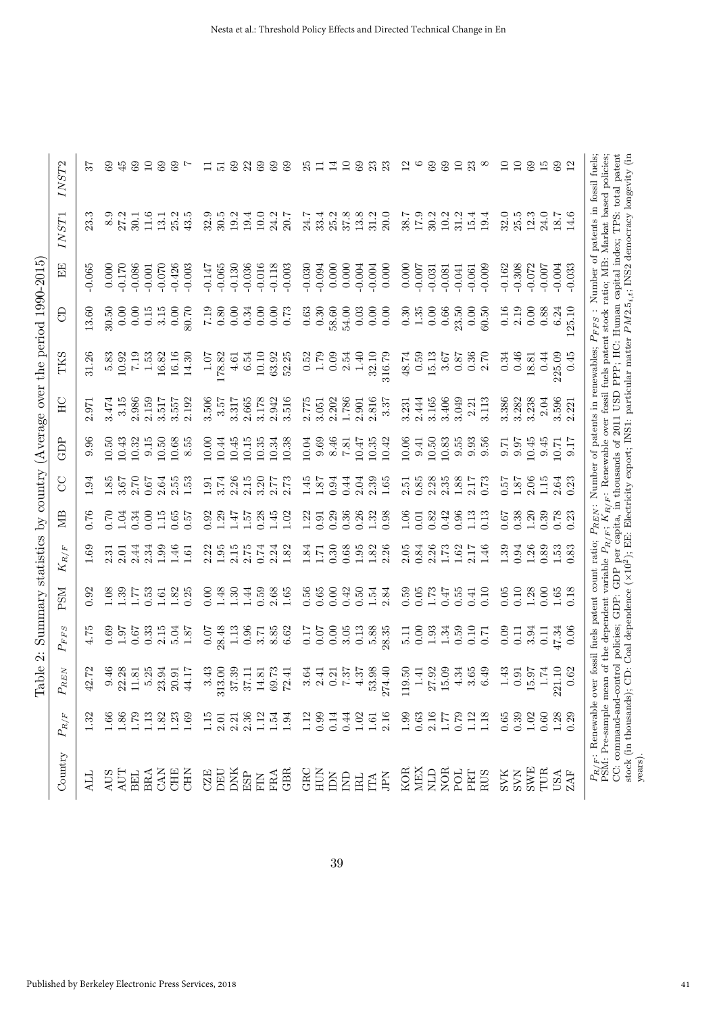| $\frac{1}{2}$<br>Í<br>りりりり<br>Í                                                                                                                                                                                                     |
|-------------------------------------------------------------------------------------------------------------------------------------------------------------------------------------------------------------------------------------|
| j<br>l<br>ł                                                                                                                                                                                                                         |
|                                                                                                                                                                                                                                     |
|                                                                                                                                                                                                                                     |
| - KM - 2、<br>l                                                                                                                                                                                                                      |
|                                                                                                                                                                                                                                     |
| .                                                                                                                                                                                                                                   |
|                                                                                                                                                                                                                                     |
| ha contrata the contrata of the first conduction of the conduction of the conduction of the conduction of the conduction of the conduction of the conduction of the conduction of the conduction of the conduction of the cond<br>ì |
| į                                                                                                                                                                                                                                   |
| $\vdots$                                                                                                                                                                                                                            |
| ֡֡֡֡                                                                                                                                                                                                                                |
| .<br>.<br>.<br>.<br>י<br>ו<br>ļ<br>$\overline{\phantom{a}}$                                                                                                                                                                         |

| Country                       | $P_{R/F}$             | $P_{REN}$                                               | $P_{FFS}$                            | <b>NSH</b>          | $K_{R/F}$        | ŽВ   | g    | GDP                                               | ЯE    | <b>TKS</b>                                                    | 8                                                     | 臣        | INST <sub>1</sub>                                                                                                                                                                                                                                                     | INST <sub>2</sub> |
|-------------------------------|-----------------------|---------------------------------------------------------|--------------------------------------|---------------------|------------------|------|------|---------------------------------------------------|-------|---------------------------------------------------------------|-------------------------------------------------------|----------|-----------------------------------------------------------------------------------------------------------------------------------------------------------------------------------------------------------------------------------------------------------------------|-------------------|
| ALL                           | 1.32                  | 42.72                                                   | 4.75                                 | 0.92                | 1.69             | 0.76 | 1.94 | 9.96                                              | 2.971 | 31.26                                                         | 13.60                                                 | $-0.065$ | 23.3                                                                                                                                                                                                                                                                  | 25                |
| AUS                           | .66                   | 9.46                                                    | 0.69                                 | $\overline{0}$      | 2.31             | 0.70 | 1.85 | 0.50                                              | 3.474 |                                                               |                                                       | 0.000    | 8.9                                                                                                                                                                                                                                                                   | $^{69}$           |
| AUT                           | .86                   |                                                         | $1.97$<br>$0.67$<br>$0.33$<br>$2.15$ | $\frac{39}{2}$      | 2.01             | 1.04 | 3.67 | 10.43                                             | 3.15  | $\frac{5.83}{10.92}$                                          | $0.50$<br>0.00                                        | 0.170    | 27.2                                                                                                                                                                                                                                                                  | $\ddot{4}$        |
| <b>BEL</b>                    | 1.79                  | $22.28$<br>11.81                                        |                                      | 1.77                | 2.44             | 0.34 | 2.70 | 10.32                                             | 2.986 | $7.19\,$                                                      | 0.00                                                  | $-0.086$ | 30.1                                                                                                                                                                                                                                                                  | 69                |
| <b>BRA</b>                    | 1.13                  | 5.25                                                    |                                      | 0.53                | 2.34             | 0.00 | 0.67 | 9.15                                              | 2.159 |                                                               | 0.15                                                  | $-0.001$ | 11.6                                                                                                                                                                                                                                                                  | $\overline{10}$   |
| <b>CAN</b>                    | 1.82                  | $23.94$<br>$20.91$                                      |                                      | 1.61                | 0.99             | 1.15 | 2.64 | 10.50                                             | 3.517 |                                                               | 3.15                                                  | $-0.070$ | 13.1                                                                                                                                                                                                                                                                  | 69                |
| CHE                           | 1.23                  |                                                         | 5.04                                 | 1.82                | 1.46             | 0.65 | 2.55 | $\begin{array}{c} 10.68 \\ 8.55 \end{array}$      | 3.557 | $\frac{1.53}{16.82}$                                          | 0.00                                                  | $-0.426$ | 25.2                                                                                                                                                                                                                                                                  | $_{69}$           |
| <b>CHN</b>                    | $1.69\,$              | 44.17                                                   | 1.87                                 | 0.25                | 1.61             | 0.57 | 1.53 |                                                   | 2.192 | 14.30                                                         | 80.70                                                 | $-0.003$ | 43.5                                                                                                                                                                                                                                                                  | L                 |
| CZE<br>DEU                    | 1.15                  | 3.43                                                    | 0.07                                 | 0.00                | 2.22             | 0.92 | 1.91 | 10.00                                             | 3.506 |                                                               |                                                       | $-0.147$ | 32.9                                                                                                                                                                                                                                                                  | $\Box$            |
|                               | 2.01                  |                                                         | 28.48                                | 1.48                | 1.95             | 1.29 | 3.74 | 10.44                                             | 3.57  |                                                               |                                                       | $-0.065$ | 30.5                                                                                                                                                                                                                                                                  | $\overline{5}$    |
| <b>DNK</b>                    | 2.21                  |                                                         | 1.13                                 | 1.30                | 2.15             | 1.47 | 2.26 | 10.45                                             | 3.317 |                                                               |                                                       | $-0.130$ | 19.2                                                                                                                                                                                                                                                                  | 69                |
| $_{\rm ESP}$                  | 2.36                  | $\begin{array}{c} 313.00 \\ 37.39 \\ 37.11 \end{array}$ | 0.96                                 | 1.44                | 2.75             | 1.57 | 2.15 | 10.15                                             | 2.665 | $\begin{array}{r} 1.07 \\ 178.82 \\ 4.61 \\ 6.54 \end{array}$ | 0.34                                                  | $-0.036$ | 19.4                                                                                                                                                                                                                                                                  | 22                |
| $\overline{\text{F}}\text{I}$ | 1.12                  | $\begin{array}{c} 14.81 \\ 69.73 \\ 72.41 \end{array}$  | 3.71                                 | 0.59                | 0.74             | 0.28 | 3.20 | 10.35                                             | 3.178 | $10.10$<br>$63.92$                                            | $\begin{array}{c} 0.00 \\ 0.00 \\ 0.0 \\ \end{array}$ | $-0.016$ | 10.0                                                                                                                                                                                                                                                                  | 69                |
| <b>FRA</b>                    | 1.54                  |                                                         | 8.85                                 | 2.68                | 2.24             | 1.45 | 2.77 | 10.34                                             | 2.942 |                                                               |                                                       | $-0.118$ | 24.2                                                                                                                                                                                                                                                                  | 69                |
| GBR                           | 1.94                  |                                                         | 6.62                                 | 1.65                | 1.82             | 1.02 | 2.73 | 10.38                                             | 3.516 | 52.25                                                         |                                                       | $-0.003$ | $20.7\,$                                                                                                                                                                                                                                                              | 69                |
|                               | 1.12                  | 3.64                                                    |                                      | 0.56                |                  | 1.22 | 1.45 | 10.04                                             | 2.775 |                                                               |                                                       | $-0.030$ | 24.7                                                                                                                                                                                                                                                                  | 25                |
| <b>GRC</b><br>HUN             | 0.99                  | 2.41                                                    | 70.0<br>21.0                         | 0.65                | 1.71             | 0.91 | 1.87 |                                                   | 3.051 | $0.52$<br>1.79                                                | $\begin{array}{c} 0.63 \\ 0.30 \end{array}$           | $-0.094$ | 33.4                                                                                                                                                                                                                                                                  | $\Box$            |
| ΣCI                           | 0.14                  | 0.21                                                    | 0.00                                 | 0.00                | 0.30             | 0.29 | 0.94 | $\begin{array}{c} 69 \\ 8.46 \\ 7.81 \end{array}$ | 2.202 |                                                               |                                                       | 0.000    | 25.2                                                                                                                                                                                                                                                                  | $\overline{14}$   |
| $\overline{CD}$               | 0.44                  | 7.37                                                    | 3.05                                 | 0.42                | 0.68             | 0.36 | 0.44 |                                                   | 1.786 | $0.09$<br>$2.54$                                              | 58.60<br>54.00                                        | 0.000    | 37.8                                                                                                                                                                                                                                                                  | $\overline{10}$   |
| IRL                           | 1.02                  | 4.37                                                    | 0.13                                 | 0.50                | 1.95             | 0.26 | 2.04 | $10.47\,$                                         | 2.901 |                                                               | 0.03                                                  | $-0.004$ | 13.8                                                                                                                                                                                                                                                                  | 69                |
|                               | 1.61                  | 53.98                                                   | $5.88$                               | 1.54                | 1.82             | 1.32 | 2.39 | 10.35                                             | 2.816 |                                                               | 0.00                                                  | $-0.004$ | 31.2                                                                                                                                                                                                                                                                  | 23                |
| $_{\rm JPN}^{\rm TFA}$        | 2.16                  | 274.40                                                  | 28.35                                | 2.84                | 2.26             | 0.98 | 1.65 | 10.42                                             | 3.37  | $\begin{array}{c} 1.40 \\ 32.10 \\ 316.79 \end{array}$        | 0.00                                                  | 0.000    | 20.0                                                                                                                                                                                                                                                                  | 23                |
| KOR                           | 1.99                  | 119.50                                                  | 5.11                                 | 0.59                | 2.05             | 1.06 | 2.51 | 10.06                                             | 3.231 | $\begin{array}{c} 48.74 \\ 0.59 \\ 15.13 \end{array}$         | 0.30                                                  | 0.000    | 38.7                                                                                                                                                                                                                                                                  | $^{12}$           |
| MEX                           | 0.63                  | 1.41                                                    | 0.00                                 |                     | 0.84             | 0.01 | 0.85 |                                                   | 2.444 |                                                               | $1.35\phantom{}$ 0.00                                 | $-0.007$ | 17.9                                                                                                                                                                                                                                                                  |                   |
| <b>CTIN</b>                   | 2.16                  | 27.92                                                   | 1.93                                 | $0.05$<br>$1.73$    | 2.26             | 0.82 | 2.28 | $\begin{array}{c} 9.41 \\ 10.50 \end{array}$      | 3.165 |                                                               |                                                       | $-0.031$ | 30.2                                                                                                                                                                                                                                                                  | 69                |
| <b>NOR</b>                    | $0.77$<br>0.79        | 15.09                                                   | $1.34$<br>0.59                       | 0.47                | 1.73             | 0.42 | 2.35 | $\begin{array}{c} 10.83 \\ 9.55 \end{array}$      | 3.406 | 3.67                                                          | $0.66\,$                                              | $-0.081$ | 10.2                                                                                                                                                                                                                                                                  | 69                |
| POL                           |                       | 4.34                                                    |                                      | 0.55                | 1.62             | 0.96 | 1.88 |                                                   | 3.049 | 78.0                                                          | 23.50                                                 | $-0.041$ | 31.2                                                                                                                                                                                                                                                                  | $\overline{10}$   |
| PRT                           | 1.12                  | 3.65                                                    | 0.10                                 | 0.41                | 2.17             | 1.13 | 2.17 | 9.93                                              | 2.21  | $0.36$<br>2.70                                                | $0.00\,$                                              | $-0.061$ | 15.4                                                                                                                                                                                                                                                                  | 23                |
| RUS                           | 1.18                  | 6.49                                                    | 0.71                                 | 0.10                | 94.1             | 0.13 | 0.73 | 0.56                                              | 3.113 |                                                               | 60.50                                                 | $-0.009$ | 19.4                                                                                                                                                                                                                                                                  | $\infty$          |
| <b>SVK</b>                    | 0.65                  | 1.43                                                    | 0.09                                 | 0.05                | 1.39             | 0.67 | 0.57 | 0.71                                              | 3.386 | 0.34                                                          | $0.16\,$                                              | $-0.162$ | 32.0                                                                                                                                                                                                                                                                  | $\overline{10}$   |
| <b>SVN</b>                    | 0.39                  | 0.91                                                    | 0.11                                 | 0.10                | 0.94             | 0.38 | 1.87 | 0.97                                              | 3.282 | 0.46                                                          | 2.19                                                  | $-0.308$ | 25.5                                                                                                                                                                                                                                                                  | $\overline{10}$   |
| <b>SWE</b>                    | 1.02                  | 15.97                                                   | 3.94                                 | $\frac{1.28}{0.00}$ | $\frac{1.26}{ }$ | 1.20 | 2.06 | 10.45                                             | 3.238 | 18.81                                                         | 0.00                                                  | $-0.072$ | 12.3                                                                                                                                                                                                                                                                  | 69                |
| TUR                           | 0.60                  | 1.74                                                    | 0.11                                 |                     | 0.89             | 0.39 | 1.15 | 9.45                                              | 2.04  | $0.44$<br>225.09                                              | $0.88\,$                                              | $-0.007$ | $24.0$                                                                                                                                                                                                                                                                | $\overline{15}$   |
| USA                           | $1.28$<br>0.29        | 1.10<br>221                                             | 17.34                                | 1.65                | $\frac{53}{2}$   | 0.78 | 2.64 | 10.71                                             | 3.596 |                                                               | 6.24                                                  | $-0.004$ | 18.7                                                                                                                                                                                                                                                                  | 69                |
| ZAF                           |                       | 0.62                                                    | 0.06                                 | 0.18                | 0.83             | 0.23 | 0.23 | 9.17                                              | .221  | 0.45                                                          | 25.10                                                 | $-0.033$ | 14.6                                                                                                                                                                                                                                                                  | $\mathbf{r}$      |
|                               |                       |                                                         |                                      |                     |                  |      |      |                                                   |       |                                                               |                                                       |          | $P_{R/F}$ : Renewable over fossil fuels patent count ratio; $P_{REN}$ : Number of patents in renewables; $P_{RFS}$ : Number of patents in fossil fuels; PSM: Pre-sample mean of the dependent variable $P_{R/F}$ ; $K_{R/F}$ : Renewable ove                          |                   |
|                               | stock (in thousands); |                                                         |                                      |                     |                  |      |      |                                                   |       |                                                               |                                                       |          | CD: Coal dependence $(\times 10^2)$ ; EE: Electricity export; INS1: particular matter $PM2.5_{i,t}$ ; INS2 democracy longevity (in<br>CC: command-and-control policies; GDP: GDP per capita, in thousands of 2011 USD PPP; HC: Human capital index; TPS: total patent |                   |
| years)                        |                       |                                                         |                                      |                     |                  |      |      |                                                   |       |                                                               |                                                       |          |                                                                                                                                                                                                                                                                       |                   |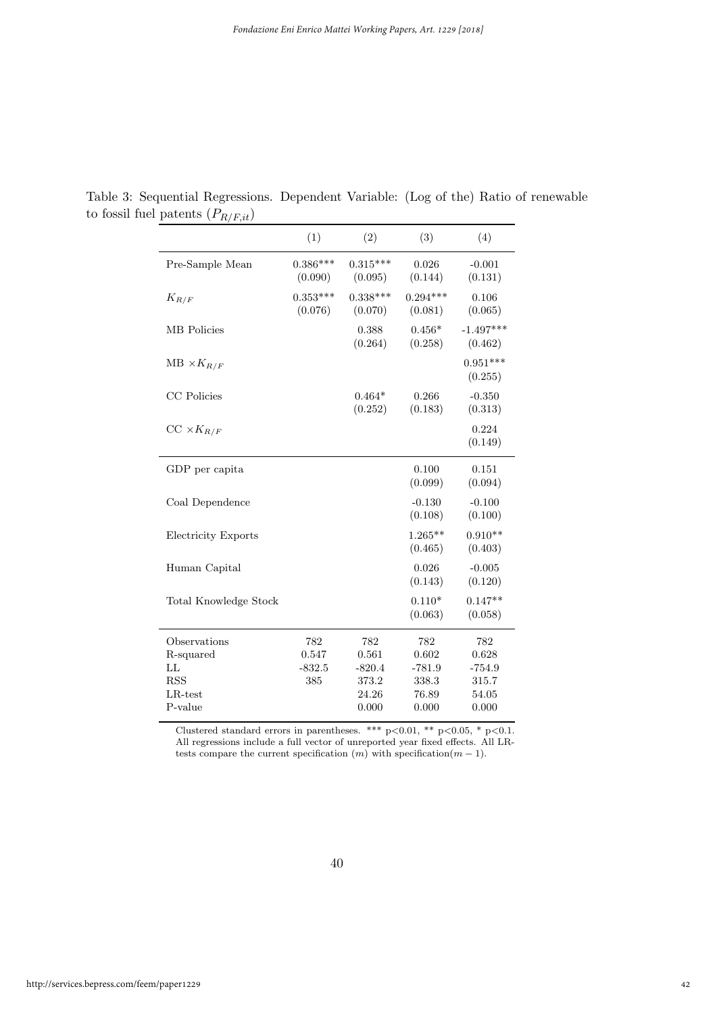|                       | (1)                   | (2)                   | (3)                   | (4)                    |
|-----------------------|-----------------------|-----------------------|-----------------------|------------------------|
| Pre-Sample Mean       | $0.386***$<br>(0.090) | $0.315***$<br>(0.095) | 0.026<br>(0.144)      | $-0.001$<br>(0.131)    |
| $K_{R/F}$             | $0.353***$<br>(0.076) | $0.338***$<br>(0.070) | $0.294***$<br>(0.081) | 0.106<br>(0.065)       |
| MB Policies           |                       | 0.388<br>(0.264)      | $0.456*$<br>(0.258)   | $-1.497***$<br>(0.462) |
| $MB \times K_{R/F}$   |                       |                       |                       | $0.951***$<br>(0.255)  |
| CC Policies           |                       | $0.464*$<br>(0.252)   | 0.266<br>(0.183)      | $-0.350$<br>(0.313)    |
| $CC \times K_{R/F}$   |                       |                       |                       | 0.224<br>(0.149)       |
| GDP per capita        |                       |                       | 0.100<br>(0.099)      | 0.151<br>(0.094)       |
| Coal Dependence       |                       |                       | $-0.130$<br>(0.108)   | $-0.100$<br>(0.100)    |
| Electricity Exports   |                       |                       | $1.265**$<br>(0.465)  | $0.910**$<br>(0.403)   |
| Human Capital         |                       |                       | 0.026<br>(0.143)      | $-0.005$<br>(0.120)    |
| Total Knowledge Stock |                       |                       | $0.110*$<br>(0.063)   | $0.147**$<br>(0.058)   |
| Observations          | 782                   | 782                   | 782                   | 782                    |
| R-squared             | 0.547                 | 0.561                 | 0.602                 | 0.628                  |
| LL                    | $-832.5$              | $-820.4$              | $-781.9$              | $-754.9$               |
| <b>RSS</b>            | 385                   | 373.2                 | 338.3                 | 315.7                  |
| LR-test               |                       | 24.26                 | 76.89                 | 54.05                  |
| P-value               |                       | 0.000                 | 0.000                 | 0.000                  |

Table 3: Sequential Regressions. Dependent Variable: (Log of the) Ratio of renewable to fossil fuel patents  $(P_{R/F,it})$ 

Clustered standard errors in parentheses. \*\*\*  $p<0.01$ , \*\*  $p<0.05$ , \*  $p<0.1$ . All regressions include a full vector of unreported year fixed effects. All LRtests compare the current specification  $(m)$  with specification $(m - 1)$ .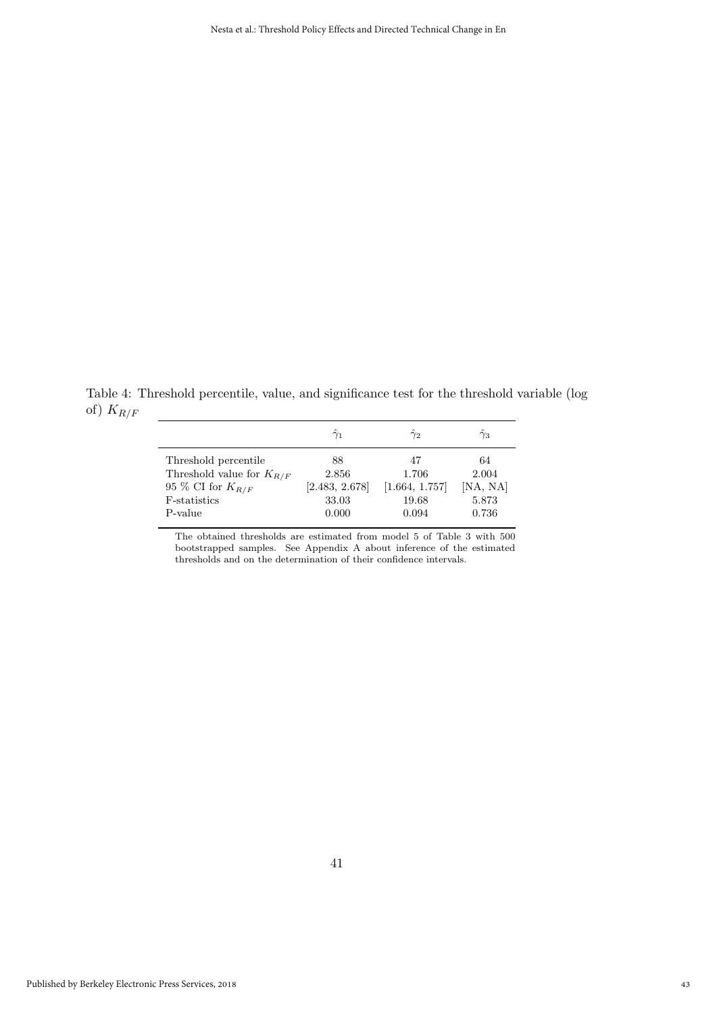Table 4: Threshold percentile, value, and significance test for the threshold variable (log of)  $K_{R/F}$ 

|                               | $\gamma_1$     | $\gamma_2$     | $\hat{\gamma}_3$ |
|-------------------------------|----------------|----------------|------------------|
| Threshold percentile          | 88             | 47             | 64               |
| Threshold value for $K_{R/F}$ | 2.856          | 1.706          | 2.004            |
| 95 % CI for $K_{R/F}$         | [2.483, 2.678] | [1.664, 1.757] | [NA, NA]         |
| F-statistics                  | 33.03          | 19.68          | 5.873            |
| P-value                       | 0.000          | 0.094          | 0.736            |

The obtained thresholds are estimated from model 5 of Table 3 with 500 bootstrapped samples. See Appendix A about inference of the estimated thresholds and on the determination of their confidence intervals.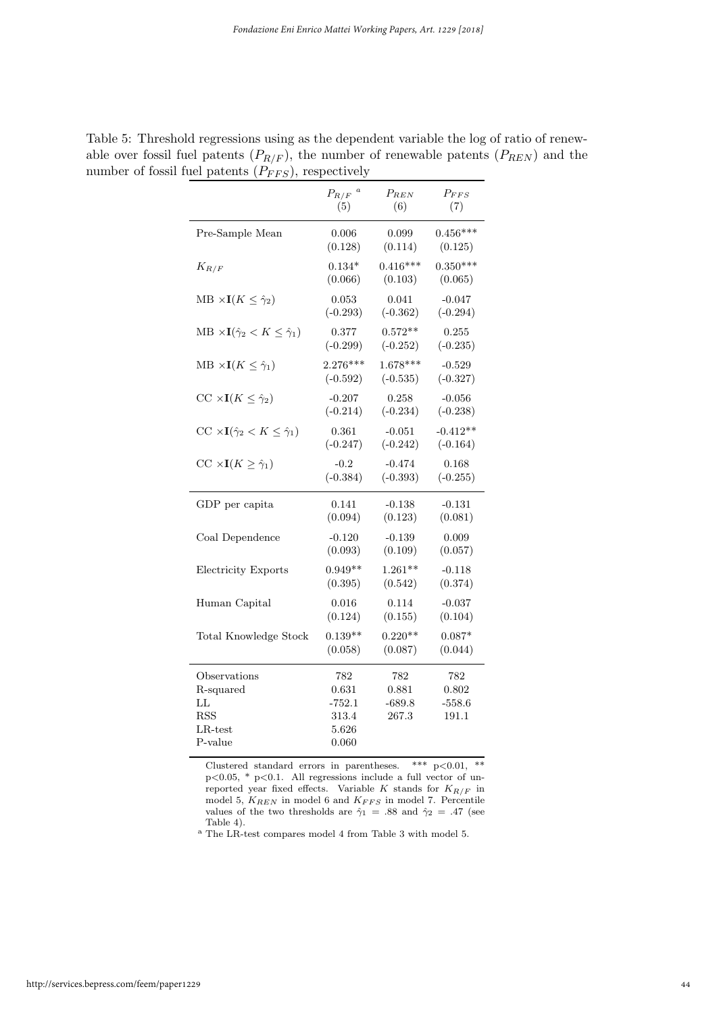|                                                       | $P_{R/F}$ <sup>a</sup> | $P_{REN}$  | $P_{FFS}$  |
|-------------------------------------------------------|------------------------|------------|------------|
|                                                       | (5)                    | (6)        | (7)        |
| Pre-Sample Mean                                       | 0.006                  | 0.099      | $0.456***$ |
|                                                       | (0.128)                | (0.114)    | (0.125)    |
| $K_{R/F}$                                             | $0.134*$               | $0.416***$ | $0.350***$ |
|                                                       | (0.066)                | (0.103)    | (0.065)    |
| $MB \times I(K \leq \hat{\gamma}_2)$                  | 0.053                  | 0.041      | $-0.047$   |
|                                                       | $(-0.293)$             | $(-0.362)$ | $(-0.294)$ |
| $MB \times I(\hat{\gamma}_2 < K \leq \hat{\gamma}_1)$ | 0.377                  | $0.572**$  | 0.255      |
|                                                       | $(-0.299)$             | $(-0.252)$ | $(-0.235)$ |
| $MB \times I(K \leq \hat{\gamma}_1)$                  | $2.276***$             | $1.678***$ | $-0.529$   |
|                                                       | $(-0.592)$             | $(-0.535)$ | $(-0.327)$ |
| $CC \times I(K \leq \hat{\gamma}_2)$                  | $-0.207$               | 0.258      | $-0.056$   |
|                                                       | $(-0.214)$             | $(-0.234)$ | $(-0.238)$ |
| $CC \times I(\hat{\gamma}_2 < K \leq \hat{\gamma}_1)$ | 0.361                  | $-0.051$   | $-0.412**$ |
|                                                       | $(-0.247)$             | $(-0.242)$ | $(-0.164)$ |
| $CC \times I(K \geq \hat{\gamma}_1)$                  | $-0.2$                 | $-0.474$   | 0.168      |
|                                                       | $(-0.384)$             | $(-0.393)$ | $(-0.255)$ |
| GDP per capita                                        | 0.141                  | $-0.138$   | $-0.131$   |
|                                                       | (0.094)                | (0.123)    | (0.081)    |
| Coal Dependence                                       | $-0.120$               | $-0.139$   | 0.009      |
|                                                       | (0.093)                | (0.109)    | (0.057)    |
| Electricity Exports                                   | $0.949**$              | $1.261**$  | $-0.118$   |
|                                                       | (0.395)                | (0.542)    | (0.374)    |
| Human Capital                                         | 0.016                  | 0.114      | $-0.037$   |
|                                                       | (0.124)                | (0.155)    | (0.104)    |
| Total Knowledge Stock                                 | $0.139**$              | $0.220**$  | $0.087*$   |
|                                                       | (0.058)                | (0.087)    | (0.044)    |
| Observations                                          | 782                    | 782        | 782        |
| R-squared                                             | 0.631                  | 0.881      | 0.802      |
| LL                                                    | -752.1                 | $-689.8$   | $-558.6$   |
| <b>RSS</b>                                            | 313.4                  | 267.3      | 191.1      |
| $LR$ -test<br>$P$ -value                              | 5.626<br>0.060         |            |            |

Table 5: Threshold regressions using as the dependent variable the log of ratio of renewable over fossil fuel patents  $(P_{R/F})$ , the number of renewable patents  $(P_{REN})$  and the number of fossil fuel patents  $(P_{FFS})$ , respectively

Clustered standard errors in parentheses. \*\*\*  $p<0.01$ , \*\*  $p<0.05$ , \*  $p<0.1$ . All regressions include a full vector of unreported year fixed effects. Variable K stands for  $K_{R/F}$  in model 5,  $K_{REN}$  in model 6 and  $K_{FFS}$  in model 7. Percentile values of the two thresholds are  $\hat{\gamma}_1 = .88$  and  $\hat{\gamma}_2 = .47$  (see Table 4).

<sup>a</sup> The LR-test compares model 4 from Table 3 with model 5.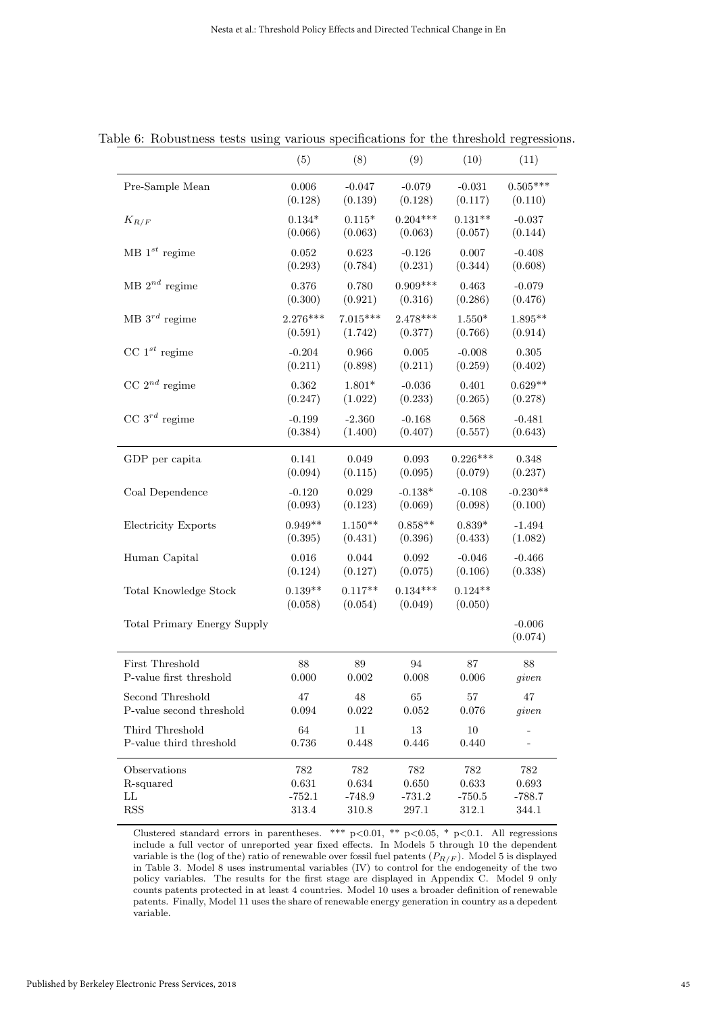|                                    | (5)                   | (8)                  | (9)                   | (10)                 | (11)                       |
|------------------------------------|-----------------------|----------------------|-----------------------|----------------------|----------------------------|
| Pre-Sample Mean                    | 0.006                 | $-0.047$             | $-0.079$              | $-0.031$             | $0.505***$                 |
|                                    | (0.128)               | (0.139)              | (0.128)               | (0.117)              | (0.110)                    |
| $K_{R/F}$                          | $0.134^{\ast}$        | $0.115*$             | $0.204***$            | $0.131**$            | $-0.037$                   |
|                                    | (0.066)               | (0.063)              | (0.063)               | (0.057)              | (0.144)                    |
| $MB 1st$ regime                    | 0.052                 | 0.623                | $-0.126$              | 0.007                | $-0.408$                   |
|                                    | (0.293)               | (0.784)              | (0.231)               | (0.344)              | (0.608)                    |
| MB $2^{nd}$ regime                 | 0.376                 | 0.780                | $0.909***$            | 0.463                | $-0.079$                   |
|                                    | (0.300)               | (0.921)              | (0.316)               | (0.286)              | (0.476)                    |
| MB $3^{rd}$ regime                 | $2.276***$            | $7.015***$           | $2.478***$            | $1.550*$             | $1.895**$                  |
|                                    | (0.591)               | (1.742)              | (0.377)               | (0.766)              | (0.914)                    |
| $CC 1st$ regime                    | $-0.204$              | 0.966                | $0.005\,$             | $-0.008$             | $0.305\,$                  |
|                                    | (0.211)               | (0.898)              | (0.211)               | (0.259)              | (0.402)                    |
| $CC 2^{nd}$ regime                 | $\,0.362\,$           | $1.801*$             | $-0.036$              | 0.401                | $0.629**$                  |
|                                    | (0.247)               | (1.022)              | (0.233)               | (0.265)              | (0.278)                    |
| $CC~3^{rd}$ regime                 | $-0.199$              | $-2.360$             | $-0.168$              | 0.568                | $-0.481$                   |
|                                    | (0.384)               | (1.400)              | (0.407)               | (0.557)              | (0.643)                    |
| GDP per capita                     | 0.141                 | 0.049                | $\,0.093\,$           | $0.226***$           | 0.348                      |
|                                    | (0.094)               | (0.115)              | (0.095)               | (0.079)              | (0.237)                    |
| Coal Dependence                    | $-0.120$              | 0.029                | $-0.138*$             | $-0.108$             | $-0.230**$                 |
|                                    | (0.093)               | (0.123)              | (0.069)               | (0.098)              | (0.100)                    |
| <b>Electricity Exports</b>         | $0.949**$             | $1.150**$            | $0.858**$             | $0.839*$             | $-1.494$                   |
|                                    | (0.395)               | (0.431)              | (0.396)               | (0.433)              | (1.082)                    |
| Human Capital                      | $0.016\,$             | 0.044                | $\,0.092\,$           | $-0.046$             | $-0.466$                   |
|                                    | (0.124)               | (0.127)              | (0.075)               | (0.106)              | (0.338)                    |
| Total Knowledge Stock              | $0.139**$<br>(0.058)  | $0.117**$<br>(0.054) | $0.134***$<br>(0.049) | $0.124**$<br>(0.050) |                            |
| <b>Total Primary Energy Supply</b> |                       |                      |                       |                      | $-0.006$<br>(0.074)        |
| First Threshold                    | 88                    | 89                   | 94                    | 87                   | 88                         |
| P-value first threshold            | 0.000                 | 0.002                | $0.008\,$             | $0.006\,$            | given                      |
| Second Threshold                   | 47                    | 48                   | 65                    | $57\,$               | 47                         |
| P-value second threshold           | 0.094                 | 0.022                | 0.052                 | 0.076                | given                      |
| Third Threshold                    | 64                    | 11                   | 13                    | $10\,$               |                            |
| P-value third threshold            | 0.736                 | 0.448                | 0.446                 | 0.440                |                            |
| Observations                       | 782                   | 782                  | 782                   | $\rm 782$            | 782                        |
| R-squared                          | $\,0.631\,$           | $\,0.634\,$          | $0.650\,$             | 0.633                |                            |
| LL<br>${\rm RSS}$                  | $-752.1$<br>$313.4\,$ | $-748.9$<br>310.8    | $-731.2$<br>$297.1\,$ | $-750.5$<br>312.1    | 0.693<br>$-788.7$<br>344.1 |

Table 6: Robustness tests using various specifications for the threshold regressions.

Clustered standard errors in parentheses. \*\*\*  $p<0.01$ , \*\*  $p<0.05$ , \*  $p<0.1$ . All regressions include a full vector of unreported year fixed effects. In Models 5 through 10 the dependent variable is the (log of the) ratio of renewable over fossil fuel patents  $(P_{R/F})$ . Model 5 is displayed in Table 3. Model 8 uses instrumental variables (IV) to control for the endogeneity of the two policy variables. The results for the first stage are displayed in Appendix C. Model 9 only counts patents protected in at least 4 countries. Model 10 uses a broader definition of renewable patents. Finally, Model 11 uses the share of renewable energy generation in country as a depedent variable.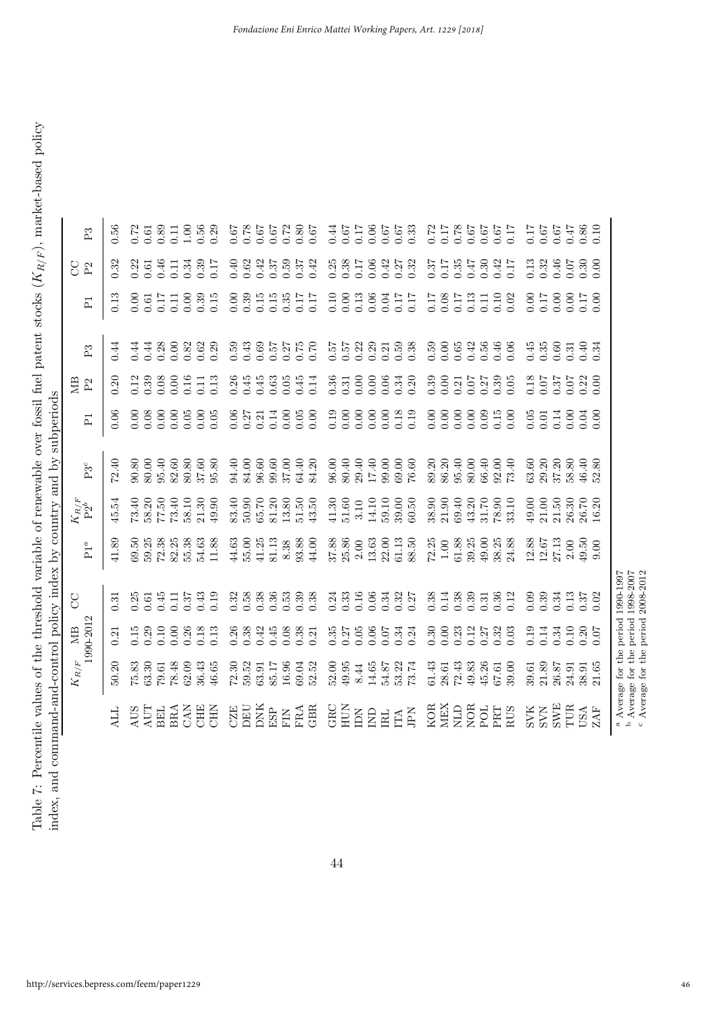|                      |           | <b>NIB</b> | 8                                                        |          |                           |                 |                | ŠВ            |            |                | g              |                |
|----------------------|-----------|------------|----------------------------------------------------------|----------|---------------------------|-----------------|----------------|---------------|------------|----------------|----------------|----------------|
|                      | $K_{R/F}$ | 1990-2012  |                                                          | $\Pr^a$  | $K_{R/F}$ P2 <sup>b</sup> | $\mathrm{P3^c}$ | $\overline{P}$ | $\mathbf{P}2$ | P3         | $\overline{P}$ | P <sub>2</sub> | E <sub>2</sub> |
| <b>TITY</b>          | 50.20     | 0.21       | 0.31                                                     | 41.89    | 45.54                     | 72.40           | 0.06           | 0.20          | 0.44       | 0.13           | 0.32           | 0.56           |
| AUS                  | 75.83     | 0.15       | 0.25                                                     | 69.50    | 73.40                     | 90.80           | 0.00           | 0.12          | 0.44       | 0.00           | 0.22           | 0.72           |
| TUY                  | 63.30     | 0.29       | 0.61                                                     | 59.25    | 58.20                     | 80.00           | 0.08           | 0.39          | 0.44       | 0.61           | 0.61           | 0.61           |
| BEL                  | 79.61     | 0.10       | 0.45                                                     | 72.38    | $77.50\,$                 | 95.40           | 0.00           | 0.08          | 0.28       | 717            | 0.46           | 0.89           |
| BRA                  | 78.48     | 0.00       | 0.11                                                     | 82.25    | 73.40                     | 82.60           | 0.00           | 0.00          | 0.00       | 0.11           | 11             | 0.11           |
| <b>CAN</b>           | 62.09     | 0.26       | 0.37                                                     | 55.38    | 58.10                     | 80.80           | 0.05           | 0.16          | 0.82       | 0.00           | 0.34           | $1.00\,$       |
| CHE                  | 36.43     | 0.18       | 0.43                                                     | 54.63    | 21.30                     | 37.60           | 0.00           | 0.11          | 0.62       | 0.39           | 0.39           | 0.56           |
| <b>CHN</b>           | 46.65     | 0.13       | 0.19                                                     | 11.88    | 49.90                     | 95.80           | 0.05           | 0.13          | 0.29       | 0.15           | 0.17           | 0.29           |
| <b>CZE</b>           | 72.30     | 0.26       | 0.32                                                     | 44.63    | 83.40                     | 94.40           | 0.06           | 0.26          | 0.59       | 0.00           | 0.40           | 0.67           |
| DEU                  | 59.52     | 0.38       | 0.58                                                     | 55.00    | 50.90                     | 84.00           | 0.27           | 0.45          | 0.43       | 0.39           | 0.62           | 0.78           |
| <b>DNK</b>           | 63.91     | 0.42       | 0.38                                                     | 41.25    | 65.70                     | 96.60           | 0.21           | 0.45          | 0.69       | 0.15           | 0.42           | 0.67           |
| ESP                  | 85.17     | 0.45       | 0.36                                                     | 81.13    | 81.20                     | 99.60           | 0.14           | 0.63          | 0.57       | 0.15           | 0.37           | 0.67           |
| EN                   | 16.96     | 0.08       | 0.53                                                     | 8.38     | 13.80                     | 37.00           | 0.00           | 0.05          | 0.27       | 0.35           | 0.59           | 0.72           |
| <b>FRA</b>           | 69.04     | 0.38       | 0.39                                                     | 93.88    | 51.50                     | 64.40           | 0.05           | 0.45          | 0.75       | 0.17           | 0.37           | 0.80           |
| GBR                  | 52.52     | 0.21       | 0.38                                                     | 44.00    | 43.50                     | 84.20           | 0.00           | 0.14          | 0.70       | 0.17           | 0.42           | $0.67\,$       |
| GRC                  | 52.00     | 0.35       | 0.24                                                     | 37.88    | 41.30                     | 96.00           | 0.19           | 0.36          | 0.57       | 0.10           | 0.25           | 0.44           |
| EUN                  | 49.95     | 0.27       | 0.33                                                     | 25.86    | 51.60                     | 80.40           | 0.00           | 0.31          | 0.57       | 0.00           | 0.38           | 0.67           |
| Σqı                  | 8.44      | 0.05       | 0.16                                                     | 2.00     | 3.10                      | 29.40           | 0.00           | 0.00          | 0.22       | 0.13           | 0.17           | 0.17           |
| $\Xi$                | 14.65     | 0.06       | 0.06                                                     | 13.63    | 14.10                     | 17.40           | 0.00           | 0.00          | 0.29       | 0.06           | 0.06           | 0.06           |
| IRL                  | 54.87     | 0.07       | 0.34                                                     | 22.00    | 59.10                     | 99.00           | 0.00           | 0.06          | 0.21       | 0.04           | 0.42           | 0.67           |
| ľА                   | 53.22     | 0.34       | 0.32                                                     | 61.13    | 39.00                     | 69.00           | 0.18           | 0.34          | 0.59       | 0.17           | 0.27           | 0.67           |
| JPN                  | 73.74     | 0.24       | 0.27                                                     | 88.50    | $60.50\,$                 | 76.60           | 0.19           | 0.20          | 0.38       | 0.17           | 0.32           | 0.33           |
| KOR                  | 61.43     | 0.30       | 0.38                                                     | 72.25    | 38.90                     | 89.20           | 0.00           | 0.39          | 0.59       | 0.17           | 0.37           | 0.72           |
| MEX                  | $28.61\,$ | 0.00       | 0.14                                                     | $1.00\,$ | 21.90                     | 86.20           | 0.00           | 0.00          | $_{0.00}$  | 0.08           | 0.17           | 0.17           |
| <b>CLIN</b>          | 72.43     | 0.23       | 0.38                                                     | 61.88    | 69.40                     | 95.40           | 0.00           | 0.21          | 0.65       | 0.17           | 0.35           | 0.78           |
| <b>NOR</b>           | 49.83     | 0.12       | 0.39                                                     | 39.25    | 43.20                     | 80.00           | 0.00           | 0.07          | 0.42       | 0.13           | 147            | 0.67           |
| <b>POL</b>           | 45.26     | 0.27       | 0.31                                                     | 49.00    | 31.70                     | 66.40           | 0.09           | 0.27          | 0.56       | 0.11           | 0.30           | 0.67           |
| PRT                  | $67.61\,$ | 0.32       | 0.36                                                     | 38.25    | 78.90                     | 92.00           | 0.15           | 0.39          | 0.46       | 0.10           | 0.42           | 7.67           |
| <b>RUS</b>           | 39.00     | 0.03       | 0.12                                                     | 24.88    | 33.10                     | 73.40           | 0.00           | 0.05          | 0.06       | 0.02           | 717            | 0.17           |
| <b>SVK</b>           | $39.61\,$ | 0.19       | 0.09                                                     | 12.88    | 49.00                     | 63.60           | 0.05           | 0.18          | $0.45\,$   | 0.00           | 0.13           | 0.17           |
| <b>SVN</b>           | $21.89\,$ | 0.14       | 0.39                                                     | 12.67    | $21.00\,$                 | 29.20           | 0.01           | 0.07          | $\rm 0.35$ | 0.17           | 0.32           | 0.67           |
| <b>SWE</b>           | 26.87     | 0.34       | 0.34                                                     | 27.13    | 21.50                     | 37.20           | 0.14           | 0.37          | 0.60       | 0.00           | 0.46           | 0.67           |
| TUR                  | 24.91     | 0.10       | 0.13                                                     | 2.00     | 26.30                     | 58.80           | 0.00           | 0.07          | 0.31       | 0.00           | 70.07          | 7F             |
| USA<br>ZAF           | 38.91     | 0.20       | 0.37                                                     | 49.50    | $26.70\,$                 | 46.40           | 0.04           | 0.22          | 0.40       | 0.17           | 0.30           | 0.86           |
|                      | 21.65     | 0.07       | 0.02                                                     | 0.00     | 16.20                     | 52.80           | 0.00           | 0.00          | 0.34       | 0.00           | 0.00           | 0.10           |
|                      |           |            | <sup>a</sup> Average for the period 1990-1997            |          |                           |                 |                |               |            |                |                |                |
| $\ddot{\phantom{0}}$ |           |            | $\frac{1}{2}$ Average for the period 1998-2007<br>$\sim$ |          |                           |                 |                |               |            |                |                |                |

 Average for the period 1998-2007 Average for the period 2008-2012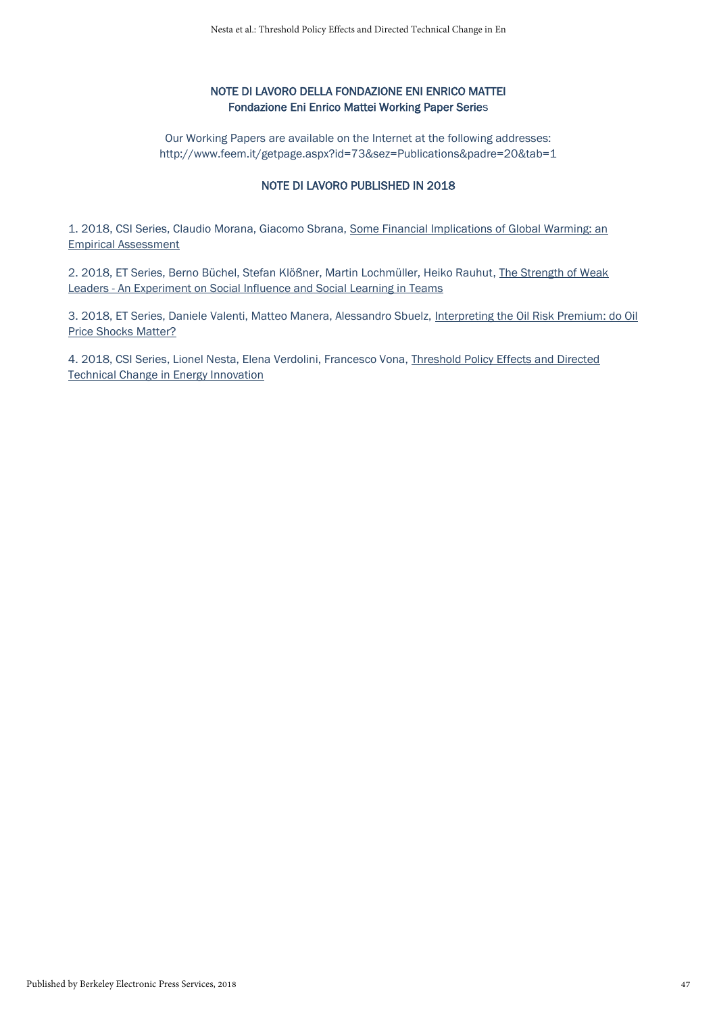#### NOTE DI LAVORO DELLA FONDAZIONE ENI ENRICO MATTEI Fondazione Eni Enrico Mattei Working Paper Series

Our Working Papers are available on the Internet at the following addresses: http://www.feem.it/getpage.aspx?id=73&sez=Publications&padre=20&tab=1

#### NOTE DI LAVORO PUBLISHED IN 2018

1. 2018, CSI Series, Claudio Morana, Giacomo Sbrana, Some Financial Implications of Global Warming: an Empirical Assessment

2. 2018, ET Series, Berno Büchel, Stefan Klößner, Martin Lochmüller, Heiko Rauhut, The Strength of Weak Leaders - An Experiment on Social Influence and Social Learning in Teams

3. 2018, ET Series, Daniele Valenti, Matteo Manera, Alessandro Sbuelz, Interpreting the Oil Risk Premium: do Oil Price Shocks Matter?

4. 2018, CSI Series, Lionel Nesta, Elena Verdolini, Francesco Vona, Threshold Policy Effects and Directed Technical Change in Energy Innovation